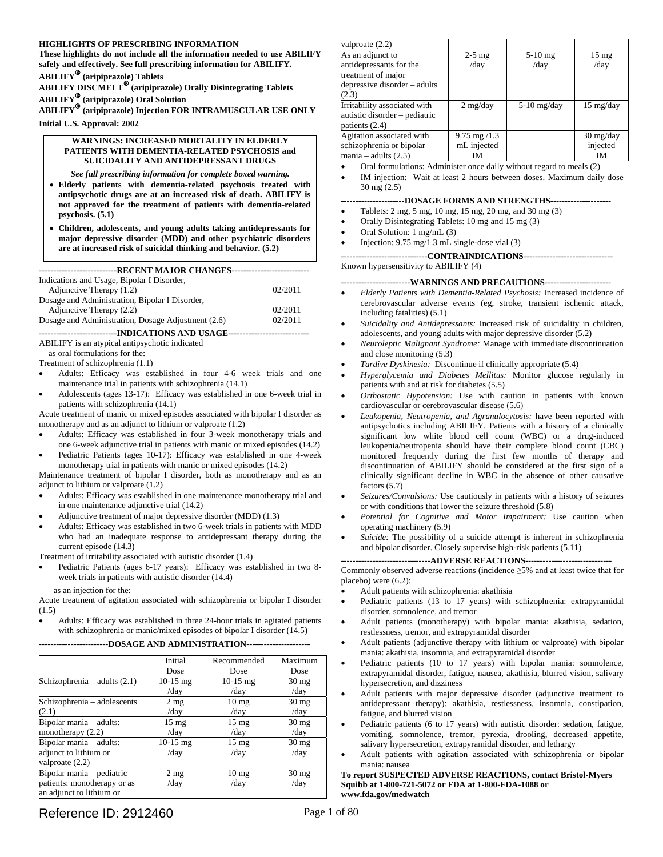#### <span id="page-0-0"></span>**HIGHLIGHTS OF PRESCRIBING INFORMATION**

**These highlights do not include all the information needed to use ABILIFY safely and effectively. See full prescribing information for ABILIFY.** 

**ABILIFY**® **(aripiprazole) Tablets** 

**ABILIFY DISCMELT**® **(aripiprazole) Orally Disintegrating Tablets** 

**ABILIFY**® **(aripiprazole) Oral Solution ABILIFY**® **(aripiprazole) Injection FOR INTRAMUSCULAR USE ONLY** 

**Initial U.S. Approval: 2002** 

#### **WARNINGS: INCREASED MORTALITY IN ELDERLY PATIENTS WITH DEMENTIA-RELATED PSYCHOSIS and SUICIDALITY AND ANTIDEPRESSANT DRUGS**

*See full prescribing information for complete boxed warning.* 

- • **Elderly patients with dementia-related psychosis treated with antipsychotic drugs are at an increased risk of death. ABILIFY is not approved for the treatment of patients with dementia-related psychosis. (5.1)**
- • **Children, adolescents, and young adults taking antidepressants for major depressive disorder (MDD) and other psychiatric disorders are at increased risk of suicidal thinking and behavior. (5.2)**

| ----------------------------RECENT MAJOR CHANGES------------------------------- |         |  |
|---------------------------------------------------------------------------------|---------|--|
| Indications and Usage, Bipolar I Disorder,                                      |         |  |
| Adjunctive Therapy (1.2)                                                        | 02/2011 |  |
| Dosage and Administration, Bipolar I Disorder,                                  |         |  |
| Adjunctive Therapy (2.2)                                                        | 02/2011 |  |
| Dosage and Administration, Dosage Adjustment (2.6)                              | 02/2011 |  |
| -----------------------------INDICATIONS AND USAGE-------                       |         |  |

ABILIFY is an atypical antipsychotic indicated

as oral formulations for the:

Treatment of schizophrenia (1.1)

- Adults: Efficacy was established in four 4-6 week trials and one maintenance trial in patients with schizophrenia (14.1)
- Adolescents (ages 13-17): Efficacy was established in one 6-week trial in patients with schizophrenia (14.1)

Acute treatment of manic or mixed episodes associated with bipolar I disorder as monotherapy and as an adjunct to lithium or valproate (1.2)

- Adults: Efficacy was established in four 3-week monotherapy trials and one 6-week adjunctive trial in patients with manic or mixed episodes (14.2)
- Pediatric Patients (ages 10-17): Efficacy was established in one 4-week monotherapy trial in patients with manic or mixed episodes (14.2)

Maintenance treatment of bipolar I disorder, both as monotherapy and as an adjunct to lithium or valproate (1.2)

- Adults: Efficacy was established in one maintenance monotherapy trial and in one maintenance adjunctive trial (14.2)
- Adjunctive treatment of major depressive disorder (MDD) (1.3)
- Adults: Efficacy was established in two 6-week trials in patients with MDD who had an inadequate response to antidepressant therapy during the current episode (14.3)

Treatment of irritability associated with autistic disorder (1.4)

Pediatric Patients (ages 6-17 years): Efficacy was established in two 8week trials in patients with autistic disorder (14.4)

as an injection for the:

Acute treatment of agitation associated with schizophrenia or bipolar I disorder (1.5)

Adults: Efficacy was established in three 24-hour trials in agitated patients with schizophrenia or manic/mixed episodes of bipolar I disorder (14.5)

#### **------------------------DOSAGE AND ADMINISTRATION----------------------**

|                                | Initial         | Recommended     | Maximum         |
|--------------------------------|-----------------|-----------------|-----------------|
|                                | Dose            | Dose            | Dose            |
| Schizophrenia – adults $(2.1)$ | $10-15$ mg      | $10-15$ mg      | $30 \text{ mg}$ |
|                                | /day            | /day            | /day            |
| Schizophrenia - adolescents    | $2 \text{ mg}$  | $10 \text{ mg}$ | $30 \text{ mg}$ |
| (2.1)                          | /day            | /day            | /day            |
| Bipolar mania - adults:        | $15 \text{ mg}$ | $15 \text{ mg}$ | $30 \text{ mg}$ |
| monotherapy $(2.2)$            | /day            | /day            | /day            |
| Bipolar mania - adults:        | $10-15$ mg      | $15 \text{ mg}$ | $30 \text{ mg}$ |
| adjunct to lithium or          | /day            | /day            | /day            |
| valproate (2.2)                |                 |                 |                 |
| Bipolar mania - pediatric      | $2 \text{ mg}$  | $10 \text{ mg}$ | $30 \text{ mg}$ |
| patients: monotherapy or as    | /day            | /day            | /day            |
| an adjunct to lithium or       |                 |                 |                 |

#### valproate (2.2) As an adjunct to antidepressants for the treatment of major depressive disorder – adults (2.3) 2-5 mg /day 5-10 mg /day 15 mg /day Irritability associated with autistic disorder – pediatric patients (2.4) 2 mg/day 5-10 mg/day 15 mg/day Agitation associated with schizophrenia or bipolar  $mania - adults (2.5)$ 9.75 mg /1.3 mL injected IM 30 mg/day injected IM

Oral formulations: Administer once daily without regard to meals (2)

IM injection: Wait at least 2 hours between doses. Maximum daily dose 30 mg (2.5)

#### **----------------------DOSAGE FORMS AND STRENGTHS---------------------**

- Tablets: 2 mg, 5 mg, 10 mg, 15 mg, 20 mg, and 30 mg (3)
- Orally Disintegrating Tablets: 10 mg and 15 mg (3)
- Oral Solution: 1 mg/mL (3)
- Injection: 9.75 mg/1.3 mL single-dose vial (3)

**------------------------------CONTRAINDICATIONS-------------------------------**  Known hypersensitivity to ABILIFY (4)

#### **------------------------WARNINGS AND PRECAUTIONS-----------------------**

- Elderly Patients with Dementia-Related Psychosis: Increased incidence of cerebrovascular adverse events (eg, stroke, transient ischemic attack, including fatalities) (5.1)
- Suicidality and Antidepressants: Increased risk of suicidality in children, adolescents, and young adults with major depressive disorder (5.2)
- Neuroleptic Malignant Syndrome: Manage with immediate discontinuation and close monitoring (5.3)
- *Tardive Dyskinesia:* Discontinue if clinically appropriate (5.4)
- Hyperglycemia and Diabetes Mellitus: Monitor glucose regularly in patients with and at risk for diabetes (5.5)
- Orthostatic Hypotension: Use with caution in patients with known cardiovascular or cerebrovascular disease (5.6)
- Leukopenia, Neutropenia, and Agranulocytosis: have been reported with antipsychotics including ABILIFY. Patients with a history of a clinically significant low white blood cell count (WBC) or a drug-induced leukopenia/neutropenia should have their complete blood count (CBC) monitored frequently during the first few months of therapy and discontinuation of ABILIFY should be considered at the first sign of a clinically significant decline in WBC in the absence of other causative factors (5.7)
- Seizures/Convulsions: Use cautiously in patients with a history of seizures or with conditions that lower the seizure threshold (5.8)
- Potential for Cognitive and Motor Impairment: Use caution when operating machinery (5.9)
- Suicide: The possibility of a suicide attempt is inherent in schizophrenia and bipolar disorder. Closely supervise high-risk patients (5.11)

-------------------------------**ADVERSE REACTIONS**------------------------------

Commonly observed adverse reactions (incidence ≥5% and at least twice that for placebo) were (6.2):

- Adult patients with schizophrenia: akathisia
- Pediatric patients (13 to 17 years) with schizophrenia: extrapyramidal disorder, somnolence, and tremor
- Adult patients (monotherapy) with bipolar mania: akathisia, sedation, restlessness, tremor, and extrapyramidal disorder
- Adult patients (adjunctive therapy with lithium or valproate) with bipolar mania: akathisia, insomnia, and extrapyramidal disorder
- Pediatric patients (10 to 17 years) with bipolar mania: somnolence, extrapyramidal disorder, fatigue, nausea, akathisia, blurred vision, salivary hypersecretion, and dizziness
- Adult patients with major depressive disorder (adjunctive treatment to antidepressant therapy): akathisia, restlessness, insomnia, constipation, fatigue, and blurred vision
- Pediatric patients (6 to 17 years) with autistic disorder: sedation, fatigue, vomiting, somnolence, tremor, pyrexia, drooling, decreased appetite, salivary hypersecretion, extrapyramidal disorder, and lethargy
- Adult patients with agitation associated with schizophrenia or bipolar mania: nausea

**To report SUSPECTED ADVERSE REACTIONS, contact Bristol-Myers Squibb at 1-800-721-5072 or FDA at 1-800-FDA-1088 or www.fda.gov/medwatch**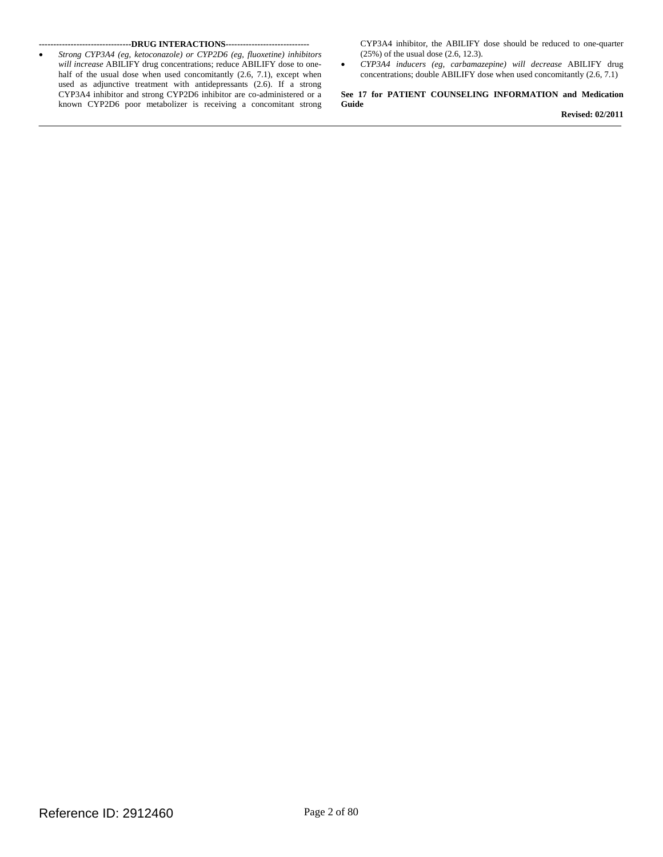*Strong CYP3A4 (eg, ketoconazole) or CYP2D6 (eg, fluoxetine) inhibitors* (25%) of the usual dose (2.6, 12.3).<br> *will increase* ABILIFY drug concentrations; reduce ABILIFY dose to one-<br>
• CYP3A4 *inducers (eg, carbamaz*) half of the usual dose when used concomitantly  $(2.6, 7.1)$ , except when used as adjunctive treatment with antidepressants (2.6). If a strong CYP3A4 inhibitor and strong CYP2D6 inhibitor are co-administered or a known CYP2D6 poor metabolizer is receiving a concomitant strong **Guide** 

**--------------------------------DRUG INTERACTIONS-----------------------------** CYP3A4 inhibitor, the ABILIFY dose should be reduced to one-quarter

*will decrease ABILIFY drug concentrations; double ABILIFY dose when used concomitantly (2.6, 7.1)* 

See 17 for PATIENT COUNSELING INFORMATION and Medication

**Revised: 02/2011**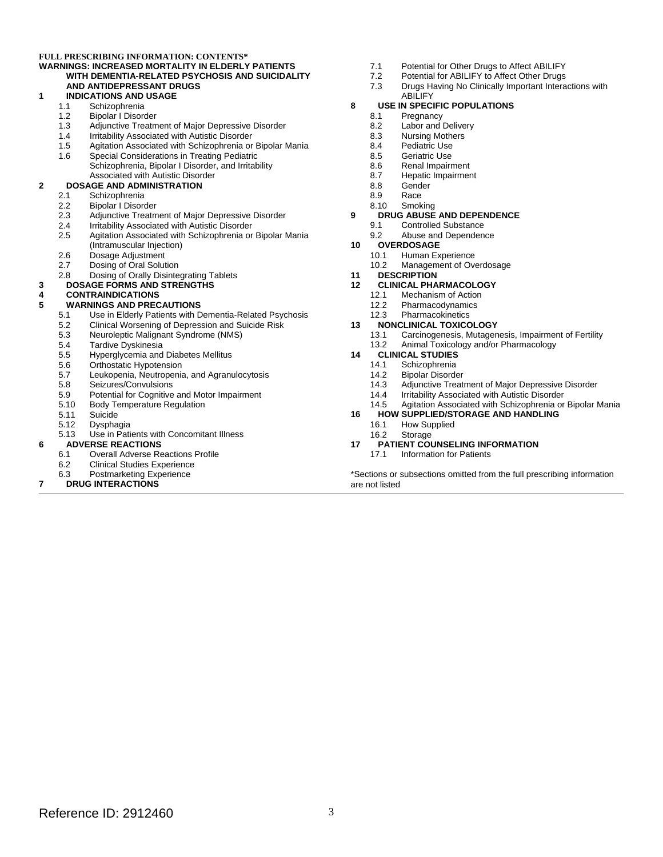#### **FULL PRESCRIBING INFORMATION: CONTENTS\* [WARNINGS: INCREASED MORTALITY IN ELDERLY PATIENTS](#page-0-0)  [WITH DEMENTIA-RELATED PSYCHOSIS AND SUICIDALITY](#page-0-0)  [AND ANTIDEPRESSANT DRUGS](#page-0-0)**

## **[1 INDICATIONS AND USAGE](#page-4-0)**

- [Schizophrenia](#page-4-0)
- [1.2](#page-4-0) [Bipolar I Disorder](#page-4-0)<br>1.3 Adjunctive Treatm
- [1.3](#page-4-0)[Adjunctive Treatment of Major Depressive Disorder](#page-4-0)
- [1.4](#page-4-0)[Irritability Associated with Autistic Disorder](#page-4-0)
- [1.5](#page-5-0) [Agitation Associated with Schizophrenia or Bipolar Mania](#page-5-0)
- [1.6](#page-5-0)[Special Considerations in Treating Pediatric](#page-5-0)  [Schizophrenia, Bipolar I Disorder, and Irritability](#page-5-0) [Associated with Autistic Disorder](#page-5-0)

# **2** DOSAGE AND ADMINISTRATION<br>2.1 Schizophrenia

- [2.1](#page-5-0) [Schizophrenia](#page-5-0)<br>2.2 Bipolar I Disoro
- [2.2](#page-6-0) [Bipolar I Disorder](#page-6-0)<br>2.3 Adjunctive Treatm
- [Adjunctive Treatment of Major Depressive Disorder](#page-7-0)
- 
- [2.4](#page-7-0) [Irritability Associated with Autistic Disorder](#page-7-0)<br>2.5 Agitation Associated with Schizophrenia or[2.5](#page-8-0)[Agitation Associated with Schizophrenia or Bipolar Mania](#page-8-0)  (Intramuscular Injection)
- [2.6](#page-9-0)[Dosage Adjustment](#page-9-0)
- 
- [2.7](#page-10-0) [Dosing of Oral Solution](#page-10-0)<br>2.8 Dosing of Orally DisinteDosing of Orally Disintegrating Tablets
- **[3 DOSAGE FORMS AND STRENGTHS](#page-10-0)**

#### **[4 CONTRAINDICATIONS](#page-11-0)**

#### **[5 WARNINGS AND PRECAUTIONS](#page-11-0)**

- [5.1](#page-11-0) [Use in Elderly Patients with Dementia-Related Psychosis](#page-11-0)
- 
- [5.2](#page-12-0) [Clinical Worsening of Depression and Suicide Risk](#page-12-0)<br>5.3 Neuroleptic Malignant Syndrome (NMS)[Neuroleptic Malignant Syndrome \(NMS\)](#page-14-0)
- 
- [5.4](#page-15-0) [Tardive Dyskinesia](#page-15-0)<br>5.5 Hyperglycemia and[Hyperglycemia and Diabetes Mellitus](#page-16-0)
- 
- [5.6](#page-17-0) [Orthostatic Hypotension](#page-17-0)<br>5.7 Leukopenia, Neutropenia[Leukopenia, Neutropenia, and Agranulocytosis](#page-17-0)
- [5.8](#page-18-0) [Seizures/Convulsions](#page-18-0)<br>5.9 Potential for Cognitive
- [5.9](#page-18-0)[Potential for Cognitive and Motor Impairment](#page-18-0)
- 5.10<br>5.11 Body Temperature Regulation
- [Suicide](#page-19-0)
- [Dysphagia](#page-19-0)
- 5.12<br>5.13 [5.13](#page-19-0)[Use in Patients with Concomitant Illness](#page-19-0)

#### **[6 ADVERSE REACTIONS](#page-19-0)**

- [6.1](#page-19-0)[Overall Adverse Reactions Profile](#page-19-0)
- [6.2](#page-21-0) [Clinical Studies Experienc](#page-21-0)[e](#page-42-0)<br>6.3 Postmarketing Experience
- [Postmarketing Experience](#page-42-0)

#### **[7 DRUG INTERACTIONS](#page-42-0)**

- [7.1](#page-42-0) [Potential for Other Drugs to Affect ABILIFY](#page-42-0)
- [7.2](#page-43-0) [Potential for ABILIFY to Affect Other Drugs](#page-43-0)<br>7.3 Drugs Having No Clinically Important Intera
- Drugs Having No Clinically Important Interactions with [ABILIFY](#page-44-0)

#### **[8 USE IN SPECIFIC POPULATIONS](#page-46-0)**

- $\begin{array}{c} 8.1 \\ 8.2 \end{array}$  $\begin{array}{c} 8.1 \\ 8.2 \end{array}$  $\begin{array}{c} 8.1 \\ 8.2 \end{array}$ [Pregnancy](#page-46-0)
	- [8.2](#page-48-0) Labor and Delivery<br>8.3 Nursing Mothers
	- **[Nursing Mothers](#page-48-0)**
	- [8.4](#page-48-0)[Pediatric Use](#page-48-0)
	- [8.5](#page-49-0) [Geriatric Use](#page-49-0)<br>8.6 Renal Impairr
	- [8.6](#page-50-0)[Renal Impairment](#page-50-0)
	- [8.7](#page-50-0)[Hepatic Impairment](#page-50-0)
	- 8.8 [Gender](#page-50-0)
	- 8.9 [Race](#page-50-0)
- 8.10 **[Smoking](#page-51-0)**

#### **[9 DRUG ABUSE AND DEPENDENCE](#page-51-0)**

- [9.1](#page-51-0) [Controlled Substance](#page-51-0)
- [9.2](#page-51-0) [Abuse and Dependence](#page-51-0)
- **[10 OVERDOSAGE](#page-51-0)** 
	- [Human Experience](#page-51-0)
	- [10.2](#page-52-0)[Management of Overdosage](#page-52-0)

#### **[11 DESCRIPTION](#page-52-0)**

- **12 CLINICAL PHARMACOLOGY**<br>12.1 Mechanism of Action
	- [Mechanism of Actio](#page-53-0)[n](#page-54-0)
		- [12.2](#page-54-0) Pharmacodynamics<br>12.3 Pharmacokinetics
	- **[Pharmacokinetics](#page-54-0)**

# **13 NONCLINICAL TOXICOLOGY**<br>13.1 Carcinogenesis, Mutagen

- [Carcinogenesis, Mutagenesis, Impairment of Fertility](#page-56-0)[13.2](#page-58-0)[Animal Toxicology and/or Pharmacology](#page-58-0)
- **[14 CLINICAL STUDIES](#page-58-0)** 
	- - [14.1](#page-58-0) [Schizophrenia](#page-58-0)<br>14.2 Bipolar Disorde[Bipolar Disorder](#page-60-0)
			-
	- [14.3](#page-63-0) [Adjunctive Treatment of Major Depressive Disorder](#page-63-0)<br>14.4 Irritability Associated with Autistic Disorder
	- [14.4](#page-64-0) [Irritability Associated with Autistic Disorder](#page-64-0)<br>14.5 Agitation Associated with Schizophrenia or[14.5](#page-65-0) [Agitation Associated with Schizophrenia or Bipolar Mania](#page-65-0)
- $16.1$ **[16 HOW SUPPLIED/STORAGE AND HANDLING](#page-66-0)**  [How Supplied](#page-66-0)
	- 16.2 [Storage](#page-68-0)
- **[17 PATIENT COUNSELING INFORMATION](#page-68-0)** 
	- [17.1](#page-68-0) [Information for Patients](#page-68-0)

\*Sections or subsections omitted from the full prescribing information are not listed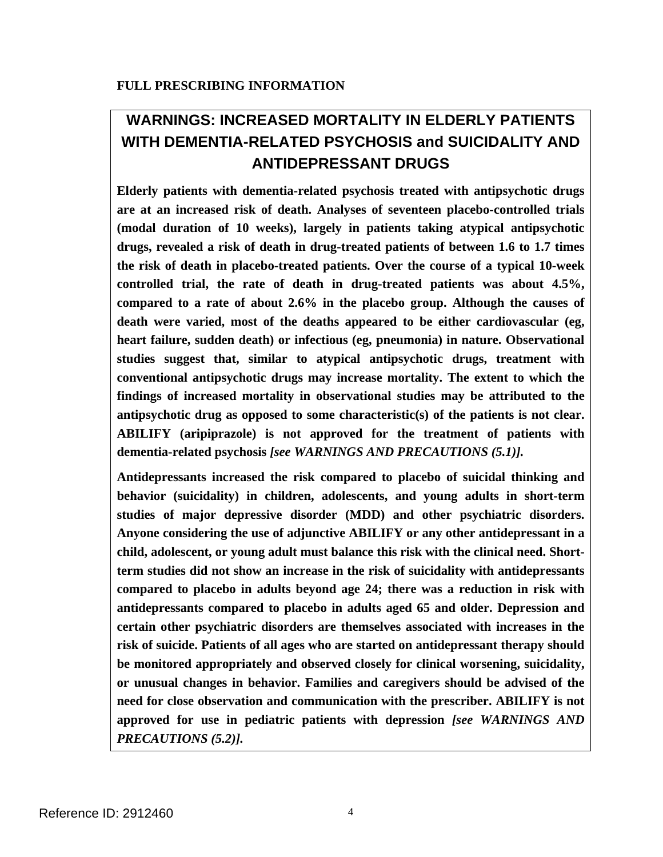# **WARNINGS: INCREASED MORTALITY IN ELDERLY PATIENTS WITH DEMENTIA-RELATED PSYCHOSIS and SUICIDALITY AND ANTIDEPRESSANT DRUGS**

**Elderly patients with dementia-related psychosis treated with antipsychotic drugs are at an increased risk of death. Analyses of seventeen placebo-controlled trials (modal duration of 10 weeks), largely in patients taking atypical antipsychotic drugs, revealed a risk of death in drug-treated patients of between 1.6 to 1.7 times the risk of death in placebo-treated patients. Over the course of a typical 10-week controlled trial, the rate of death in drug-treated patients was about 4.5%, compared to a rate of about 2.6% in the placebo group. Although the causes of death were varied, most of the deaths appeared to be either cardiovascular (eg, heart failure, sudden death) or infectious (eg, pneumonia) in nature. Observational studies suggest that, similar to atypical antipsychotic drugs, treatment with conventional antipsychotic drugs may increase mortality. The extent to which the findings of increased mortality in observational studies may be attributed to the antipsychotic drug as opposed to some characteristic(s) of the patients is not clear. ABILIFY (aripiprazole) is not approved for the treatment of patients with dementia-related psychosis** *[see WARNINGS AND PRECAUTIONS (5.1)].* 

**Antidepressants increased the risk compared to placebo of suicidal thinking and behavior (suicidality) in children, adolescents, and young adults in short-term studies of major depressive disorder (MDD) and other psychiatric disorders. Anyone considering the use of adjunctive ABILIFY or any other antidepressant in a child, adolescent, or young adult must balance this risk with the clinical need. Shortterm studies did not show an increase in the risk of suicidality with antidepressants compared to placebo in adults beyond age 24; there was a reduction in risk with antidepressants compared to placebo in adults aged 65 and older. Depression and certain other psychiatric disorders are themselves associated with increases in the risk of suicide. Patients of all ages who are started on antidepressant therapy should be monitored appropriately and observed closely for clinical worsening, suicidality, or unusual changes in behavior. Families and caregivers should be advised of the need for close observation and communication with the prescriber. ABILIFY is not approved for use in pediatric patients with depression** *[see WARNINGS AND PRECAUTIONS (5.2)].*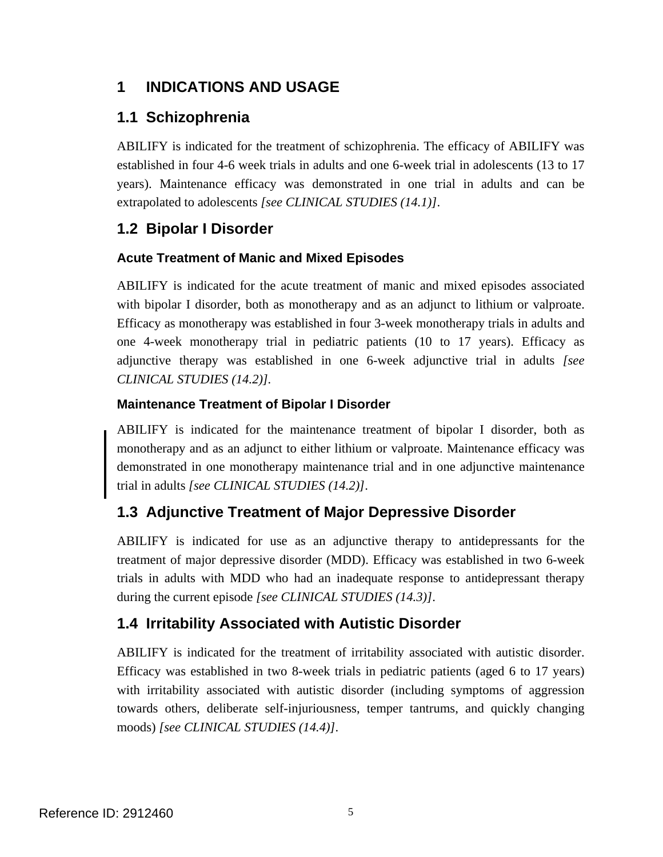## <span id="page-4-0"></span>**1 INDICATIONS AND USAGE**

## **1.1 Schizophrenia**

ABILIFY is indicated for the treatment of schizophrenia. The efficacy of ABILIFY was established in four 4-6 week trials in adults and one 6-week trial in adolescents (13 to 17 years). Maintenance efficacy was demonstrated in one trial in adults and can be extrapolated to adolescents *[see CLINICAL STUDIES (14.1)]*.

## **1.2 Bipolar I Disorder**

## **Acute Treatment of Manic and Mixed Episodes**

ABILIFY is indicated for the acute treatment of manic and mixed episodes associated with bipolar I disorder, both as monotherapy and as an adjunct to lithium or valproate. Efficacy as monotherapy was established in four 3-week monotherapy trials in adults and one 4-week monotherapy trial in pediatric patients (10 to 17 years). Efficacy as adjunctive therapy was established in one 6-week adjunctive trial in adults *[see CLINICAL STUDIES (14.2)].* 

## **Maintenance Treatment of Bipolar I Disorder**

ABILIFY is indicated for the maintenance treatment of bipolar I disorder, both as monotherapy and as an adjunct to either lithium or valproate. Maintenance efficacy was demonstrated in one monotherapy maintenance trial and in one adjunctive maintenance trial in adults *[see CLINICAL STUDIES (14.2)]*.

## **1.3 Adjunctive Treatment of Major Depressive Disorder**

ABILIFY is indicated for use as an adjunctive therapy to antidepressants for the treatment of major depressive disorder (MDD). Efficacy was established in two 6-week trials in adults with MDD who had an inadequate response to antidepressant therapy during the current episode *[see CLINICAL STUDIES (14.3)]*.

## **1.4 Irritability Associated with Autistic Disorder**

ABILIFY is indicated for the treatment of irritability associated with autistic disorder. Efficacy was established in two 8-week trials in pediatric patients (aged 6 to 17 years) with irritability associated with autistic disorder (including symptoms of aggression towards others, deliberate self-injuriousness, temper tantrums, and quickly changing moods) *[see CLINICAL STUDIES (14.4)]*.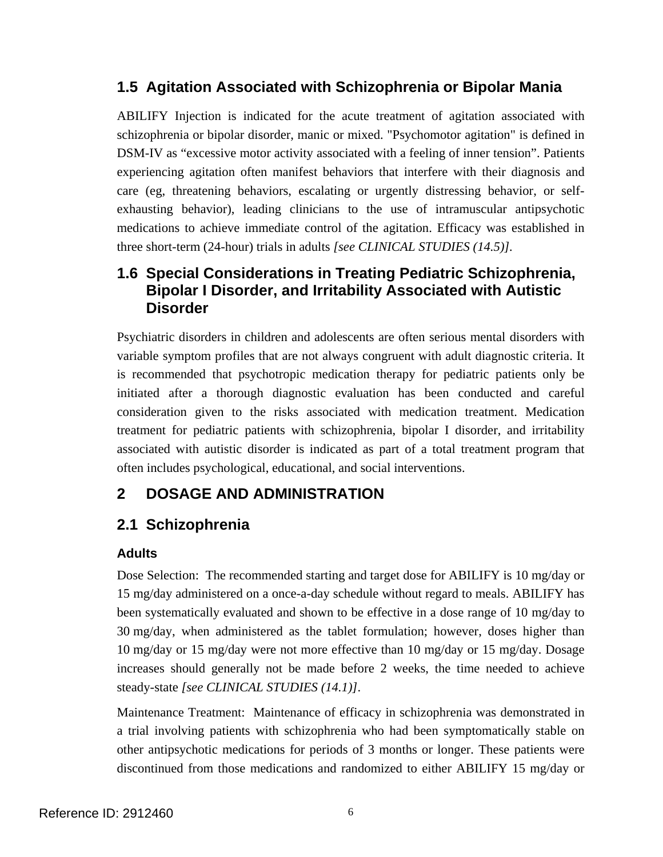## <span id="page-5-0"></span>**1.5 Agitation Associated with Schizophrenia or Bipolar Mania**

ABILIFY Injection is indicated for the acute treatment of agitation associated with schizophrenia or bipolar disorder, manic or mixed. "Psychomotor agitation" is defined in DSM-IV as "excessive motor activity associated with a feeling of inner tension". Patients experiencing agitation often manifest behaviors that interfere with their diagnosis and care (eg, threatening behaviors, escalating or urgently distressing behavior, or selfexhausting behavior), leading clinicians to the use of intramuscular antipsychotic medications to achieve immediate control of the agitation. Efficacy was established in three short-term (24-hour) trials in adults *[see CLINICAL STUDIES (14.5)].* 

## **1.6 Special Considerations in Treating Pediatric Schizophrenia, Bipolar I Disorder, and Irritability Associated with Autistic Disorder**

Psychiatric disorders in children and adolescents are often serious mental disorders with variable symptom profiles that are not always congruent with adult diagnostic criteria. It is recommended that psychotropic medication therapy for pediatric patients only be initiated after a thorough diagnostic evaluation has been conducted and careful consideration given to the risks associated with medication treatment. Medication treatment for pediatric patients with schizophrenia, bipolar I disorder, and irritability associated with autistic disorder is indicated as part of a total treatment program that often includes psychological, educational, and social interventions.

## **2 DOSAGE AND ADMINISTRATION**

## **2.1 Schizophrenia**

## **Adults**

Dose Selection: The recommended starting and target dose for ABILIFY is 10 mg/day or 15 mg/day administered on a once-a-day schedule without regard to meals. ABILIFY has been systematically evaluated and shown to be effective in a dose range of 10 mg/day to 30 mg/day, when administered as the tablet formulation; however, doses higher than 10 mg/day or 15 mg/day were not more effective than 10 mg/day or 15 mg/day. Dosage increases should generally not be made before 2 weeks, the time needed to achieve steady-state *[see CLINICAL STUDIES (14.1)]*.

Maintenance Treatment: Maintenance of efficacy in schizophrenia was demonstrated in a trial involving patients with schizophrenia who had been symptomatically stable on other antipsychotic medications for periods of 3 months or longer. These patients were discontinued from those medications and randomized to either ABILIFY 15 mg/day or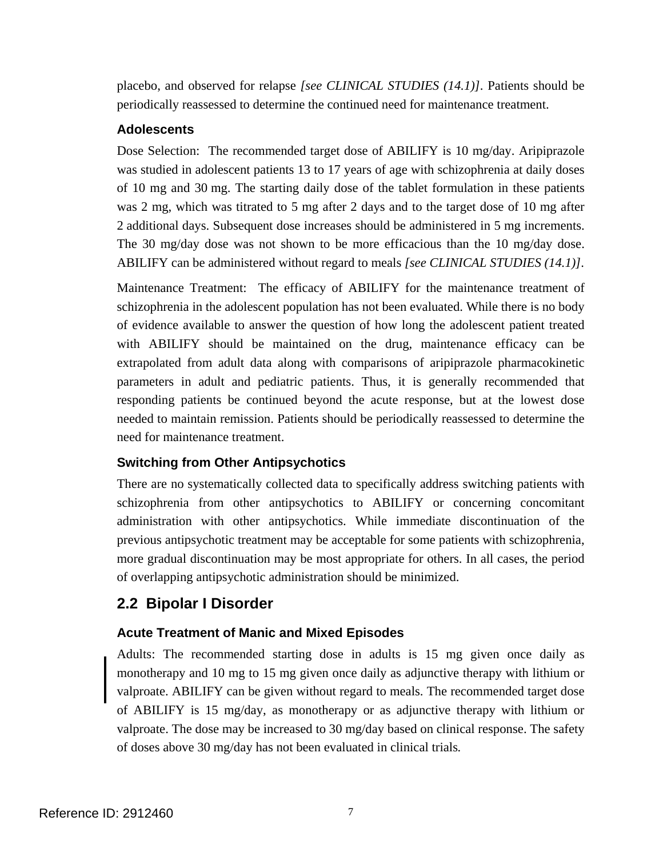<span id="page-6-0"></span>placebo, and observed for relapse *[see CLINICAL STUDIES (14.1)]*. Patients should be periodically reassessed to determine the continued need for maintenance treatment.

#### **Adolescents**

Dose Selection: The recommended target dose of ABILIFY is 10 mg/day. Aripiprazole was studied in adolescent patients 13 to 17 years of age with schizophrenia at daily doses of 10 mg and 30 mg. The starting daily dose of the tablet formulation in these patients was 2 mg, which was titrated to 5 mg after 2 days and to the target dose of 10 mg after 2 additional days. Subsequent dose increases should be administered in 5 mg increments. The 30 mg/day dose was not shown to be more efficacious than the 10 mg/day dose. ABILIFY can be administered without regard to meals *[see CLINICAL STUDIES (14.1)]*.

Maintenance Treatment: The efficacy of ABILIFY for the maintenance treatment of schizophrenia in the adolescent population has not been evaluated. While there is no body of evidence available to answer the question of how long the adolescent patient treated with ABILIFY should be maintained on the drug, maintenance efficacy can be extrapolated from adult data along with comparisons of aripiprazole pharmacokinetic parameters in adult and pediatric patients. Thus, it is generally recommended that responding patients be continued beyond the acute response, but at the lowest dose needed to maintain remission. Patients should be periodically reassessed to determine the need for maintenance treatment.

## **Switching from Other Antipsychotics**

There are no systematically collected data to specifically address switching patients with schizophrenia from other antipsychotics to ABILIFY or concerning concomitant administration with other antipsychotics. While immediate discontinuation of the previous antipsychotic treatment may be acceptable for some patients with schizophrenia, more gradual discontinuation may be most appropriate for others. In all cases, the period of overlapping antipsychotic administration should be minimized.

## **2.2 Bipolar I Disorder**

## **Acute Treatment of Manic and Mixed Episodes**

Adults: The recommended starting dose in adults is 15 mg given once daily as monotherapy and 10 mg to 15 mg given once daily as adjunctive therapy with lithium or valproate. ABILIFY can be given without regard to meals. The recommended target dose of ABILIFY is 15 mg/day, as monotherapy or as adjunctive therapy with lithium or valproate. The dose may be increased to 30 mg/day based on clinical response. The safety of doses above 30 mg/day has not been evaluated in clinical trials*.*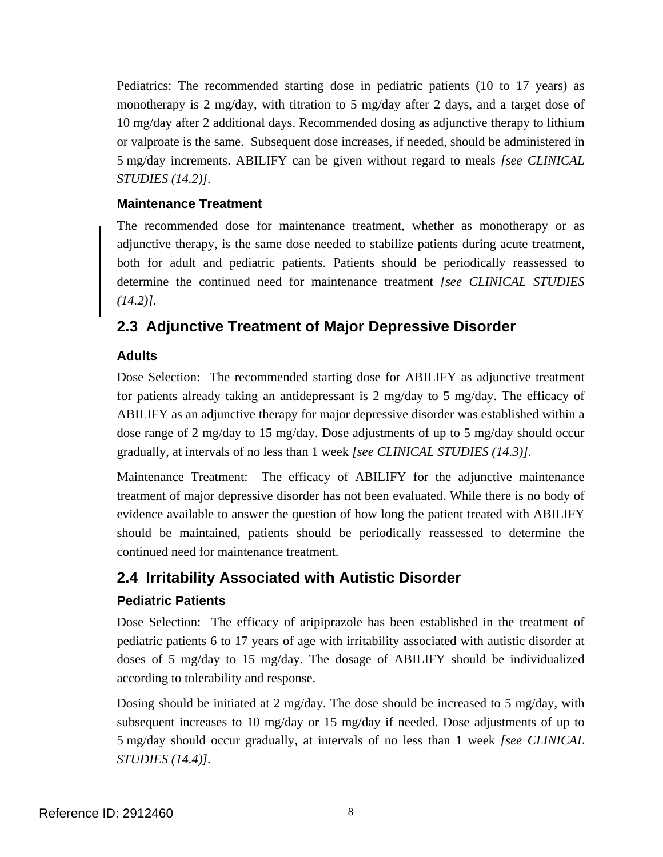<span id="page-7-0"></span>Pediatrics: The recommended starting dose in pediatric patients (10 to 17 years) as monotherapy is 2 mg/day, with titration to 5 mg/day after 2 days, and a target dose of 10 mg/day after 2 additional days. Recommended dosing as adjunctive therapy to lithium or valproate is the same. Subsequent dose increases, if needed, should be administered in 5 mg/day increments. ABILIFY can be given without regard to meals *[see CLINICAL STUDIES (14.2)].* 

## **Maintenance Treatment**

The recommended dose for maintenance treatment, whether as monotherapy or as adjunctive therapy, is the same dose needed to stabilize patients during acute treatment, both for adult and pediatric patients. Patients should be periodically reassessed to determine the continued need for maintenance treatment *[see CLINICAL STUDIES (14.2)].* 

## **2.3 Adjunctive Treatment of Major Depressive Disorder**

## **Adults**

Dose Selection: The recommended starting dose for ABILIFY as adjunctive treatment for patients already taking an antidepressant is 2 mg/day to 5 mg/day. The efficacy of ABILIFY as an adjunctive therapy for major depressive disorder was established within a dose range of 2 mg/day to 15 mg/day. Dose adjustments of up to 5 mg/day should occur gradually, at intervals of no less than 1 week *[see CLINICAL STUDIES (14.3)].* 

Maintenance Treatment: The efficacy of ABILIFY for the adjunctive maintenance treatment of major depressive disorder has not been evaluated. While there is no body of evidence available to answer the question of how long the patient treated with ABILIFY should be maintained, patients should be periodically reassessed to determine the continued need for maintenance treatment.

## **2.4 Irritability Associated with Autistic Disorder**

## **Pediatric Patients**

Dose Selection: The efficacy of aripiprazole has been established in the treatment of pediatric patients 6 to 17 years of age with irritability associated with autistic disorder at doses of 5 mg/day to 15 mg/day. The dosage of ABILIFY should be individualized according to tolerability and response.

Dosing should be initiated at 2 mg/day. The dose should be increased to 5 mg/day, with subsequent increases to 10 mg/day or 15 mg/day if needed. Dose adjustments of up to 5 mg/day should occur gradually, at intervals of no less than 1 week *[see CLINICAL STUDIES (14.4)].*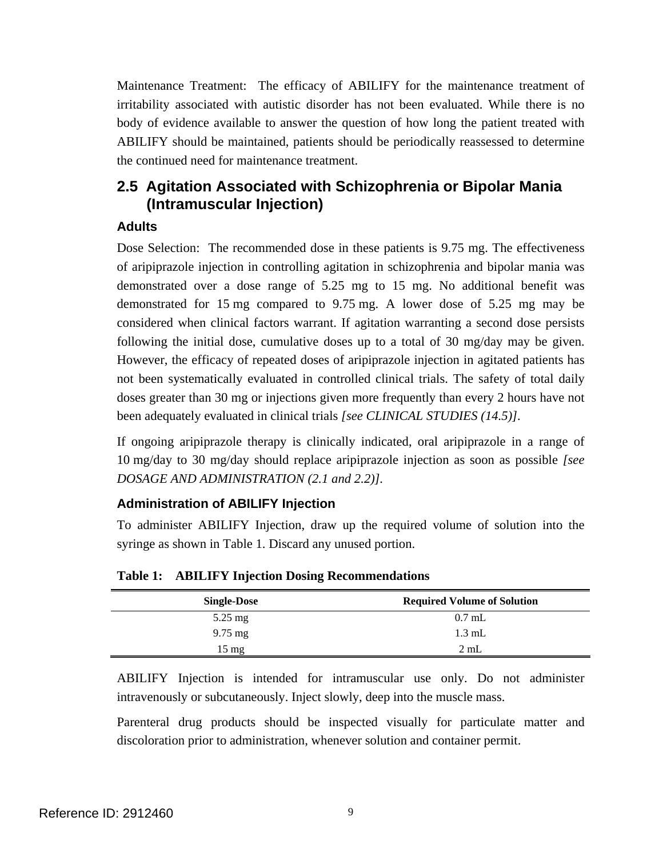<span id="page-8-0"></span>Maintenance Treatment: The efficacy of ABILIFY for the maintenance treatment of irritability associated with autistic disorder has not been evaluated. While there is no body of evidence available to answer the question of how long the patient treated with ABILIFY should be maintained, patients should be periodically reassessed to determine the continued need for maintenance treatment.

## **2.5 Agitation Associated with Schizophrenia or Bipolar Mania (Intramuscular Injection)**

## **Adults**

Dose Selection: The recommended dose in these patients is 9.75 mg. The effectiveness of aripiprazole injection in controlling agitation in schizophrenia and bipolar mania was demonstrated over a dose range of 5.25 mg to 15 mg. No additional benefit was demonstrated for 15 mg compared to 9.75 mg. A lower dose of 5.25 mg may be considered when clinical factors warrant. If agitation warranting a second dose persists following the initial dose, cumulative doses up to a total of 30 mg/day may be given. However, the efficacy of repeated doses of aripiprazole injection in agitated patients has not been systematically evaluated in controlled clinical trials. The safety of total daily doses greater than 30 mg or injections given more frequently than every 2 hours have not been adequately evaluated in clinical trials *[see CLINICAL STUDIES (14.5)]*.

If ongoing aripiprazole therapy is clinically indicated, oral aripiprazole in a range of 10 mg/day to 30 mg/day should replace aripiprazole injection as soon as possible *[see DOSAGE AND ADMINISTRATION (2.1 and 2.2)].* 

## **Administration of ABILIFY Injection**

To administer ABILIFY Injection, draw up the required volume of solution into the syringe as shown in Table 1. Discard any unused portion.

| <b>Single-Dose</b>   | <b>Required Volume of Solution</b> |
|----------------------|------------------------------------|
| $5.25 \text{ mg}$    | $0.7$ mL                           |
| $9.75 \,\mathrm{mg}$ | $1.3 \text{ mL}$                   |
| 15 mg                | 2mL                                |

**Table 1: ABILIFY Injection Dosing Recommendations** 

ABILIFY Injection is intended for intramuscular use only. Do not administer intravenously or subcutaneously. Inject slowly, deep into the muscle mass.

Parenteral drug products should be inspected visually for particulate matter and discoloration prior to administration, whenever solution and container permit.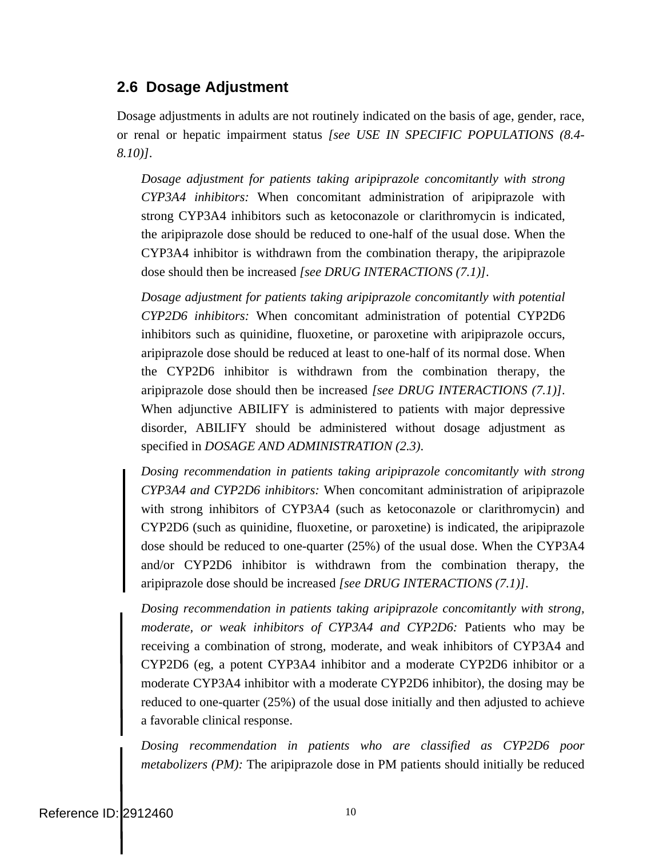## <span id="page-9-0"></span>**2.6 Dosage Adjustment**

Dosage adjustments in adults are not routinely indicated on the basis of age, gender, race, or renal or hepatic impairment status *[see USE IN SPECIFIC POPULATIONS (8.4- 8.10)]*.

*Dosage adjustment for patients taking aripiprazole concomitantly with strong CYP3A4 inhibitors:* When concomitant administration of aripiprazole with strong CYP3A4 inhibitors such as ketoconazole or clarithromycin is indicated, the aripiprazole dose should be reduced to one-half of the usual dose. When the CYP3A4 inhibitor is withdrawn from the combination therapy, the aripiprazole dose should then be increased *[see DRUG INTERACTIONS (7.1)]*.

*Dosage adjustment for patients taking aripiprazole concomitantly with potential CYP2D6 inhibitors:* When concomitant administration of potential CYP2D6 inhibitors such as quinidine, fluoxetine, or paroxetine with aripiprazole occurs, aripiprazole dose should be reduced at least to one-half of its normal dose. When the CYP2D6 inhibitor is withdrawn from the combination therapy, the aripiprazole dose should then be increased *[see DRUG INTERACTIONS (7.1)]*. When adjunctive ABILIFY is administered to patients with major depressive disorder, ABILIFY should be administered without dosage adjustment as specified in *DOSAGE AND ADMINISTRATION (2.3)*.

*Dosing recommendation in patients taking aripiprazole concomitantly with strong CYP3A4 and CYP2D6 inhibitors:* When concomitant administration of aripiprazole with strong inhibitors of CYP3A4 (such as ketoconazole or clarithromycin) and CYP2D6 (such as quinidine, fluoxetine, or paroxetine) is indicated, the aripiprazole dose should be reduced to one-quarter (25%) of the usual dose. When the CYP3A4 and/or CYP2D6 inhibitor is withdrawn from the combination therapy, the aripiprazole dose should be increased *[see DRUG INTERACTIONS (7.1)]*.

*Dosing recommendation in patients taking aripiprazole concomitantly with strong, moderate, or weak inhibitors of CYP3A4 and CYP2D6:* Patients who may be receiving a combination of strong, moderate, and weak inhibitors of CYP3A4 and CYP2D6 (eg, a potent CYP3A4 inhibitor and a moderate CYP2D6 inhibitor or a moderate CYP3A4 inhibitor with a moderate CYP2D6 inhibitor), the dosing may be reduced to one-quarter (25%) of the usual dose initially and then adjusted to achieve a favorable clinical response.

*Dosing recommendation in patients who are classified as CYP2D6 poor metabolizers (PM):* The aripiprazole dose in PM patients should initially be reduced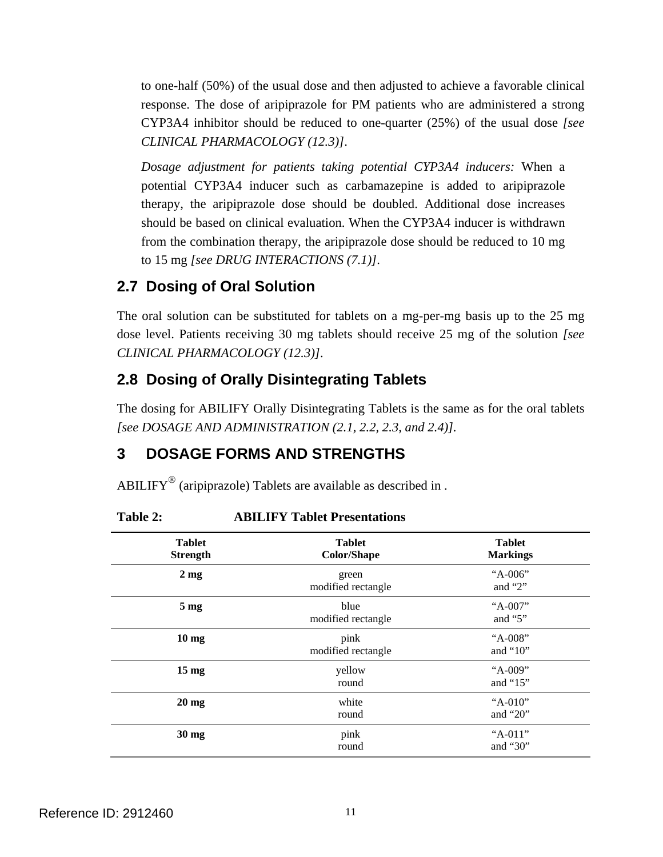<span id="page-10-0"></span>to one-half (50%) of the usual dose and then adjusted to achieve a favorable clinical response. The dose of aripiprazole for PM patients who are administered a strong CYP3A4 inhibitor should be reduced to one-quarter (25%) of the usual dose *[see CLINICAL PHARMACOLOGY (12.3)]*.

*Dosage adjustment for patients taking potential CYP3A4 inducers:* When a potential CYP3A4 inducer such as carbamazepine is added to aripiprazole therapy, the aripiprazole dose should be doubled. Additional dose increases should be based on clinical evaluation. When the CYP3A4 inducer is withdrawn from the combination therapy, the aripiprazole dose should be reduced to 10 mg to 15 mg *[see DRUG INTERACTIONS (7.1)]*.

## **2.7 Dosing of Oral Solution**

The oral solution can be substituted for tablets on a mg-per-mg basis up to the 25 mg dose level. Patients receiving 30 mg tablets should receive 25 mg of the solution *[see CLINICAL PHARMACOLOGY (12.3)]*.

## **2.8 Dosing of Orally Disintegrating Tablets**

The dosing for ABILIFY Orally Disintegrating Tablets is the same as for the oral tablets *[see DOSAGE AND ADMINISTRATION (2.1, 2.2, 2.3, and 2.4)].* 

# **3 DOSAGE FORMS AND STRENGTHS**

ABILIFY<sup>®</sup> (aripiprazole) Tablets are available as described in .

| <b>Tablet</b><br><b>Strength</b> | <b>Tablet</b><br><b>Color/Shape</b> | <b>Tablet</b><br><b>Markings</b> |
|----------------------------------|-------------------------------------|----------------------------------|
| $2 \text{ mg}$                   | green<br>modified rectangle         | "A-006"<br>and " $2$ "           |
| 5 <sub>mg</sub>                  | blue<br>modified rectangle          | "A-007"<br>and " $5$ "           |
| 10 <sub>mg</sub>                 | pink<br>modified rectangle          | "A-008"<br>and " $10$ "          |
| 15 <sub>mg</sub>                 | yellow<br>round                     | "A-009"<br>and " $15$ "          |
| $20 \text{ mg}$                  | white<br>round                      | " $A-010$ "<br>and " $20$ "      |
| $30$ mg                          | pink<br>round                       | "A-011"<br>and " $30$ "          |

**Table 2: ABILIFY Tablet Presentations**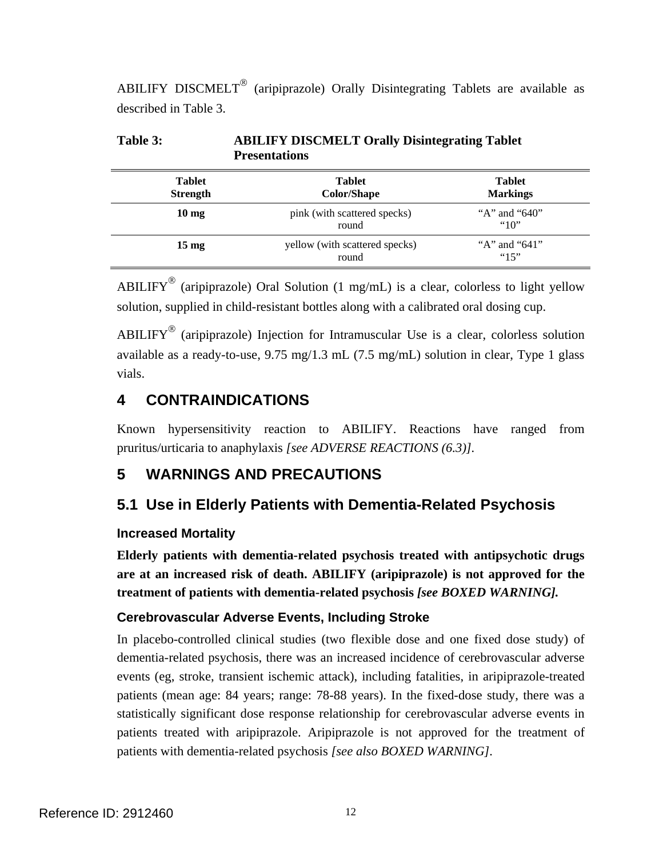<span id="page-11-0"></span>ABILIFY DISCMELT<sup>®</sup> (aripiprazole) Orally Disintegrating Tablets are available as described in Table 3.

| <b>Tablet</b><br><b>Strength</b> | <b>Tablet</b><br>Color/Shape            | <b>Tablet</b><br><b>Markings</b> |  |
|----------------------------------|-----------------------------------------|----------------------------------|--|
| $10 \text{ mg}$                  | pink (with scattered specks)<br>round   | "A" and " $640$ "<br>"10"        |  |
| $15 \text{ mg}$                  | yellow (with scattered specks)<br>round | "A" and " $641$ "<br>"15"        |  |

**Table 3: ABILIFY DISCMELT Orally Disintegrating Tablet Presentations** 

ABILIFY<sup>®</sup> (aripiprazole) Oral Solution (1 mg/mL) is a clear, colorless to light yellow solution, supplied in child-resistant bottles along with a calibrated oral dosing cup.

ABILIFY<sup>®</sup> (aripiprazole) Injection for Intramuscular Use is a clear, colorless solution available as a ready-to-use, 9.75 mg/1.3 mL (7.5 mg/mL) solution in clear, Type 1 glass vials.

## **4 CONTRAINDICATIONS**

Known hypersensitivity reaction to ABILIFY. Reactions have ranged from pruritus/urticaria to anaphylaxis *[see ADVERSE REACTIONS (6.3)].* 

# **5 WARNINGS AND PRECAUTIONS**

# **5.1 Use in Elderly Patients with Dementia-Related Psychosis**

## **Increased Mortality**

**Elderly patients with dementia-related psychosis treated with antipsychotic drugs are at an increased risk of death. ABILIFY (aripiprazole) is not approved for the treatment of patients with dementia-related psychosis** *[see BOXED WARNING].* 

## **Cerebrovascular Adverse Events, Including Stroke**

In placebo-controlled clinical studies (two flexible dose and one fixed dose study) of dementia-related psychosis, there was an increased incidence of cerebrovascular adverse events (eg, stroke, transient ischemic attack), including fatalities, in aripiprazole-treated patients (mean age: 84 years; range: 78-88 years). In the fixed-dose study, there was a statistically significant dose response relationship for cerebrovascular adverse events in patients treated with aripiprazole. Aripiprazole is not approved for the treatment of patients with dementia-related psychosis *[see also BOXED WARNING].*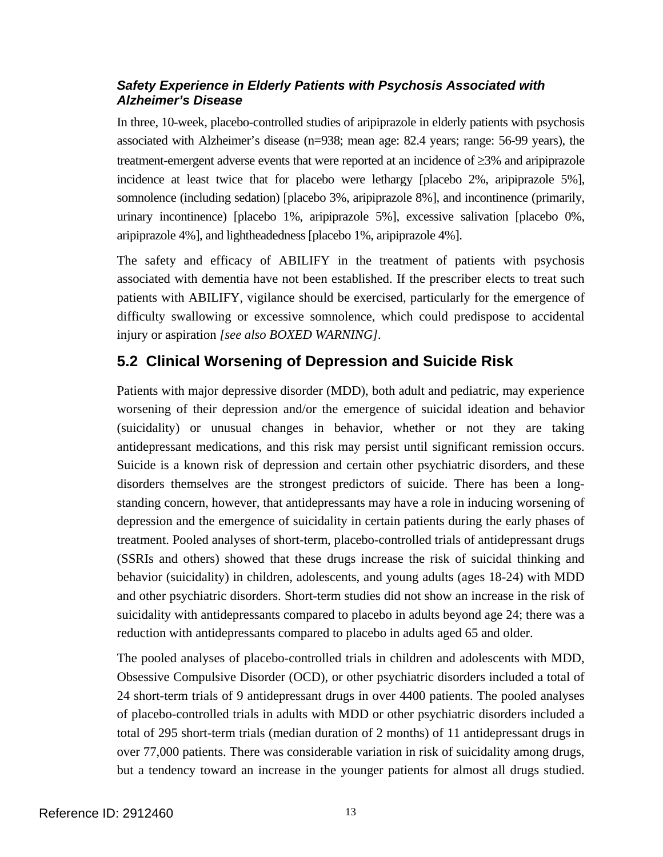## <span id="page-12-0"></span>*Safety Experience in Elderly Patients with Psychosis Associated with Alzheimer's Disease*

In three, 10-week, placebo-controlled studies of aripiprazole in elderly patients with psychosis associated with Alzheimer's disease (n=938; mean age: 82.4 years; range: 56-99 years), the treatment-emergent adverse events that were reported at an incidence of ≥3% and aripiprazole incidence at least twice that for placebo were lethargy [placebo 2%, aripiprazole 5%], somnolence (including sedation) [placebo 3%, aripiprazole 8%], and incontinence (primarily, urinary incontinence) [placebo 1%, aripiprazole 5%], excessive salivation [placebo 0%, aripiprazole 4%], and lightheadedness [placebo 1%, aripiprazole 4%].

The safety and efficacy of ABILIFY in the treatment of patients with psychosis associated with dementia have not been established. If the prescriber elects to treat such patients with ABILIFY, vigilance should be exercised, particularly for the emergence of difficulty swallowing or excessive somnolence, which could predispose to accidental injury or aspiration *[see also BOXED WARNING].* 

## **5.2 Clinical Worsening of Depression and Suicide Risk**

Patients with major depressive disorder (MDD), both adult and pediatric, may experience worsening of their depression and/or the emergence of suicidal ideation and behavior (suicidality) or unusual changes in behavior, whether or not they are taking antidepressant medications, and this risk may persist until significant remission occurs. Suicide is a known risk of depression and certain other psychiatric disorders, and these disorders themselves are the strongest predictors of suicide. There has been a longstanding concern, however, that antidepressants may have a role in inducing worsening of depression and the emergence of suicidality in certain patients during the early phases of treatment. Pooled analyses of short-term, placebo-controlled trials of antidepressant drugs (SSRIs and others) showed that these drugs increase the risk of suicidal thinking and behavior (suicidality) in children, adolescents, and young adults (ages 18-24) with MDD and other psychiatric disorders. Short-term studies did not show an increase in the risk of suicidality with antidepressants compared to placebo in adults beyond age 24; there was a reduction with antidepressants compared to placebo in adults aged 65 and older.

The pooled analyses of placebo-controlled trials in children and adolescents with MDD, Obsessive Compulsive Disorder (OCD), or other psychiatric disorders included a total of 24 short-term trials of 9 antidepressant drugs in over 4400 patients. The pooled analyses of placebo-controlled trials in adults with MDD or other psychiatric disorders included a total of 295 short-term trials (median duration of 2 months) of 11 antidepressant drugs in over 77,000 patients. There was considerable variation in risk of suicidality among drugs, but a tendency toward an increase in the younger patients for almost all drugs studied.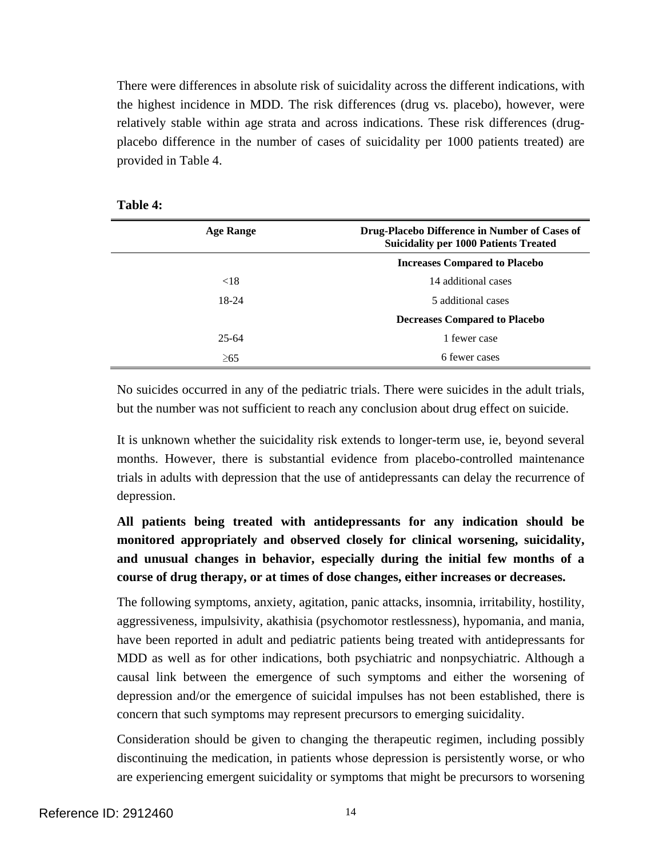There were differences in absolute risk of suicidality across the different indications, with the highest incidence in MDD. The risk differences (drug vs. placebo), however, were relatively stable within age strata and across indications. These risk differences (drugplacebo difference in the number of cases of suicidality per 1000 patients treated) are provided in Table 4.

| 'able |  |
|-------|--|
|-------|--|

| Drug-Placebo Difference in Number of Cases of<br><b>Suicidality per 1000 Patients Treated</b> |  |
|-----------------------------------------------------------------------------------------------|--|
| <b>Increases Compared to Placebo</b>                                                          |  |
| 14 additional cases                                                                           |  |
| 5 additional cases                                                                            |  |
| <b>Decreases Compared to Placebo</b>                                                          |  |
| 1 fewer case                                                                                  |  |
| 6 fewer cases                                                                                 |  |
|                                                                                               |  |

No suicides occurred in any of the pediatric trials. There were suicides in the adult trials, but the number was not sufficient to reach any conclusion about drug effect on suicide.

It is unknown whether the suicidality risk extends to longer-term use, ie, beyond several months. However, there is substantial evidence from placebo-controlled maintenance trials in adults with depression that the use of antidepressants can delay the recurrence of depression.

**All patients being treated with antidepressants for any indication should be monitored appropriately and observed closely for clinical worsening, suicidality, and unusual changes in behavior, especially during the initial few months of a course of drug therapy, or at times of dose changes, either increases or decreases.** 

The following symptoms, anxiety, agitation, panic attacks, insomnia, irritability, hostility, aggressiveness, impulsivity, akathisia (psychomotor restlessness), hypomania, and mania, have been reported in adult and pediatric patients being treated with antidepressants for MDD as well as for other indications, both psychiatric and nonpsychiatric. Although a causal link between the emergence of such symptoms and either the worsening of depression and/or the emergence of suicidal impulses has not been established, there is concern that such symptoms may represent precursors to emerging suicidality.

Consideration should be given to changing the therapeutic regimen, including possibly discontinuing the medication, in patients whose depression is persistently worse, or who are experiencing emergent suicidality or symptoms that might be precursors to worsening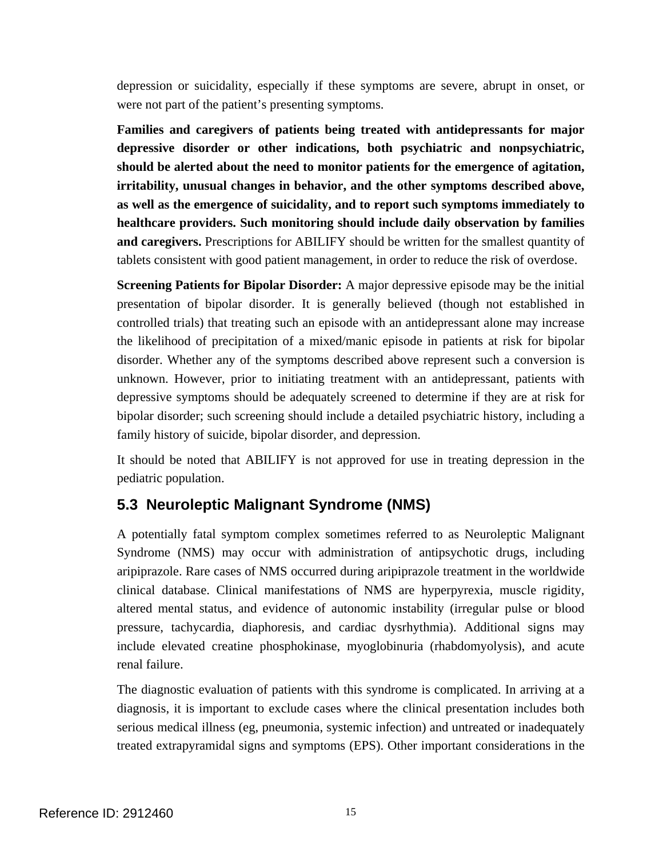<span id="page-14-0"></span>depression or suicidality, especially if these symptoms are severe, abrupt in onset, or were not part of the patient's presenting symptoms.

**Families and caregivers of patients being treated with antidepressants for major depressive disorder or other indications, both psychiatric and nonpsychiatric, should be alerted about the need to monitor patients for the emergence of agitation, irritability, unusual changes in behavior, and the other symptoms described above, as well as the emergence of suicidality, and to report such symptoms immediately to healthcare providers. Such monitoring should include daily observation by families and caregivers.** Prescriptions for ABILIFY should be written for the smallest quantity of tablets consistent with good patient management, in order to reduce the risk of overdose.

**Screening Patients for Bipolar Disorder:** A major depressive episode may be the initial presentation of bipolar disorder. It is generally believed (though not established in controlled trials) that treating such an episode with an antidepressant alone may increase the likelihood of precipitation of a mixed/manic episode in patients at risk for bipolar disorder. Whether any of the symptoms described above represent such a conversion is unknown. However, prior to initiating treatment with an antidepressant, patients with depressive symptoms should be adequately screened to determine if they are at risk for bipolar disorder; such screening should include a detailed psychiatric history, including a family history of suicide, bipolar disorder, and depression.

It should be noted that ABILIFY is not approved for use in treating depression in the pediatric population.

## **5.3 Neuroleptic Malignant Syndrome (NMS)**

A potentially fatal symptom complex sometimes referred to as Neuroleptic Malignant Syndrome (NMS) may occur with administration of antipsychotic drugs, including aripiprazole. Rare cases of NMS occurred during aripiprazole treatment in the worldwide clinical database. Clinical manifestations of NMS are hyperpyrexia, muscle rigidity, altered mental status, and evidence of autonomic instability (irregular pulse or blood pressure, tachycardia, diaphoresis, and cardiac dysrhythmia). Additional signs may include elevated creatine phosphokinase, myoglobinuria (rhabdomyolysis), and acute renal failure.

The diagnostic evaluation of patients with this syndrome is complicated. In arriving at a diagnosis, it is important to exclude cases where the clinical presentation includes both serious medical illness (eg, pneumonia, systemic infection) and untreated or inadequately treated extrapyramidal signs and symptoms (EPS). Other important considerations in the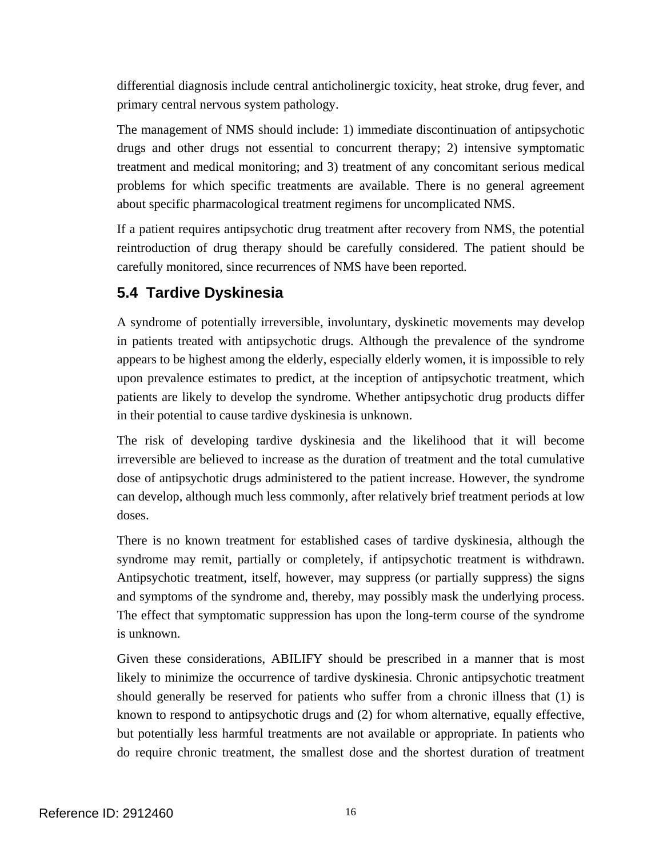<span id="page-15-0"></span>differential diagnosis include central anticholinergic toxicity, heat stroke, drug fever, and primary central nervous system pathology.

The management of NMS should include: 1) immediate discontinuation of antipsychotic drugs and other drugs not essential to concurrent therapy; 2) intensive symptomatic treatment and medical monitoring; and 3) treatment of any concomitant serious medical problems for which specific treatments are available. There is no general agreement about specific pharmacological treatment regimens for uncomplicated NMS.

If a patient requires antipsychotic drug treatment after recovery from NMS, the potential reintroduction of drug therapy should be carefully considered. The patient should be carefully monitored, since recurrences of NMS have been reported.

## **5.4 Tardive Dyskinesia**

A syndrome of potentially irreversible, involuntary, dyskinetic movements may develop in patients treated with antipsychotic drugs. Although the prevalence of the syndrome appears to be highest among the elderly, especially elderly women, it is impossible to rely upon prevalence estimates to predict, at the inception of antipsychotic treatment, which patients are likely to develop the syndrome. Whether antipsychotic drug products differ in their potential to cause tardive dyskinesia is unknown.

The risk of developing tardive dyskinesia and the likelihood that it will become irreversible are believed to increase as the duration of treatment and the total cumulative dose of antipsychotic drugs administered to the patient increase. However, the syndrome can develop, although much less commonly, after relatively brief treatment periods at low doses.

There is no known treatment for established cases of tardive dyskinesia, although the syndrome may remit, partially or completely, if antipsychotic treatment is withdrawn. Antipsychotic treatment, itself, however, may suppress (or partially suppress) the signs and symptoms of the syndrome and, thereby, may possibly mask the underlying process. The effect that symptomatic suppression has upon the long-term course of the syndrome is unknown.

Given these considerations, ABILIFY should be prescribed in a manner that is most likely to minimize the occurrence of tardive dyskinesia. Chronic antipsychotic treatment should generally be reserved for patients who suffer from a chronic illness that (1) is known to respond to antipsychotic drugs and (2) for whom alternative, equally effective, but potentially less harmful treatments are not available or appropriate. In patients who do require chronic treatment, the smallest dose and the shortest duration of treatment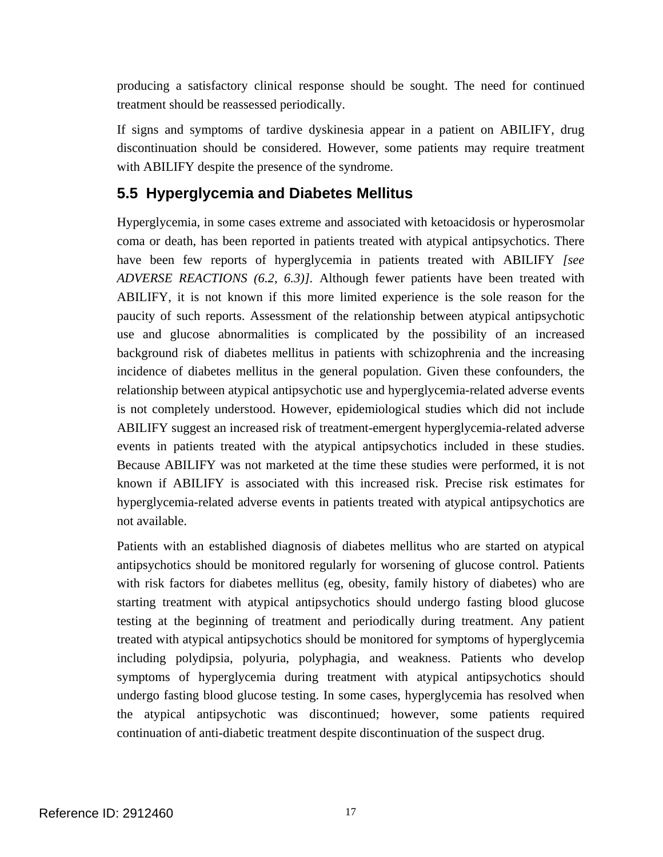<span id="page-16-0"></span>producing a satisfactory clinical response should be sought. The need for continued treatment should be reassessed periodically.

If signs and symptoms of tardive dyskinesia appear in a patient on ABILIFY, drug discontinuation should be considered. However, some patients may require treatment with ABILIFY despite the presence of the syndrome.

## **5.5 Hyperglycemia and Diabetes Mellitus**

Hyperglycemia, in some cases extreme and associated with ketoacidosis or hyperosmolar coma or death, has been reported in patients treated with atypical antipsychotics. There have been few reports of hyperglycemia in patients treated with ABILIFY *[see ADVERSE REACTIONS (6.2, 6.3)].* Although fewer patients have been treated with ABILIFY, it is not known if this more limited experience is the sole reason for the paucity of such reports. Assessment of the relationship between atypical antipsychotic use and glucose abnormalities is complicated by the possibility of an increased background risk of diabetes mellitus in patients with schizophrenia and the increasing incidence of diabetes mellitus in the general population. Given these confounders, the relationship between atypical antipsychotic use and hyperglycemia-related adverse events is not completely understood. However, epidemiological studies which did not include ABILIFY suggest an increased risk of treatment-emergent hyperglycemia-related adverse events in patients treated with the atypical antipsychotics included in these studies. Because ABILIFY was not marketed at the time these studies were performed, it is not known if ABILIFY is associated with this increased risk. Precise risk estimates for hyperglycemia-related adverse events in patients treated with atypical antipsychotics are not available.

Patients with an established diagnosis of diabetes mellitus who are started on atypical antipsychotics should be monitored regularly for worsening of glucose control. Patients with risk factors for diabetes mellitus (eg, obesity, family history of diabetes) who are starting treatment with atypical antipsychotics should undergo fasting blood glucose testing at the beginning of treatment and periodically during treatment. Any patient treated with atypical antipsychotics should be monitored for symptoms of hyperglycemia including polydipsia, polyuria, polyphagia, and weakness. Patients who develop symptoms of hyperglycemia during treatment with atypical antipsychotics should undergo fasting blood glucose testing. In some cases, hyperglycemia has resolved when the atypical antipsychotic was discontinued; however, some patients required continuation of anti-diabetic treatment despite discontinuation of the suspect drug.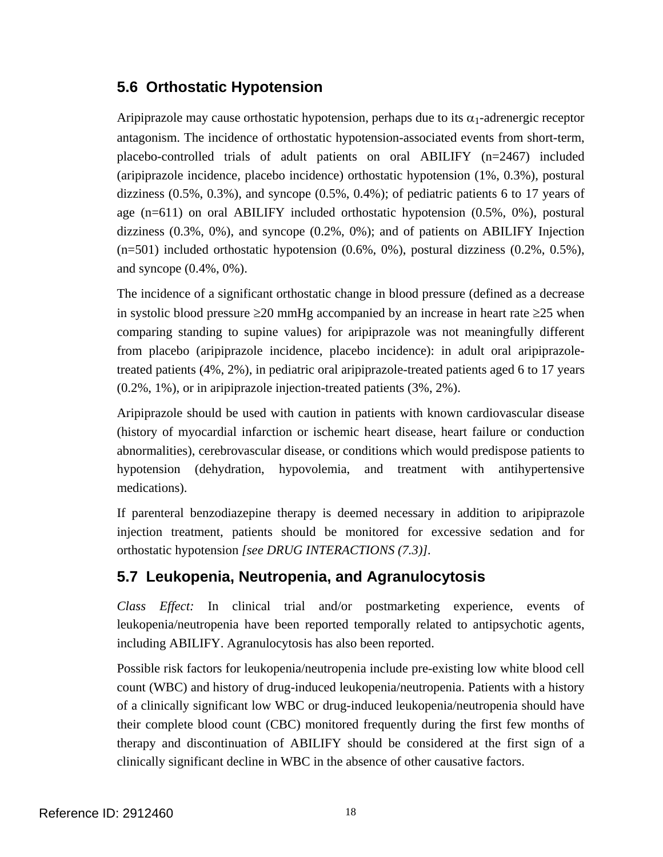## <span id="page-17-0"></span>**5.6 Orthostatic Hypotension**

Aripiprazole may cause orthostatic hypotension, perhaps due to its  $\alpha_1$ -adrenergic receptor antagonism. The incidence of orthostatic hypotension-associated events from short-term, placebo-controlled trials of adult patients on oral ABILIFY (n=2467) included (aripiprazole incidence, placebo incidence) orthostatic hypotension (1%, 0.3%), postural dizziness  $(0.5\%, 0.3\%)$ , and syncope  $(0.5\%, 0.4\%)$ ; of pediatric patients 6 to 17 years of age (n=611) on oral ABILIFY included orthostatic hypotension (0.5%, 0%), postural dizziness (0.3%, 0%), and syncope (0.2%, 0%); and of patients on ABILIFY Injection (n=501) included orthostatic hypotension (0.6%, 0%), postural dizziness (0.2%, 0.5%), and syncope (0.4%, 0%).

The incidence of a significant orthostatic change in blood pressure (defined as a decrease in systolic blood pressure  $\geq$ 20 mmHg accompanied by an increase in heart rate  $\geq$ 25 when comparing standing to supine values) for aripiprazole was not meaningfully different from placebo (aripiprazole incidence, placebo incidence): in adult oral aripiprazoletreated patients (4%, 2%), in pediatric oral aripiprazole-treated patients aged 6 to 17 years (0.2%, 1%), or in aripiprazole injection-treated patients (3%, 2%).

Aripiprazole should be used with caution in patients with known cardiovascular disease (history of myocardial infarction or ischemic heart disease, heart failure or conduction abnormalities), cerebrovascular disease, or conditions which would predispose patients to hypotension (dehydration, hypovolemia, and treatment with antihypertensive medications).

If parenteral benzodiazepine therapy is deemed necessary in addition to aripiprazole injection treatment, patients should be monitored for excessive sedation and for orthostatic hypotension *[see DRUG INTERACTIONS (7.3)].* 

## **5.7 Leukopenia, Neutropenia, and Agranulocytosis**

*Class Effect:* In clinical trial and/or postmarketing experience, events of leukopenia/neutropenia have been reported temporally related to antipsychotic agents, including ABILIFY. Agranulocytosis has also been reported.

Possible risk factors for leukopenia/neutropenia include pre-existing low white blood cell count (WBC) and history of drug-induced leukopenia/neutropenia. Patients with a history of a clinically significant low WBC or drug-induced leukopenia/neutropenia should have their complete blood count (CBC) monitored frequently during the first few months of therapy and discontinuation of ABILIFY should be considered at the first sign of a clinically significant decline in WBC in the absence of other causative factors.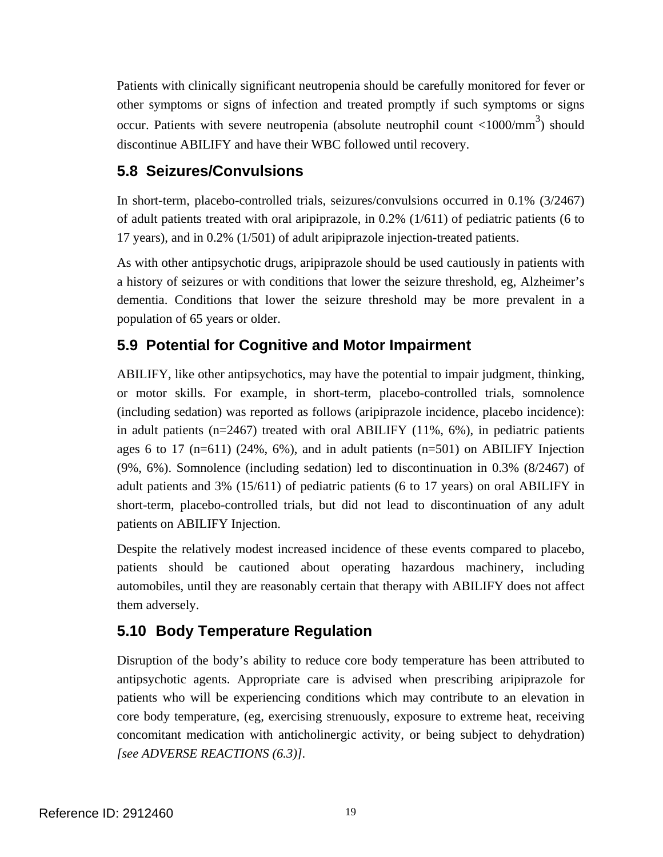<span id="page-18-0"></span>Patients with clinically significant neutropenia should be carefully monitored for fever or other symptoms or signs of infection and treated promptly if such symptoms or signs occur. Patients with severe neutropenia (absolute neutrophil count  $\langle 1000/\text{mm}^3 \rangle$  should discontinue ABILIFY and have their WBC followed until recovery.

## **5.8 Seizures/Convulsions**

In short-term, placebo-controlled trials, seizures/convulsions occurred in 0.1% (3/2467) of adult patients treated with oral aripiprazole, in 0.2% (1/611) of pediatric patients (6 to 17 years), and in 0.2% (1/501) of adult aripiprazole injection-treated patients.

As with other antipsychotic drugs, aripiprazole should be used cautiously in patients with a history of seizures or with conditions that lower the seizure threshold, eg, Alzheimer's dementia. Conditions that lower the seizure threshold may be more prevalent in a population of 65 years or older.

## **5.9 Potential for Cognitive and Motor Impairment**

ABILIFY, like other antipsychotics, may have the potential to impair judgment, thinking, or motor skills. For example, in short-term, placebo-controlled trials, somnolence (including sedation) was reported as follows (aripiprazole incidence, placebo incidence): in adult patients (n=2467) treated with oral ABILIFY (11%, 6%), in pediatric patients ages 6 to 17 ( $n=611$ ) (24%, 6%), and in adult patients ( $n=501$ ) on ABILIFY Injection (9%, 6%). Somnolence (including sedation) led to discontinuation in 0.3% (8/2467) of adult patients and 3% (15/611) of pediatric patients (6 to 17 years) on oral ABILIFY in short-term, placebo-controlled trials, but did not lead to discontinuation of any adult patients on ABILIFY Injection.

Despite the relatively modest increased incidence of these events compared to placebo, patients should be cautioned about operating hazardous machinery, including automobiles, until they are reasonably certain that therapy with ABILIFY does not affect them adversely.

## **5.10 Body Temperature Regulation**

Disruption of the body's ability to reduce core body temperature has been attributed to antipsychotic agents. Appropriate care is advised when prescribing aripiprazole for patients who will be experiencing conditions which may contribute to an elevation in core body temperature, (eg, exercising strenuously, exposure to extreme heat, receiving concomitant medication with anticholinergic activity, or being subject to dehydration) *[see ADVERSE REACTIONS (6.3)].*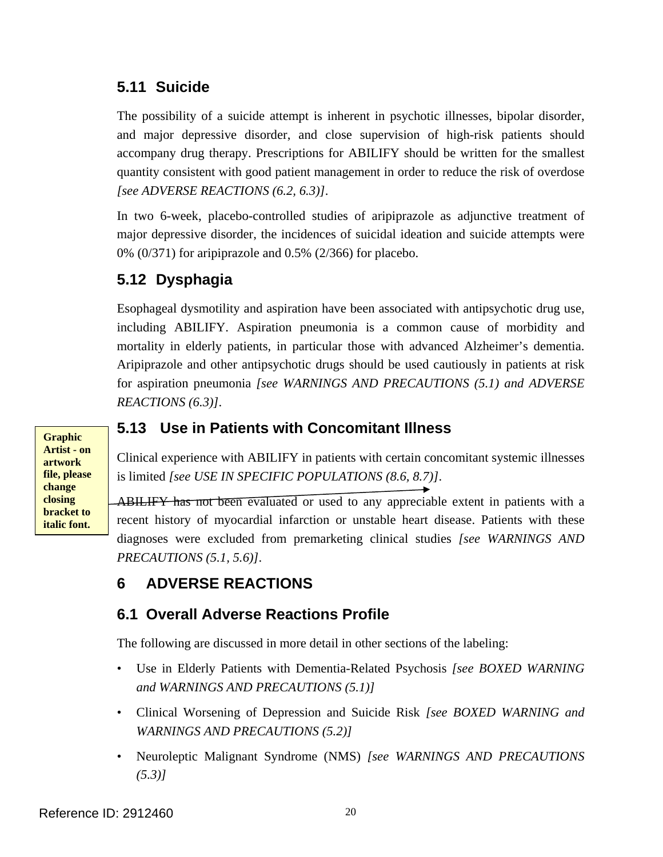## <span id="page-19-0"></span>**5.11 Suicide**

The possibility of a suicide attempt is inherent in psychotic illnesses, bipolar disorder, and major depressive disorder, and close supervision of high-risk patients should accompany drug therapy. Prescriptions for ABILIFY should be written for the smallest quantity consistent with good patient management in order to reduce the risk of overdose *[see ADVERSE REACTIONS (6.2, 6.3)]*.

In two 6-week, placebo-controlled studies of aripiprazole as adjunctive treatment of major depressive disorder, the incidences of suicidal ideation and suicide attempts were 0% (0/371) for aripiprazole and 0.5% (2/366) for placebo.

# **5.12 Dysphagia**

Esophageal dysmotility and aspiration have been associated with antipsychotic drug use, including ABILIFY. Aspiration pneumonia is a common cause of morbidity and mortality in elderly patients, in particular those with advanced Alzheimer's dementia. Aripiprazole and other antipsychotic drugs should be used cautiously in patients at risk for aspiration pneumonia *[see WARNINGS AND PRECAUTIONS (5.1) and ADVERSE REACTIONS (6.3)]*.

**Graphic Artist - on artwork file, please change closing bracket to italic font.** 

## **5.13 Use in Patients with Concomitant Illness**

Clinical experience with ABILIFY in patients with certain concomitant systemic illnesses is limited *[see USE IN SPECIFIC POPULATIONS (8.6, 8.7)]*.

*PRECAUTIONS (5.1, 5.6)]*. ABILIFY has not been evaluated or used to any appreciable extent in patients with a recent history of myocardial infarction or unstable heart disease. Patients with these diagnoses were excluded from premarketing clinical studies *[see WARNINGS AND* 

## **6 ADVERSE REACTIONS**

## **6.1 Overall Adverse Reactions Profile**

The following are discussed in more detail in other sections of the labeling:

- Use in Elderly Patients with Dementia-Related Psychosis *[see BOXED WARNING and WARNINGS AND PRECAUTIONS (5.1)]*
- Clinical Worsening of Depression and Suicide Risk *[see BOXED WARNING and WARNINGS AND PRECAUTIONS (5.2)]*
- Neuroleptic Malignant Syndrome (NMS) *[see WARNINGS AND PRECAUTIONS (5.3)]*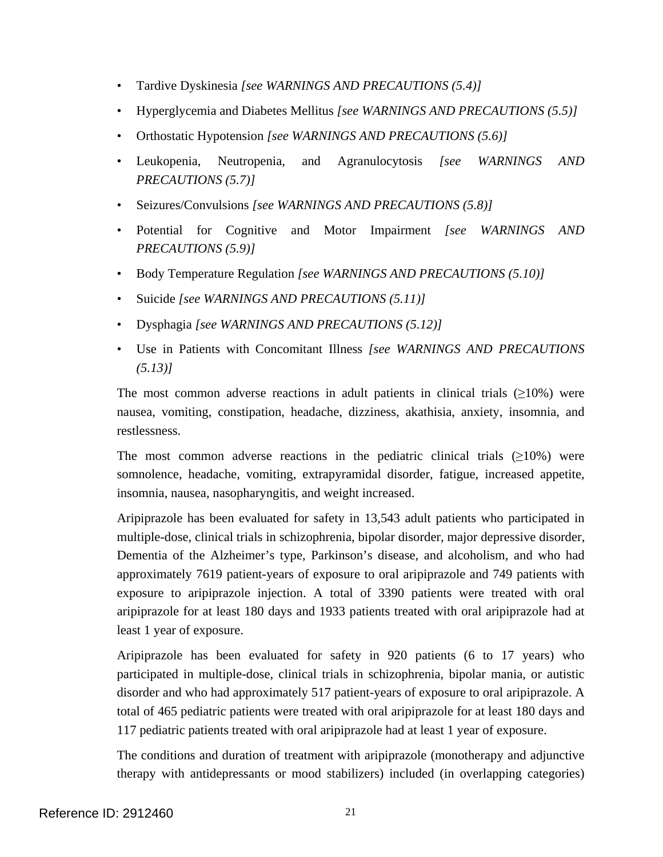- Tardive Dyskinesia *[see WARNINGS AND PRECAUTIONS (5.4)]*
- Hyperglycemia and Diabetes Mellitus *[see WARNINGS AND PRECAUTIONS (5.5)]*
- Orthostatic Hypotension *[see WARNINGS AND PRECAUTIONS (5.6)]*
- Leukopenia, Neutropenia, and Agranulocytosis *[see WARNINGS AND PRECAUTIONS (5.7)]*
- Seizures/Convulsions *[see WARNINGS AND PRECAUTIONS (5.8)]*
- Potential for Cognitive and Motor Impairment *[see WARNINGS AND PRECAUTIONS (5.9)]*
- Body Temperature Regulation *[see WARNINGS AND PRECAUTIONS (5.10)]*
- Suicide *[see WARNINGS AND PRECAUTIONS (5.11)]*
- Dysphagia *[see WARNINGS AND PRECAUTIONS (5.12)]*
- Use in Patients with Concomitant Illness *[see WARNINGS AND PRECAUTIONS (5.13)]*

The most common adverse reactions in adult patients in clinical trials  $(\geq 10\%)$  were nausea, vomiting, constipation, headache, dizziness, akathisia, anxiety, insomnia, and restlessness.

The most common adverse reactions in the pediatric clinical trials  $(\geq 10\%)$  were somnolence, headache, vomiting, extrapyramidal disorder, fatigue, increased appetite, insomnia, nausea, nasopharyngitis, and weight increased.

Aripiprazole has been evaluated for safety in 13,543 adult patients who participated in multiple-dose, clinical trials in schizophrenia, bipolar disorder, major depressive disorder, Dementia of the Alzheimer's type, Parkinson's disease, and alcoholism, and who had approximately 7619 patient-years of exposure to oral aripiprazole and 749 patients with exposure to aripiprazole injection. A total of 3390 patients were treated with oral aripiprazole for at least 180 days and 1933 patients treated with oral aripiprazole had at least 1 year of exposure.

Aripiprazole has been evaluated for safety in 920 patients (6 to 17 years) who participated in multiple-dose, clinical trials in schizophrenia, bipolar mania, or autistic disorder and who had approximately 517 patient-years of exposure to oral aripiprazole. A total of 465 pediatric patients were treated with oral aripiprazole for at least 180 days and 117 pediatric patients treated with oral aripiprazole had at least 1 year of exposure.

The conditions and duration of treatment with aripiprazole (monotherapy and adjunctive therapy with antidepressants or mood stabilizers) included (in overlapping categories)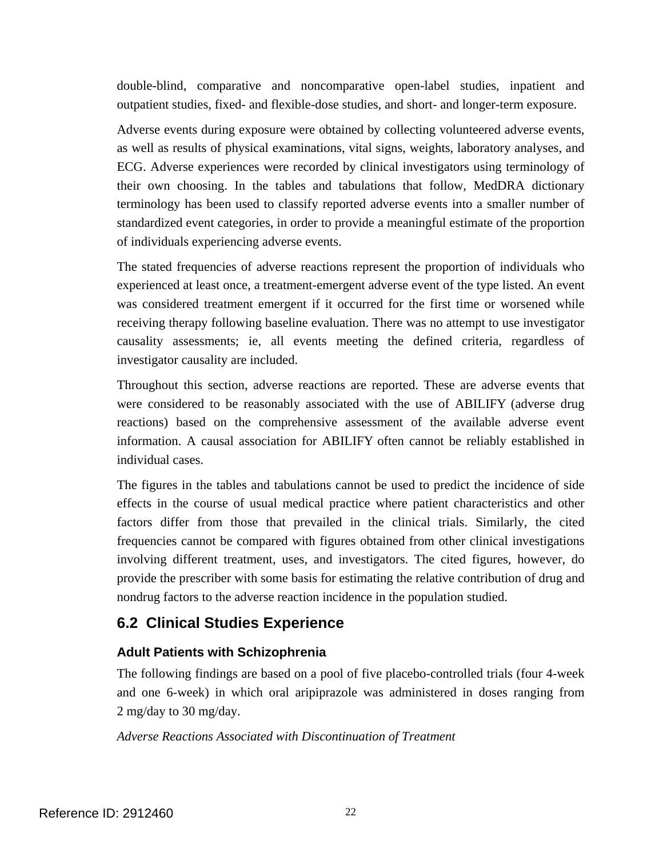<span id="page-21-0"></span>double-blind, comparative and noncomparative open-label studies, inpatient and outpatient studies, fixed- and flexible-dose studies, and short- and longer-term exposure.

Adverse events during exposure were obtained by collecting volunteered adverse events, as well as results of physical examinations, vital signs, weights, laboratory analyses, and ECG. Adverse experiences were recorded by clinical investigators using terminology of their own choosing. In the tables and tabulations that follow, MedDRA dictionary terminology has been used to classify reported adverse events into a smaller number of standardized event categories, in order to provide a meaningful estimate of the proportion of individuals experiencing adverse events.

The stated frequencies of adverse reactions represent the proportion of individuals who experienced at least once, a treatment-emergent adverse event of the type listed. An event was considered treatment emergent if it occurred for the first time or worsened while receiving therapy following baseline evaluation. There was no attempt to use investigator causality assessments; ie, all events meeting the defined criteria, regardless of investigator causality are included.

Throughout this section, adverse reactions are reported. These are adverse events that were considered to be reasonably associated with the use of ABILIFY (adverse drug reactions) based on the comprehensive assessment of the available adverse event information. A causal association for ABILIFY often cannot be reliably established in individual cases.

The figures in the tables and tabulations cannot be used to predict the incidence of side effects in the course of usual medical practice where patient characteristics and other factors differ from those that prevailed in the clinical trials. Similarly, the cited frequencies cannot be compared with figures obtained from other clinical investigations involving different treatment, uses, and investigators. The cited figures, however, do provide the prescriber with some basis for estimating the relative contribution of drug and nondrug factors to the adverse reaction incidence in the population studied.

## **6.2 Clinical Studies Experience**

## **Adult Patients with Schizophrenia**

The following findings are based on a pool of five placebo-controlled trials (four 4-week and one 6-week) in which oral aripiprazole was administered in doses ranging from 2 mg/day to 30 mg/day.

*Adverse Reactions Associated with Discontinuation of Treatment*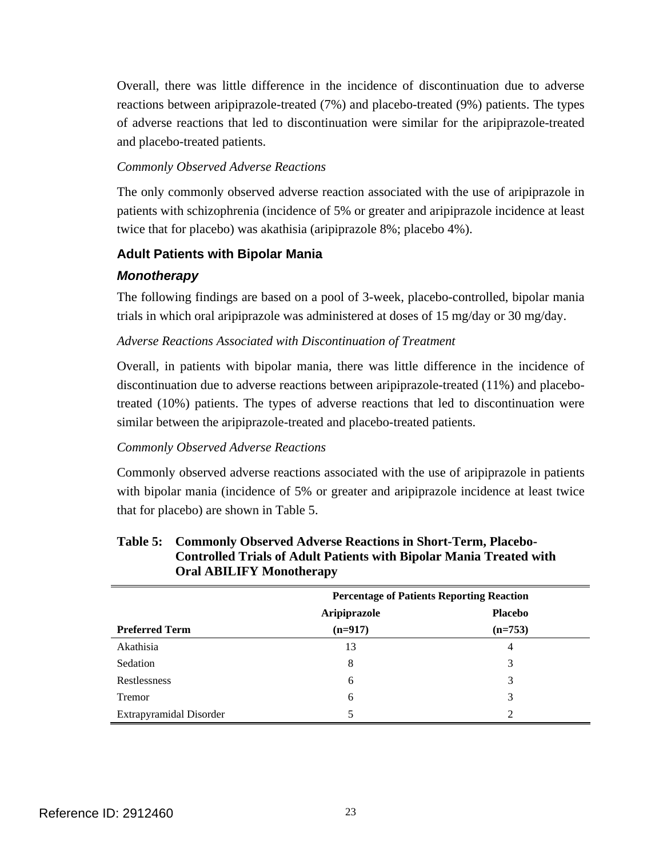Overall, there was little difference in the incidence of discontinuation due to adverse reactions between aripiprazole-treated (7%) and placebo-treated (9%) patients. The types of adverse reactions that led to discontinuation were similar for the aripiprazole-treated and placebo-treated patients.

#### *Commonly Observed Adverse Reactions*

The only commonly observed adverse reaction associated with the use of aripiprazole in patients with schizophrenia (incidence of 5% or greater and aripiprazole incidence at least twice that for placebo) was akathisia (aripiprazole 8%; placebo 4%).

### **Adult Patients with Bipolar Mania**

### *Monotherapy*

The following findings are based on a pool of 3-week, placebo-controlled, bipolar mania trials in which oral aripiprazole was administered at doses of  $15 \text{ mg/day}$  or  $30 \text{ mg/day}$ .

### *Adverse Reactions Associated with Discontinuation of Treatment*

Overall, in patients with bipolar mania, there was little difference in the incidence of discontinuation due to adverse reactions between aripiprazole-treated (11%) and placebotreated (10%) patients. The types of adverse reactions that led to discontinuation were similar between the aripiprazole-treated and placebo-treated patients.

### *Commonly Observed Adverse Reactions*

Commonly observed adverse reactions associated with the use of aripiprazole in patients with bipolar mania (incidence of 5% or greater and aripiprazole incidence at least twice that for placebo) are shown in Table 5.

|                         | <b>Percentage of Patients Reporting Reaction</b> |                |
|-------------------------|--------------------------------------------------|----------------|
|                         | Aripiprazole                                     | <b>Placebo</b> |
| <b>Preferred Term</b>   | $(n=917)$                                        | $(n=753)$      |
| Akathisia               | 13                                               | 4              |
| Sedation                | 8                                                | 3              |
| Restlessness            | 6                                                | 3              |
| <b>Tremor</b>           | 6                                                | 3              |
| Extrapyramidal Disorder |                                                  | 2              |

#### **Table 5: Commonly Observed Adverse Reactions in Short-Term, Placebo-Controlled Trials of Adult Patients with Bipolar Mania Treated with Oral ABILIFY Monotherapy**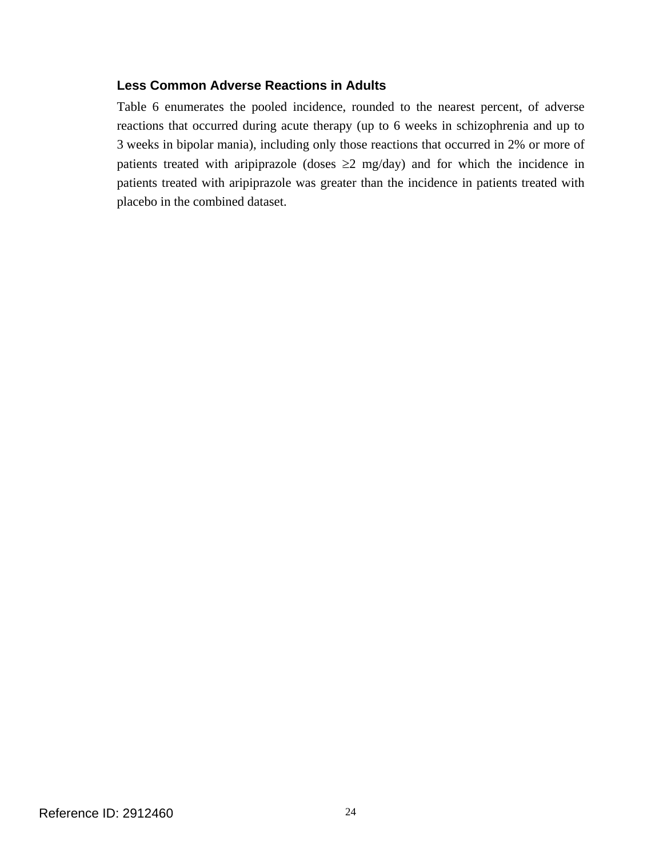### **Less Common Adverse Reactions in Adults**

Table 6 enumerates the pooled incidence, rounded to the nearest percent, of adverse reactions that occurred during acute therapy (up to 6 weeks in schizophrenia and up to 3 weeks in bipolar mania), including only those reactions that occurred in 2% or more of patients treated with aripiprazole (doses  $\geq 2$  mg/day) and for which the incidence in patients treated with aripiprazole was greater than the incidence in patients treated with placebo in the combined dataset.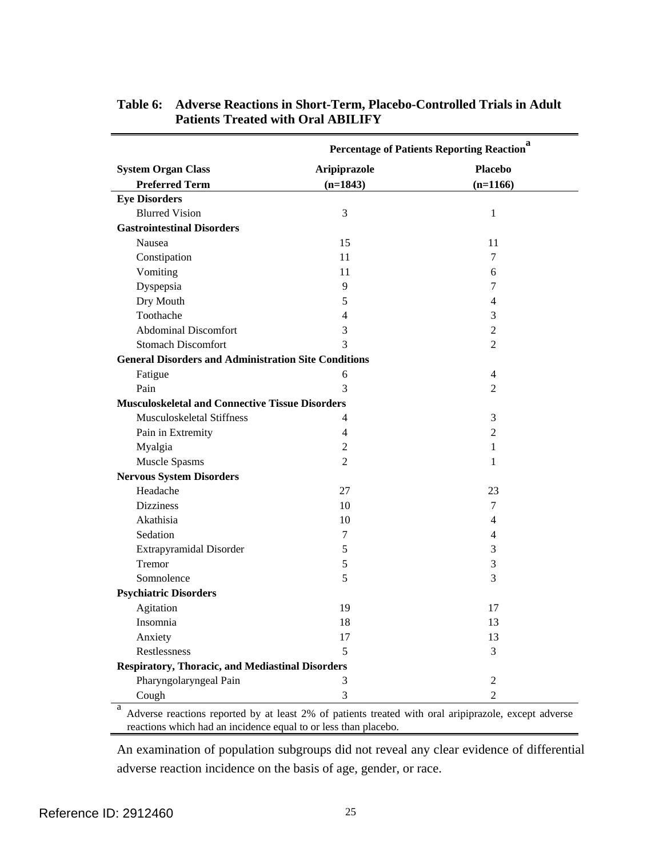|                                                             | Percentage of Patients Reporting Reaction <sup>a</sup> |                |
|-------------------------------------------------------------|--------------------------------------------------------|----------------|
| <b>System Organ Class</b>                                   | Aripiprazole                                           | <b>Placebo</b> |
| <b>Preferred Term</b>                                       | $(n=1843)$                                             | $(n=1166)$     |
| <b>Eye Disorders</b>                                        |                                                        |                |
| <b>Blurred Vision</b>                                       | 3                                                      | $\mathbf{1}$   |
| <b>Gastrointestinal Disorders</b>                           |                                                        |                |
| Nausea                                                      | 15                                                     | 11             |
| Constipation                                                | 11                                                     | 7              |
| Vomiting                                                    | 11                                                     | 6              |
| Dyspepsia                                                   | 9                                                      | 7              |
| Dry Mouth                                                   | 5                                                      | 4              |
| Toothache                                                   | 4                                                      | 3              |
| <b>Abdominal Discomfort</b>                                 | 3                                                      | 2              |
| <b>Stomach Discomfort</b>                                   | 3                                                      | $\overline{2}$ |
| <b>General Disorders and Administration Site Conditions</b> |                                                        |                |
| Fatigue                                                     | 6                                                      | $\overline{4}$ |
| Pain                                                        | 3                                                      | $\overline{2}$ |
| <b>Musculoskeletal and Connective Tissue Disorders</b>      |                                                        |                |
| Musculoskeletal Stiffness                                   | 4                                                      | 3              |
| Pain in Extremity                                           | 4                                                      | $\overline{2}$ |
| Myalgia                                                     | $\overline{2}$                                         | $\mathbf{1}$   |
| Muscle Spasms                                               | $\overline{2}$                                         | 1              |
| <b>Nervous System Disorders</b>                             |                                                        |                |
| Headache                                                    | 27                                                     | 23             |
| <b>Dizziness</b>                                            | 10                                                     | 7              |
| Akathisia                                                   | 10                                                     | 4              |
| Sedation                                                    | 7                                                      | 4              |
| Extrapyramidal Disorder                                     | 5                                                      | 3              |
| Tremor                                                      | 5                                                      | 3              |
| Somnolence                                                  | 5                                                      | 3              |
| <b>Psychiatric Disorders</b>                                |                                                        |                |
| Agitation                                                   | 19                                                     | 17             |
| Insomnia                                                    | 18                                                     | 13             |
| Anxiety                                                     | 17                                                     | 13             |
| Restlessness                                                | 5                                                      | 3              |
| <b>Respiratory, Thoracic, and Mediastinal Disorders</b>     |                                                        |                |
| Pharyngolaryngeal Pain                                      | 3                                                      | 2              |
| Cough                                                       | 3                                                      | $\overline{2}$ |

### **Table 6: Adverse Reactions in Short-Term, Placebo-Controlled Trials in Adult Patients Treated with Oral ABILIFY**

 reactions which had an incidence equal to or less than placebo. a Adverse reactions reported by at least 2% of patients treated with oral aripiprazole, except adverse

An examination of population subgroups did not reveal any clear evidence of differential adverse reaction incidence on the basis of age, gender, or race.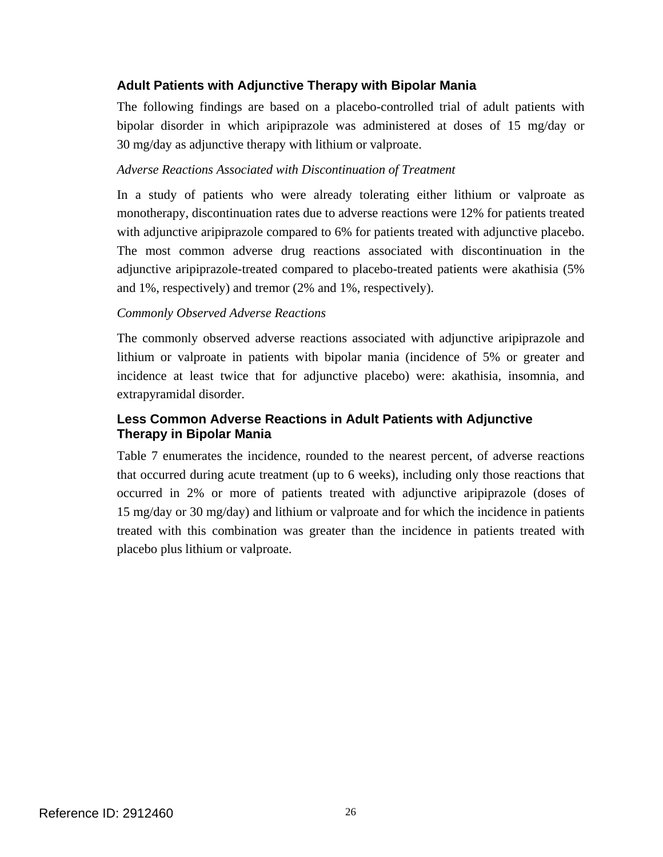## **Adult Patients with Adjunctive Therapy with Bipolar Mania**

The following findings are based on a placebo-controlled trial of adult patients with bipolar disorder in which aripiprazole was administered at doses of 15 mg/day or 30 mg/day as adjunctive therapy with lithium or valproate.

#### *Adverse Reactions Associated with Discontinuation of Treatment*

In a study of patients who were already tolerating either lithium or valproate as monotherapy, discontinuation rates due to adverse reactions were 12% for patients treated with adjunctive aripiprazole compared to 6% for patients treated with adjunctive placebo. The most common adverse drug reactions associated with discontinuation in the adjunctive aripiprazole-treated compared to placebo-treated patients were akathisia (5% and 1%, respectively) and tremor (2% and 1%, respectively).

#### *Commonly Observed Adverse Reactions*

The commonly observed adverse reactions associated with adjunctive aripiprazole and lithium or valproate in patients with bipolar mania (incidence of 5% or greater and incidence at least twice that for adjunctive placebo) were: akathisia, insomnia, and extrapyramidal disorder.

## **Less Common Adverse Reactions in Adult Patients with Adjunctive Therapy in Bipolar Mania**

Table 7 enumerates the incidence, rounded to the nearest percent, of adverse reactions that occurred during acute treatment (up to 6 weeks), including only those reactions that occurred in 2% or more of patients treated with adjunctive aripiprazole (doses of 15 mg/day or 30 mg/day) and lithium or valproate and for which the incidence in patients treated with this combination was greater than the incidence in patients treated with placebo plus lithium or valproate.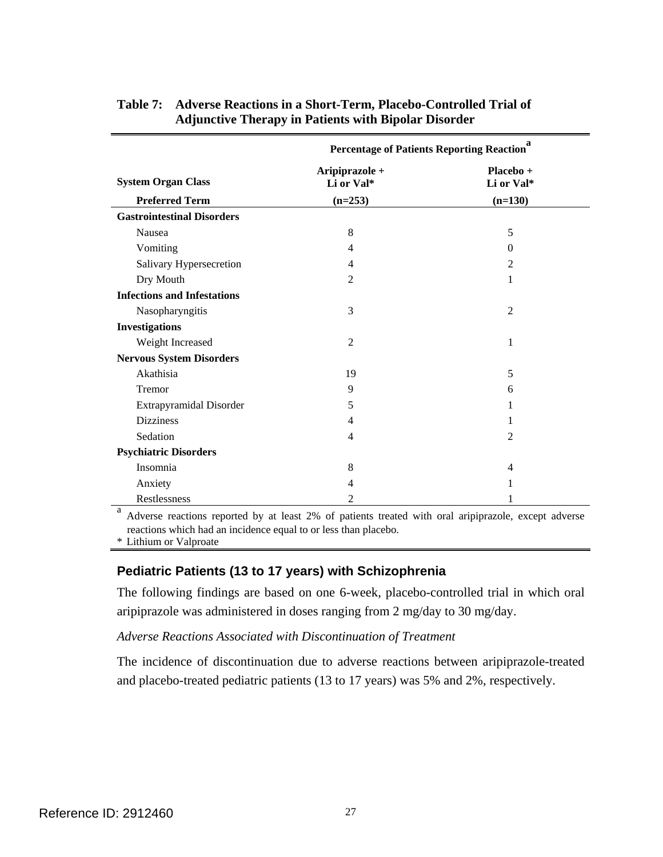|                                    | a<br><b>Percentage of Patients Reporting Reaction</b> |                         |
|------------------------------------|-------------------------------------------------------|-------------------------|
| <b>System Organ Class</b>          | Aripiprazole +<br>Li or Val*                          | Placebo +<br>Li or Val* |
| <b>Preferred Term</b>              | $(n=253)$                                             | $(n=130)$               |
| <b>Gastrointestinal Disorders</b>  |                                                       |                         |
| Nausea                             | 8                                                     | 5                       |
| Vomiting                           | 4                                                     | $\theta$                |
| Salivary Hypersecretion            | 4                                                     | $\overline{2}$          |
| Dry Mouth                          | $\overline{2}$                                        | 1                       |
| <b>Infections and Infestations</b> |                                                       |                         |
| Nasopharyngitis                    | 3                                                     | $\overline{2}$          |
| <b>Investigations</b>              |                                                       |                         |
| Weight Increased                   | 2                                                     | 1                       |
| <b>Nervous System Disorders</b>    |                                                       |                         |
| Akathisia                          | 19                                                    | 5                       |
| Tremor                             | 9                                                     | 6                       |
| Extrapyramidal Disorder            | 5                                                     |                         |
| <b>Dizziness</b>                   | 4                                                     | 1                       |
| Sedation                           | $\overline{4}$                                        | 2                       |
| <b>Psychiatric Disorders</b>       |                                                       |                         |
| Insomnia                           | 8                                                     | 4                       |
| Anxiety                            | 4                                                     | 1                       |
| Restlessness                       | 2                                                     |                         |

### **Table 7: Adverse Reactions in a Short-Term, Placebo-Controlled Trial of Adjunctive Therapy in Patients with Bipolar Disorder**

 reactions which had an incidence equal to or less than placebo. <sup>a</sup> Adverse reactions reported by at least 2% of patients treated with oral aripiprazole, except adverse

\* Lithium or Valproate

#### **Pediatric Patients (13 to 17 years) with Schizophrenia**

The following findings are based on one 6-week, placebo-controlled trial in which oral aripiprazole was administered in doses ranging from 2 mg/day to 30 mg/day.

#### *Adverse Reactions Associated with Discontinuation of Treatment*

The incidence of discontinuation due to adverse reactions between aripiprazole-treated and placebo-treated pediatric patients (13 to 17 years) was 5% and 2%, respectively.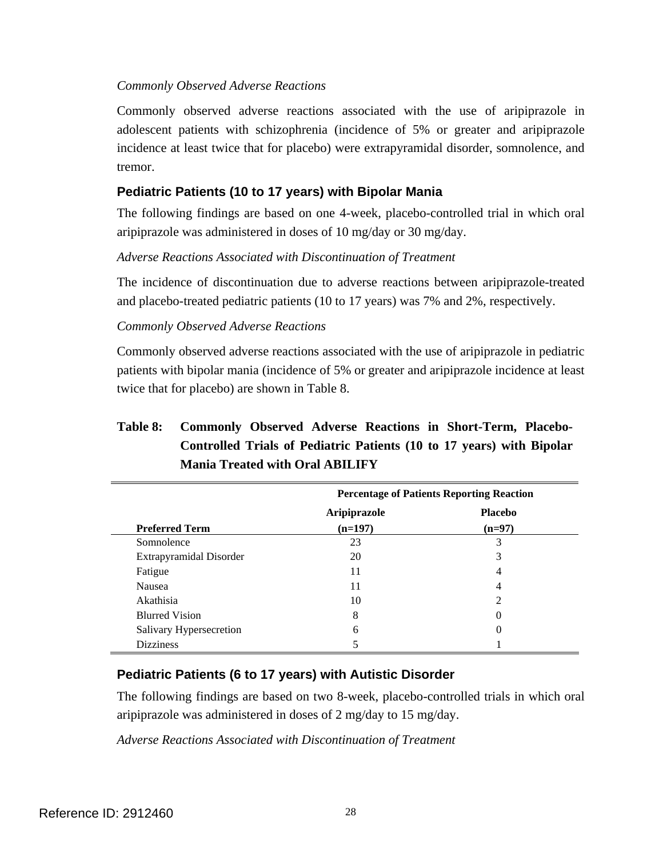#### *Commonly Observed Adverse Reactions*

Commonly observed adverse reactions associated with the use of aripiprazole in adolescent patients with schizophrenia (incidence of 5% or greater and aripiprazole incidence at least twice that for placebo) were extrapyramidal disorder, somnolence, and tremor.

## **Pediatric Patients (10 to 17 years) with Bipolar Mania**

The following findings are based on one 4-week, placebo-controlled trial in which oral aripiprazole was administered in doses of 10 mg/day or 30 mg/day.

#### *Adverse Reactions Associated with Discontinuation of Treatment*

The incidence of discontinuation due to adverse reactions between aripiprazole-treated and placebo-treated pediatric patients (10 to 17 years) was 7% and 2%, respectively.

#### *Commonly Observed Adverse Reactions*

Commonly observed adverse reactions associated with the use of aripiprazole in pediatric patients with bipolar mania (incidence of 5% or greater and aripiprazole incidence at least twice that for placebo) are shown in Table 8.

## **Table 8: Commonly Observed Adverse Reactions in Short-Term, Placebo-Controlled Trials of Pediatric Patients (10 to 17 years) with Bipolar Mania Treated with Oral ABILIFY**

|                         | <b>Percentage of Patients Reporting Reaction</b> |                |
|-------------------------|--------------------------------------------------|----------------|
|                         | Aripiprazole                                     | <b>Placebo</b> |
| <b>Preferred Term</b>   | $(n=197)$                                        | $(n=97)$       |
| Somnolence              | 23                                               | 3              |
| Extrapyramidal Disorder | 20                                               | 3              |
| Fatigue                 | 11                                               | 4              |
| Nausea                  | 11                                               | 4              |
| Akathisia               | 10                                               | 2              |
| <b>Blurred Vision</b>   | 8                                                |                |
| Salivary Hypersecretion | $\mathfrak{h}$                                   |                |
| <b>Dizziness</b>        |                                                  |                |

## **Pediatric Patients (6 to 17 years) with Autistic Disorder**

The following findings are based on two 8-week, placebo-controlled trials in which oral aripiprazole was administered in doses of 2 mg/day to 15 mg/day.

*Adverse Reactions Associated with Discontinuation of Treatment*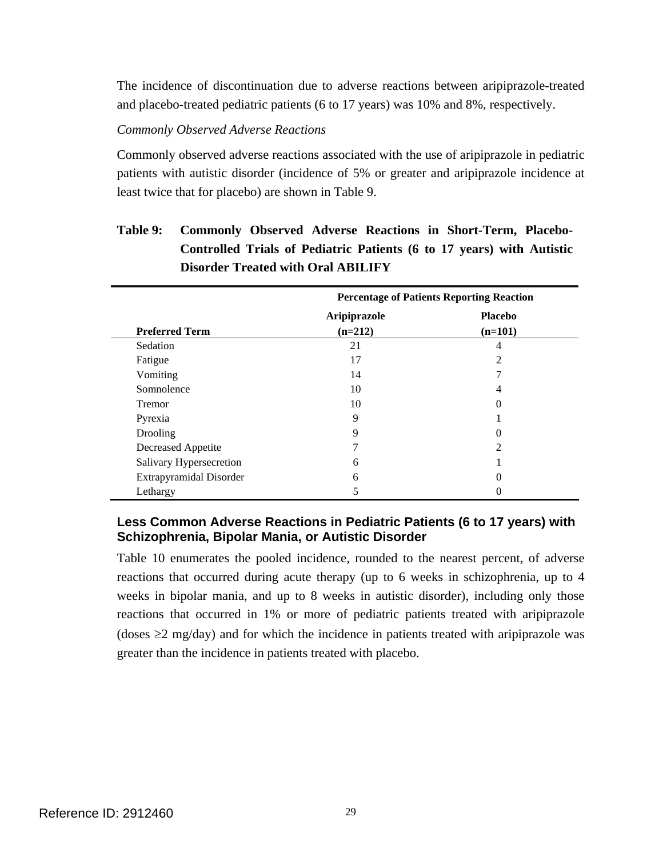The incidence of discontinuation due to adverse reactions between aripiprazole-treated and placebo-treated pediatric patients (6 to 17 years) was 10% and 8%, respectively.

#### *Commonly Observed Adverse Reactions*

Commonly observed adverse reactions associated with the use of aripiprazole in pediatric patients with autistic disorder (incidence of 5% or greater and aripiprazole incidence at least twice that for placebo) are shown in Table 9.

## **Table 9: Commonly Observed Adverse Reactions in Short-Term, Placebo-Controlled Trials of Pediatric Patients (6 to 17 years) with Autistic Disorder Treated with Oral ABILIFY**

|                         | <b>Percentage of Patients Reporting Reaction</b> |                |
|-------------------------|--------------------------------------------------|----------------|
|                         | Aripiprazole                                     | <b>Placebo</b> |
| <b>Preferred Term</b>   | $(n=212)$                                        | $(n=101)$      |
| Sedation                | 21                                               | 4              |
| Fatigue                 | 17                                               | 2              |
| Vomiting                | 14                                               |                |
| Somnolence              | 10                                               | 4              |
| <b>Tremor</b>           | 10                                               | 0              |
| Pyrexia                 | 9                                                |                |
| Drooling                | 9                                                |                |
| Decreased Appetite      | 7                                                | 2              |
| Salivary Hypersecretion | 6                                                |                |
| Extrapyramidal Disorder | 6                                                |                |
| Lethargy                |                                                  |                |

## **Less Common Adverse Reactions in Pediatric Patients (6 to 17 years) with Schizophrenia, Bipolar Mania, or Autistic Disorder**

Table 10 enumerates the pooled incidence, rounded to the nearest percent, of adverse reactions that occurred during acute therapy (up to 6 weeks in schizophrenia, up to 4 weeks in bipolar mania, and up to 8 weeks in autistic disorder), including only those reactions that occurred in 1% or more of pediatric patients treated with aripiprazole (doses  $\geq$ 2 mg/day) and for which the incidence in patients treated with aripiprazole was greater than the incidence in patients treated with placebo.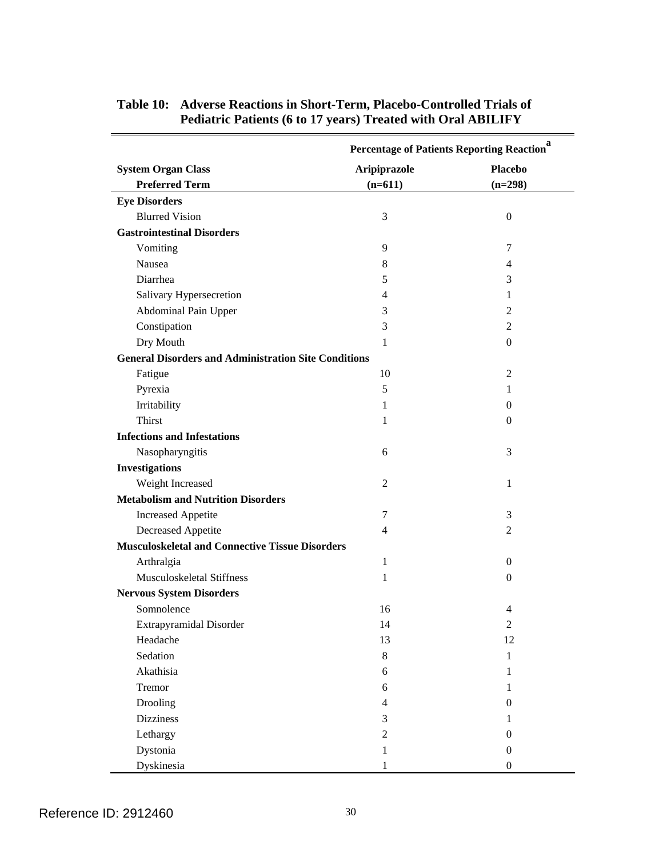|                                                             |                | <b>Percentage of Patients Reporting Reaction</b> <sup>a</sup> |  |
|-------------------------------------------------------------|----------------|---------------------------------------------------------------|--|
| <b>System Organ Class</b>                                   | Aripiprazole   | <b>Placebo</b>                                                |  |
| <b>Preferred Term</b>                                       | $(n=611)$      | $(n=298)$                                                     |  |
| <b>Eye Disorders</b>                                        |                |                                                               |  |
| <b>Blurred Vision</b>                                       | 3              | $\boldsymbol{0}$                                              |  |
| <b>Gastrointestinal Disorders</b>                           |                |                                                               |  |
| Vomiting                                                    | 9              | 7                                                             |  |
| Nausea                                                      | 8              | 4                                                             |  |
| Diarrhea                                                    | 5              | 3                                                             |  |
| Salivary Hypersecretion                                     | 4              | 1                                                             |  |
| Abdominal Pain Upper                                        | 3              | 2                                                             |  |
| Constipation                                                | 3              | 2                                                             |  |
| Dry Mouth                                                   | 1              | $\overline{0}$                                                |  |
| <b>General Disorders and Administration Site Conditions</b> |                |                                                               |  |
| Fatigue                                                     | 10             | $\overline{2}$                                                |  |
| Pyrexia                                                     | 5              | 1                                                             |  |
| Irritability                                                | 1              | 0                                                             |  |
| Thirst                                                      | 1              | 0                                                             |  |
| <b>Infections and Infestations</b>                          |                |                                                               |  |
| Nasopharyngitis                                             | 6              | 3                                                             |  |
| <b>Investigations</b>                                       |                |                                                               |  |
| Weight Increased                                            | 2              | 1                                                             |  |
| <b>Metabolism and Nutrition Disorders</b>                   |                |                                                               |  |
| <b>Increased Appetite</b>                                   | 7              | 3                                                             |  |
| Decreased Appetite                                          | 4              | 2                                                             |  |
| <b>Musculoskeletal and Connective Tissue Disorders</b>      |                |                                                               |  |
| Arthralgia                                                  | 1              | 0                                                             |  |
| Musculoskeletal Stiffness                                   | 1              | $\mathbf{0}$                                                  |  |
| <b>Nervous System Disorders</b>                             |                |                                                               |  |
| Somnolence                                                  | 16             | 4                                                             |  |
| Extrapyramidal Disorder                                     | 14             | 2                                                             |  |
| Headache                                                    | 13             | 12                                                            |  |
| Sedation                                                    | $8\,$          | $\mathbf{1}$                                                  |  |
| Akathisia                                                   | 6              | 1                                                             |  |
| Tremor                                                      | 6              | 1                                                             |  |
| Drooling                                                    | $\overline{4}$ | $\boldsymbol{0}$                                              |  |
| <b>Dizziness</b>                                            | 3              | $\mathbf{1}$                                                  |  |
| Lethargy                                                    | $\sqrt{2}$     | $\boldsymbol{0}$                                              |  |
| Dystonia                                                    | $\mathbf{1}$   | $\boldsymbol{0}$                                              |  |
| Dyskinesia                                                  | 1              | $\boldsymbol{0}$                                              |  |

## **Table 10: Adverse Reactions in Short-Term, Placebo-Controlled Trials of Pediatric Patients (6 to 17 years) Treated with Oral ABILIFY**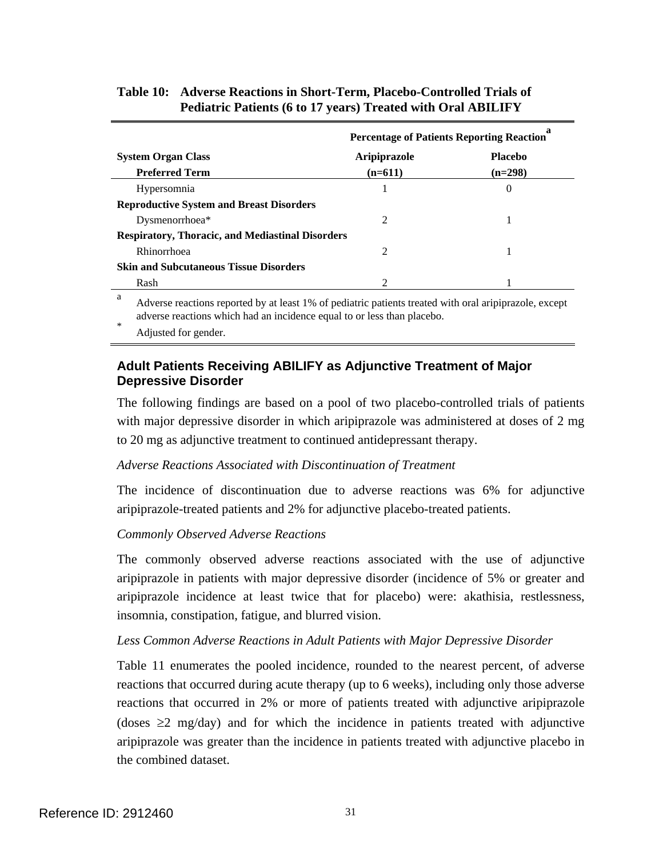|                                                         | <b>Percentage of Patients Reporting Reaction</b> |                |
|---------------------------------------------------------|--------------------------------------------------|----------------|
| <b>System Organ Class</b>                               | Aripiprazole                                     | <b>Placebo</b> |
| <b>Preferred Term</b>                                   | $(n=611)$                                        | (n=298)        |
| Hypersomnia                                             |                                                  | 0              |
| <b>Reproductive System and Breast Disorders</b>         |                                                  |                |
| Dysmenorrhoea*                                          | 2                                                |                |
| <b>Respiratory, Thoracic, and Mediastinal Disorders</b> |                                                  |                |
| Rhinorrhoea                                             | 2                                                |                |
| <b>Skin and Subcutaneous Tissue Disorders</b>           |                                                  |                |
| Rash                                                    | 2                                                |                |

### **Table 10: Adverse Reactions in Short-Term, Placebo-Controlled Trials of Pediatric Patients (6 to 17 years) Treated with Oral ABILIFY**

a Adverse reactions reported by at least 1% of pediatric patients treated with oral aripiprazole, except adverse reactions which had an incidence equal to or less than placebo.

Adjusted for gender.

## **Adult Patients Receiving ABILIFY as Adjunctive Treatment of Major Depressive Disorder**

The following findings are based on a pool of two placebo-controlled trials of patients with major depressive disorder in which aripiprazole was administered at doses of 2 mg to 20 mg as adjunctive treatment to continued antidepressant therapy.

#### *Adverse Reactions Associated with Discontinuation of Treatment*

The incidence of discontinuation due to adverse reactions was 6% for adjunctive aripiprazole-treated patients and 2% for adjunctive placebo-treated patients.

### *Commonly Observed Adverse Reactions*

The commonly observed adverse reactions associated with the use of adjunctive aripiprazole in patients with major depressive disorder (incidence of 5% or greater and aripiprazole incidence at least twice that for placebo) were: akathisia, restlessness, insomnia, constipation, fatigue, and blurred vision.

#### Less Common Adverse Reactions in Adult Patients with Major Depressive Disorder

Table 11 enumerates the pooled incidence, rounded to the nearest percent, of adverse reactions that occurred during acute therapy (up to 6 weeks), including only those adverse reactions that occurred in 2% or more of patients treated with adjunctive aripiprazole (doses  $\geq 2$  mg/day) and for which the incidence in patients treated with adjunctive aripiprazole was greater than the incidence in patients treated with adjunctive placebo in the combined dataset.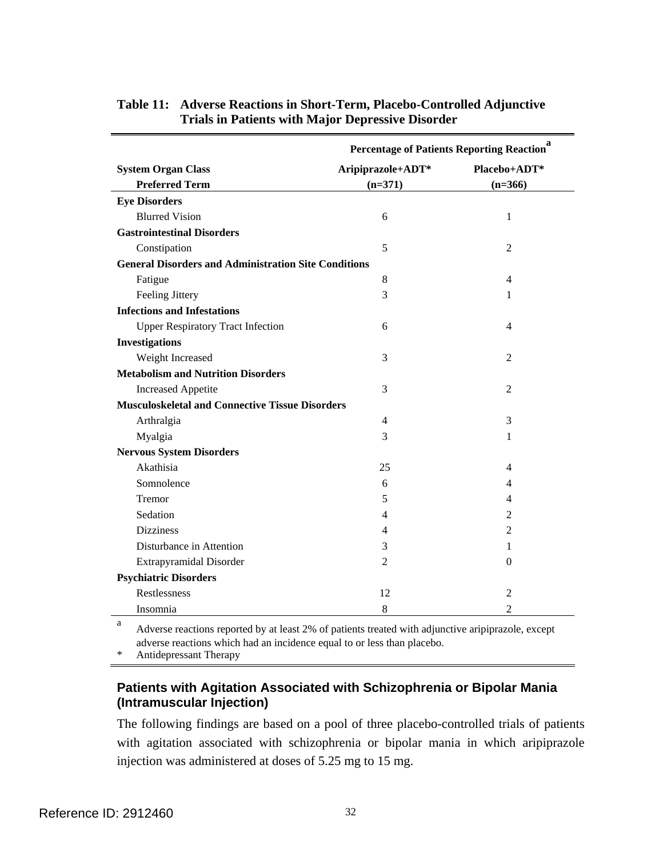|                                                             |                   | Percentage of Patients Reporting Reaction <sup>a</sup> |  |
|-------------------------------------------------------------|-------------------|--------------------------------------------------------|--|
| <b>System Organ Class</b>                                   | Aripiprazole+ADT* | Placebo+ADT*                                           |  |
| <b>Preferred Term</b>                                       | $(n=371)$         | $(n=366)$                                              |  |
| <b>Eye Disorders</b>                                        |                   |                                                        |  |
| <b>Blurred Vision</b>                                       | 6                 | 1                                                      |  |
| <b>Gastrointestinal Disorders</b>                           |                   |                                                        |  |
| Constipation                                                | 5                 | $\overline{2}$                                         |  |
| <b>General Disorders and Administration Site Conditions</b> |                   |                                                        |  |
| Fatigue                                                     | 8                 | 4                                                      |  |
| <b>Feeling Jittery</b>                                      | 3                 | 1                                                      |  |
| <b>Infections and Infestations</b>                          |                   |                                                        |  |
| <b>Upper Respiratory Tract Infection</b>                    | 6                 | 4                                                      |  |
| <b>Investigations</b>                                       |                   |                                                        |  |
| Weight Increased                                            | 3                 | 2                                                      |  |
| <b>Metabolism and Nutrition Disorders</b>                   |                   |                                                        |  |
| <b>Increased Appetite</b>                                   | 3                 | $\overline{2}$                                         |  |
| <b>Musculoskeletal and Connective Tissue Disorders</b>      |                   |                                                        |  |
| Arthralgia                                                  | 4                 | 3                                                      |  |
| Myalgia                                                     | 3                 | 1                                                      |  |
| <b>Nervous System Disorders</b>                             |                   |                                                        |  |
| Akathisia                                                   | 25                | 4                                                      |  |
| Somnolence                                                  | 6                 | 4                                                      |  |
| Tremor                                                      | 5                 | 4                                                      |  |
| Sedation                                                    | 4                 | $\overline{2}$                                         |  |
| <b>Dizziness</b>                                            | 4                 | 2                                                      |  |
| Disturbance in Attention                                    | 3                 | 1                                                      |  |
| Extrapyramidal Disorder                                     | $\overline{2}$    | 0                                                      |  |
| <b>Psychiatric Disorders</b>                                |                   |                                                        |  |
| Restlessness                                                | 12                | $\overline{2}$                                         |  |
| Insomnia                                                    | 8                 | $\overline{2}$                                         |  |
| а                                                           |                   |                                                        |  |

#### **Table 11: Adverse Reactions in Short-Term, Placebo-Controlled Adjunctive Trials in Patients with Major Depressive Disorder**

Adverse reactions reported by at least 2% of patients treated with adjunctive aripiprazole, except adverse reactions which had an incidence equal to or less than placebo.

\* Antidepressant Therapy

### **Patients with Agitation Associated with Schizophrenia or Bipolar Mania (Intramuscular Injection)**

The following findings are based on a pool of three placebo-controlled trials of patients with agitation associated with schizophrenia or bipolar mania in which aripiprazole injection was administered at doses of 5.25 mg to 15 mg.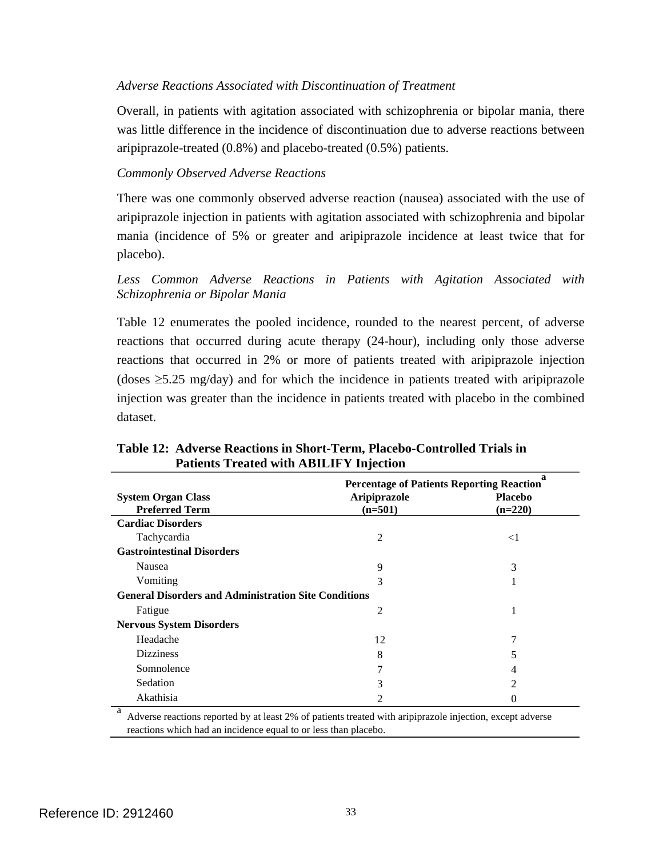#### *Adverse Reactions Associated with Discontinuation of Treatment*

Overall, in patients with agitation associated with schizophrenia or bipolar mania, there was little difference in the incidence of discontinuation due to adverse reactions between aripiprazole-treated (0.8%) and placebo-treated (0.5%) patients.

#### *Commonly Observed Adverse Reactions*

There was one commonly observed adverse reaction (nausea) associated with the use of aripiprazole injection in patients with agitation associated with schizophrenia and bipolar mania (incidence of 5% or greater and aripiprazole incidence at least twice that for placebo).

#### *Less Common Adverse Reactions in Patients with Agitation Associated with Schizophrenia or Bipolar Mania*

Table 12 enumerates the pooled incidence, rounded to the nearest percent, of adverse reactions that occurred during acute therapy (24-hour), including only those adverse reactions that occurred in 2% or more of patients treated with aripiprazole injection (doses  $\geq$ 5.25 mg/day) and for which the incidence in patients treated with aripiprazole injection was greater than the incidence in patients treated with placebo in the combined dataset.

|                                                             | <b>Percentage of Patients Reporting Reaction</b> |                             |
|-------------------------------------------------------------|--------------------------------------------------|-----------------------------|
| <b>System Organ Class</b><br><b>Preferred Term</b>          | <b>Aripiprazole</b><br>$(n=501)$                 | <b>Placebo</b><br>$(n=220)$ |
|                                                             |                                                  |                             |
| <b>Cardiac Disorders</b>                                    |                                                  |                             |
| Tachycardia                                                 | 2                                                | $\leq$ 1                    |
| <b>Gastrointestinal Disorders</b>                           |                                                  |                             |
| <b>Nausea</b>                                               | 9                                                | 3                           |
| Vomiting                                                    | 3                                                |                             |
| <b>General Disorders and Administration Site Conditions</b> |                                                  |                             |
| Fatigue                                                     | 2                                                | 1                           |
| <b>Nervous System Disorders</b>                             |                                                  |                             |
| Headache                                                    | 12                                               | 7                           |
| <b>Dizziness</b>                                            | 8                                                | 5                           |
| Somnolence                                                  | 7                                                | 4                           |
| Sedation                                                    | 3                                                | $\mathfrak{D}$              |
| Akathisia                                                   | $\mathfrak{D}$                                   | 0                           |
| a<br>$\sim$ $\sim$                                          | .                                                |                             |

**Table 12: Adverse Reactions in Short-Term, Placebo-Controlled Trials in Patients Treated with ABILIFY Injection** 

a Adverse reactions reported by at least 2% of patients treated with aripiprazole injection, except adverse reactions which had an incidence equal to or less than placebo.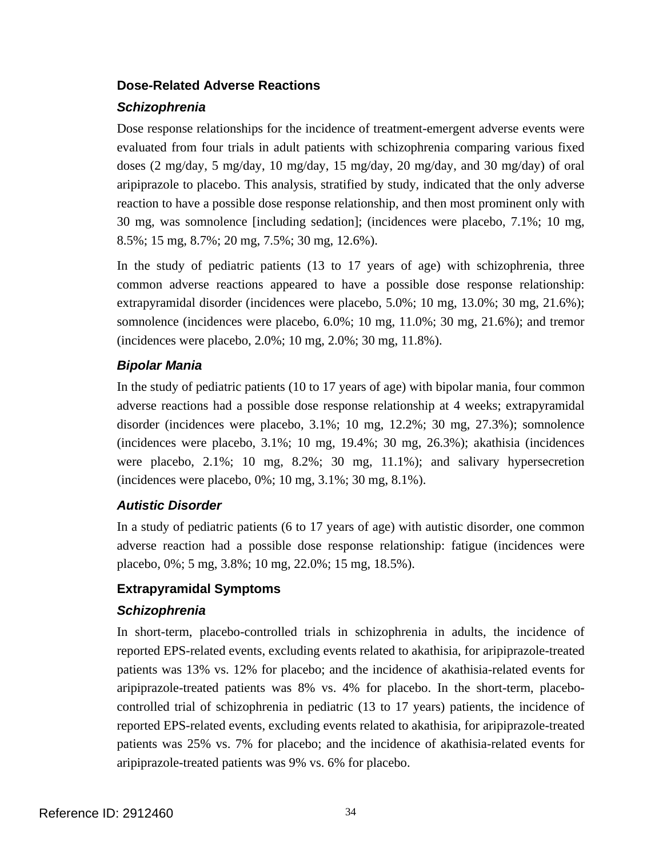#### **Dose-Related Adverse Reactions**

#### *Schizophrenia*

Dose response relationships for the incidence of treatment-emergent adverse events were evaluated from four trials in adult patients with schizophrenia comparing various fixed doses (2 mg/day, 5 mg/day, 10 mg/day, 15 mg/day, 20 mg/day, and 30 mg/day) of oral aripiprazole to placebo. This analysis, stratified by study, indicated that the only adverse reaction to have a possible dose response relationship, and then most prominent only with 30 mg, was somnolence [including sedation]; (incidences were placebo, 7.1%; 10 mg, 8.5%; 15 mg, 8.7%; 20 mg, 7.5%; 30 mg, 12.6%).

In the study of pediatric patients (13 to 17 years of age) with schizophrenia, three common adverse reactions appeared to have a possible dose response relationship: extrapyramidal disorder (incidences were placebo, 5.0%; 10 mg, 13.0%; 30 mg, 21.6%); somnolence (incidences were placebo, 6.0%; 10 mg, 11.0%; 30 mg, 21.6%); and tremor (incidences were placebo, 2.0%; 10 mg, 2.0%; 30 mg, 11.8%).

## *Bipolar Mania*

In the study of pediatric patients (10 to 17 years of age) with bipolar mania, four common adverse reactions had a possible dose response relationship at 4 weeks; extrapyramidal disorder (incidences were placebo, 3.1%; 10 mg, 12.2%; 30 mg, 27.3%); somnolence (incidences were placebo, 3.1%; 10 mg, 19.4%; 30 mg, 26.3%); akathisia (incidences were placebo, 2.1%; 10 mg, 8.2%; 30 mg, 11.1%); and salivary hypersecretion (incidences were placebo, 0%; 10 mg, 3.1%; 30 mg, 8.1%).

## *Autistic Disorder*

In a study of pediatric patients (6 to 17 years of age) with autistic disorder, one common adverse reaction had a possible dose response relationship: fatigue (incidences were placebo, 0%; 5 mg, 3.8%; 10 mg, 22.0%; 15 mg, 18.5%).

### **Extrapyramidal Symptoms**

### *Schizophrenia*

In short-term, placebo-controlled trials in schizophrenia in adults, the incidence of reported EPS-related events, excluding events related to akathisia, for aripiprazole-treated patients was 13% vs. 12% for placebo; and the incidence of akathisia-related events for aripiprazole-treated patients was 8% vs. 4% for placebo. In the short-term, placebocontrolled trial of schizophrenia in pediatric (13 to 17 years) patients, the incidence of reported EPS-related events, excluding events related to akathisia, for aripiprazole-treated patients was 25% vs. 7% for placebo; and the incidence of akathisia-related events for aripiprazole-treated patients was 9% vs. 6% for placebo.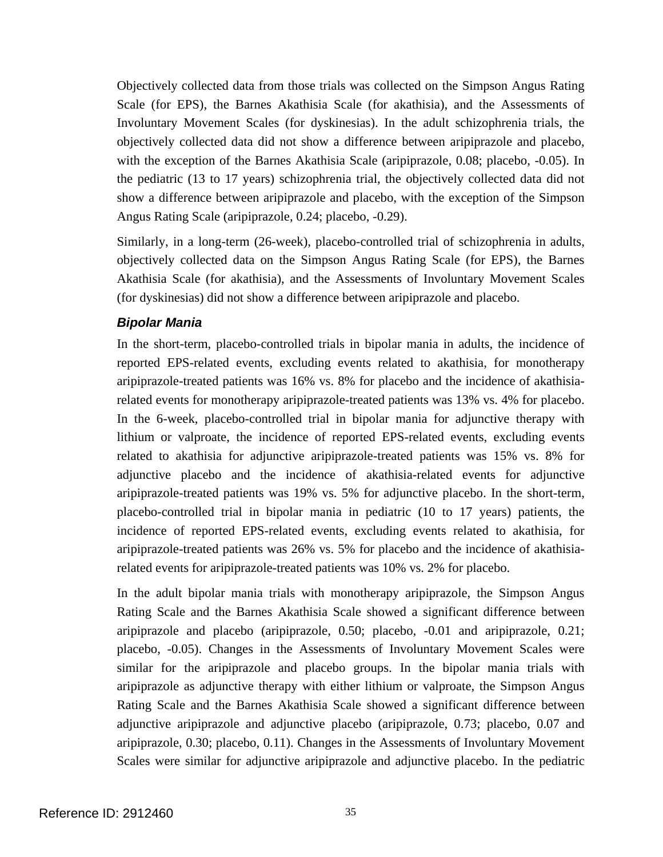Objectively collected data from those trials was collected on the Simpson Angus Rating Scale (for EPS), the Barnes Akathisia Scale (for akathisia), and the Assessments of Involuntary Movement Scales (for dyskinesias). In the adult schizophrenia trials, the objectively collected data did not show a difference between aripiprazole and placebo, with the exception of the Barnes Akathisia Scale (aripiprazole, 0.08; placebo, -0.05). In the pediatric (13 to 17 years) schizophrenia trial, the objectively collected data did not show a difference between aripiprazole and placebo, with the exception of the Simpson Angus Rating Scale (aripiprazole, 0.24; placebo, -0.29).

Similarly, in a long-term (26-week), placebo-controlled trial of schizophrenia in adults, objectively collected data on the Simpson Angus Rating Scale (for EPS), the Barnes Akathisia Scale (for akathisia), and the Assessments of Involuntary Movement Scales (for dyskinesias) did not show a difference between aripiprazole and placebo.

#### *Bipolar Mania*

In the short-term, placebo-controlled trials in bipolar mania in adults, the incidence of reported EPS-related events, excluding events related to akathisia, for monotherapy aripiprazole-treated patients was 16% vs. 8% for placebo and the incidence of akathisiarelated events for monotherapy aripiprazole-treated patients was 13% vs. 4% for placebo. In the 6-week, placebo-controlled trial in bipolar mania for adjunctive therapy with lithium or valproate, the incidence of reported EPS-related events, excluding events related to akathisia for adjunctive aripiprazole-treated patients was 15% vs. 8% for adjunctive placebo and the incidence of akathisia-related events for adjunctive aripiprazole-treated patients was 19% vs. 5% for adjunctive placebo. In the short-term, placebo-controlled trial in bipolar mania in pediatric (10 to 17 years) patients, the incidence of reported EPS-related events, excluding events related to akathisia, for aripiprazole-treated patients was 26% vs. 5% for placebo and the incidence of akathisiarelated events for aripiprazole-treated patients was 10% vs. 2% for placebo.

In the adult bipolar mania trials with monotherapy aripiprazole, the Simpson Angus Rating Scale and the Barnes Akathisia Scale showed a significant difference between aripiprazole and placebo (aripiprazole, 0.50; placebo, -0.01 and aripiprazole, 0.21; placebo, -0.05). Changes in the Assessments of Involuntary Movement Scales were similar for the aripiprazole and placebo groups. In the bipolar mania trials with aripiprazole as adjunctive therapy with either lithium or valproate, the Simpson Angus Rating Scale and the Barnes Akathisia Scale showed a significant difference between adjunctive aripiprazole and adjunctive placebo (aripiprazole, 0.73; placebo, 0.07 and aripiprazole, 0.30; placebo, 0.11). Changes in the Assessments of Involuntary Movement Scales were similar for adjunctive aripiprazole and adjunctive placebo. In the pediatric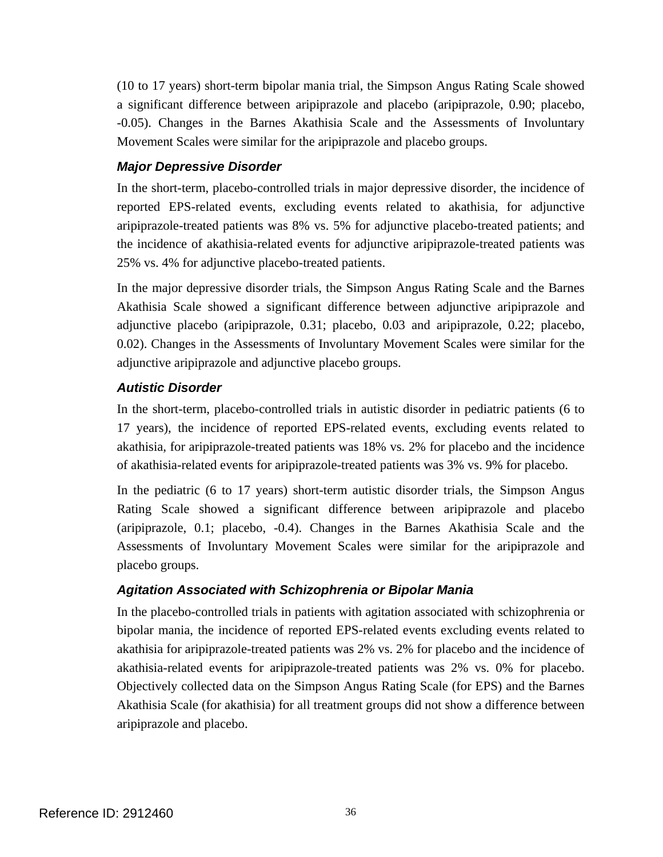(10 to 17 years) short-term bipolar mania trial, the Simpson Angus Rating Scale showed a significant difference between aripiprazole and placebo (aripiprazole, 0.90; placebo, -0.05). Changes in the Barnes Akathisia Scale and the Assessments of Involuntary Movement Scales were similar for the aripiprazole and placebo groups.

### *Major Depressive Disorder*

In the short-term, placebo-controlled trials in major depressive disorder, the incidence of reported EPS-related events, excluding events related to akathisia, for adjunctive aripiprazole-treated patients was 8% vs. 5% for adjunctive placebo-treated patients; and the incidence of akathisia-related events for adjunctive aripiprazole-treated patients was 25% vs. 4% for adjunctive placebo-treated patients.

In the major depressive disorder trials, the Simpson Angus Rating Scale and the Barnes Akathisia Scale showed a significant difference between adjunctive aripiprazole and adjunctive placebo (aripiprazole, 0.31; placebo, 0.03 and aripiprazole, 0.22; placebo, 0.02). Changes in the Assessments of Involuntary Movement Scales were similar for the adjunctive aripiprazole and adjunctive placebo groups.

#### *Autistic Disorder*

In the short-term, placebo-controlled trials in autistic disorder in pediatric patients (6 to 17 years), the incidence of reported EPS-related events, excluding events related to akathisia, for aripiprazole-treated patients was 18% vs. 2% for placebo and the incidence of akathisia-related events for aripiprazole-treated patients was 3% vs. 9% for placebo.

In the pediatric (6 to 17 years) short-term autistic disorder trials, the Simpson Angus Rating Scale showed a significant difference between aripiprazole and placebo (aripiprazole, 0.1; placebo, -0.4). Changes in the Barnes Akathisia Scale and the Assessments of Involuntary Movement Scales were similar for the aripiprazole and placebo groups.

### *Agitation Associated with Schizophrenia or Bipolar Mania*

In the placebo-controlled trials in patients with agitation associated with schizophrenia or bipolar mania, the incidence of reported EPS-related events excluding events related to akathisia for aripiprazole-treated patients was 2% vs. 2% for placebo and the incidence of akathisia-related events for aripiprazole-treated patients was 2% vs. 0% for placebo. Objectively collected data on the Simpson Angus Rating Scale (for EPS) and the Barnes Akathisia Scale (for akathisia) for all treatment groups did not show a difference between aripiprazole and placebo.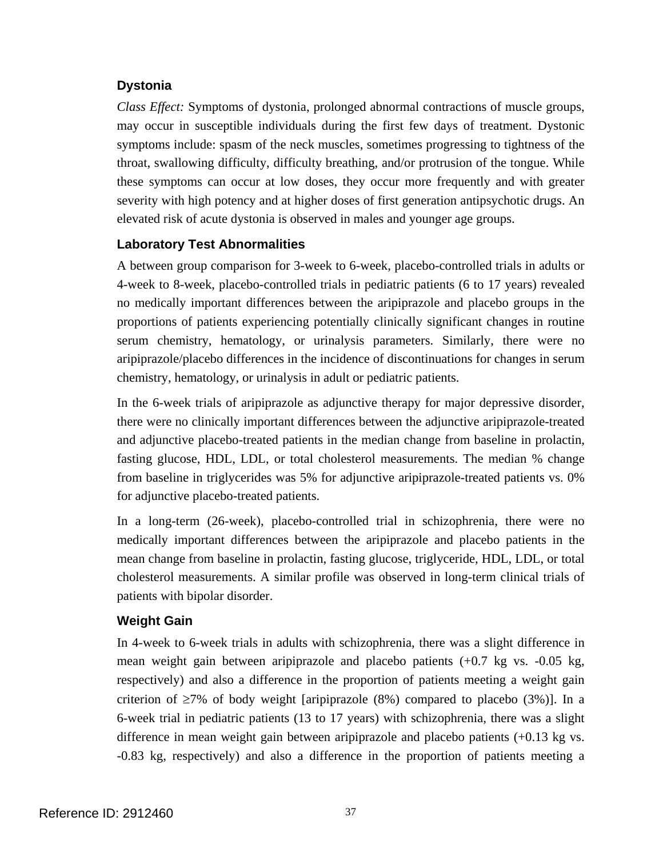### **Dystonia**

*Class Effect:* Symptoms of dystonia, prolonged abnormal contractions of muscle groups, may occur in susceptible individuals during the first few days of treatment. Dystonic symptoms include: spasm of the neck muscles, sometimes progressing to tightness of the throat, swallowing difficulty, difficulty breathing, and/or protrusion of the tongue. While these symptoms can occur at low doses, they occur more frequently and with greater severity with high potency and at higher doses of first generation antipsychotic drugs. An elevated risk of acute dystonia is observed in males and younger age groups.

### **Laboratory Test Abnormalities**

A between group comparison for 3-week to 6-week, placebo-controlled trials in adults or 4-week to 8-week, placebo-controlled trials in pediatric patients (6 to 17 years) revealed no medically important differences between the aripiprazole and placebo groups in the proportions of patients experiencing potentially clinically significant changes in routine serum chemistry, hematology, or urinalysis parameters. Similarly, there were no aripiprazole/placebo differences in the incidence of discontinuations for changes in serum chemistry, hematology, or urinalysis in adult or pediatric patients.

In the 6-week trials of aripiprazole as adjunctive therapy for major depressive disorder, there were no clinically important differences between the adjunctive aripiprazole-treated and adjunctive placebo-treated patients in the median change from baseline in prolactin, fasting glucose, HDL, LDL, or total cholesterol measurements. The median % change from baseline in triglycerides was 5% for adjunctive aripiprazole-treated patients vs. 0% for adjunctive placebo-treated patients.

In a long-term (26-week), placebo-controlled trial in schizophrenia, there were no medically important differences between the aripiprazole and placebo patients in the mean change from baseline in prolactin, fasting glucose, triglyceride, HDL, LDL, or total cholesterol measurements. A similar profile was observed in long-term clinical trials of patients with bipolar disorder.

### **Weight Gain**

In 4-week to 6-week trials in adults with schizophrenia, there was a slight difference in mean weight gain between aripiprazole and placebo patients (+0.7 kg vs. -0.05 kg, respectively) and also a difference in the proportion of patients meeting a weight gain criterion of  $\geq$ 7% of body weight [aripiprazole (8%) compared to placebo (3%)]. In a 6-week trial in pediatric patients (13 to 17 years) with schizophrenia, there was a slight difference in mean weight gain between aripiprazole and placebo patients (+0.13 kg vs. -0.83 kg, respectively) and also a difference in the proportion of patients meeting a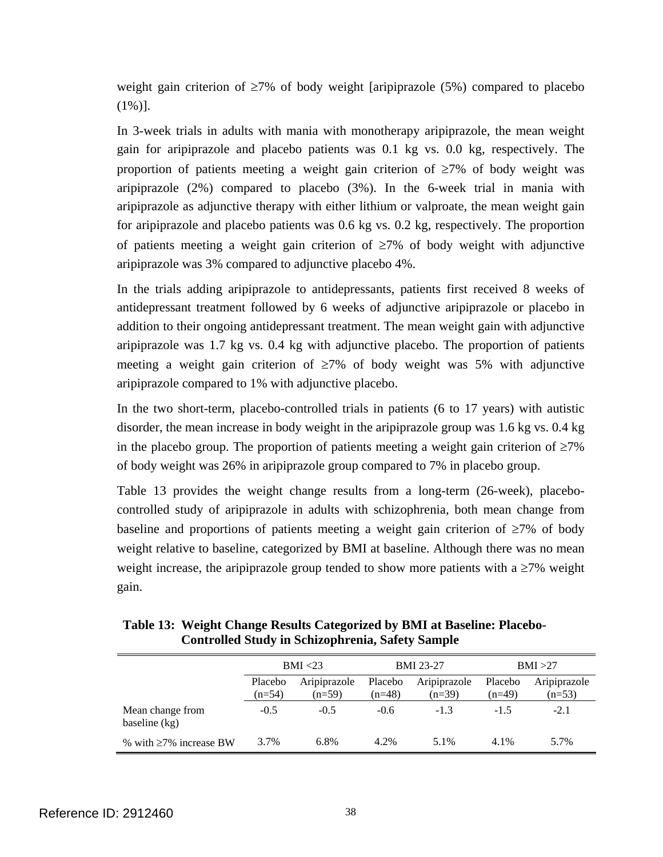weight gain criterion of ≥7% of body weight [aripiprazole (5%) compared to placebo  $(1\%)$ ].

In 3-week trials in adults with mania with monotherapy aripiprazole, the mean weight gain for aripiprazole and placebo patients was 0.1 kg vs. 0.0 kg, respectively. The proportion of patients meeting a weight gain criterion of  $\geq 7\%$  of body weight was aripiprazole (2%) compared to placebo (3%). In the 6-week trial in mania with aripiprazole as adjunctive therapy with either lithium or valproate, the mean weight gain for aripiprazole and placebo patients was 0.6 kg vs. 0.2 kg, respectively. The proportion of patients meeting a weight gain criterion of  $\geq 7\%$  of body weight with adjunctive aripiprazole was 3% compared to adjunctive placebo 4%.

In the trials adding aripiprazole to antidepressants, patients first received 8 weeks of antidepressant treatment followed by 6 weeks of adjunctive aripiprazole or placebo in addition to their ongoing antidepressant treatment. The mean weight gain with adjunctive aripiprazole was 1.7 kg vs. 0.4 kg with adjunctive placebo. The proportion of patients meeting a weight gain criterion of  $\geq 7\%$  of body weight was 5% with adjunctive aripiprazole compared to 1% with adjunctive placebo.

In the two short-term, placebo-controlled trials in patients (6 to 17 years) with autistic disorder, the mean increase in body weight in the aripiprazole group was 1.6 kg vs. 0.4 kg in the placebo group. The proportion of patients meeting a weight gain criterion of  $\geq 7\%$ of body weight was 26% in aripiprazole group compared to 7% in placebo group.

Table 13 provides the weight change results from a long-term (26-week), placebocontrolled study of aripiprazole in adults with schizophrenia, both mean change from baseline and proportions of patients meeting a weight gain criterion of ≥7% of body weight relative to baseline, categorized by BMI at baseline. Although there was no mean weight increase, the aripiprazole group tended to show more patients with a  $\geq 7\%$  weight gain.

|                                     | BMI < 23            |                          | <b>BMI</b> 23-27    |                          | BMI >27             |                          |
|-------------------------------------|---------------------|--------------------------|---------------------|--------------------------|---------------------|--------------------------|
|                                     | Placebo<br>$(n=54)$ | Aripiprazole<br>$(n=59)$ | Placebo<br>$(n=48)$ | Aripiprazole<br>$(n=39)$ | Placebo<br>$(n=49)$ | Aripiprazole<br>$(n=53)$ |
| Mean change from<br>baseline $(kg)$ | $-0.5$              | $-0.5$                   | $-0.6$              | $-1.3$                   | $-1.5$              | $-2.1$                   |
| % with $\geq$ 7% increase BW        | 3.7%                | 6.8%                     | 4.2%                | 5.1%                     | 4.1%                | 5.7%                     |

| Table 13: Weight Change Results Categorized by BMI at Baseline: Placebo- |
|--------------------------------------------------------------------------|
| <b>Controlled Study in Schizophrenia, Safety Sample</b>                  |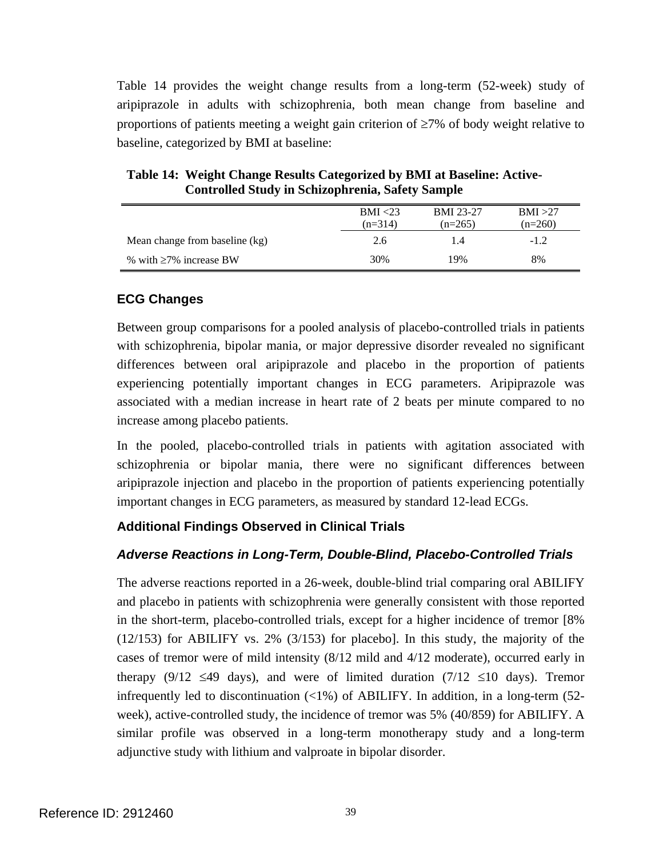Table 14 provides the weight change results from a long-term (52-week) study of aripiprazole in adults with schizophrenia, both mean change from baseline and proportions of patients meeting a weight gain criterion of ≥7% of body weight relative to baseline, categorized by BMI at baseline:

|                                | BMI < 23  | <b>BMI 23-27</b> | BMI >27   |
|--------------------------------|-----------|------------------|-----------|
|                                | $(n=314)$ | $(n=265)$        | $(n=260)$ |
| Mean change from baseline (kg) | 2.6       | 1.4              | $-1.2$    |
| % with $\geq 7\%$ increase BW  | 30%       | 19%              | 8%        |

**Table 14: Weight Change Results Categorized by BMI at Baseline: Active-Controlled Study in Schizophrenia, Safety Sample** 

## **ECG Changes**

Between group comparisons for a pooled analysis of placebo-controlled trials in patients with schizophrenia, bipolar mania, or major depressive disorder revealed no significant differences between oral aripiprazole and placebo in the proportion of patients experiencing potentially important changes in ECG parameters. Aripiprazole was associated with a median increase in heart rate of 2 beats per minute compared to no increase among placebo patients.

In the pooled, placebo-controlled trials in patients with agitation associated with schizophrenia or bipolar mania, there were no significant differences between aripiprazole injection and placebo in the proportion of patients experiencing potentially important changes in ECG parameters, as measured by standard 12-lead ECGs.

## **Additional Findings Observed in Clinical Trials**

## *Adverse Reactions in Long-Term, Double-Blind, Placebo-Controlled Trials*

The adverse reactions reported in a 26-week, double-blind trial comparing oral ABILIFY and placebo in patients with schizophrenia were generally consistent with those reported in the short-term, placebo-controlled trials, except for a higher incidence of tremor [8% (12/153) for ABILIFY vs. 2% (3/153) for placebo]. In this study, the majority of the cases of tremor were of mild intensity (8/12 mild and 4/12 moderate), occurred early in therapy (9/12  $\leq$ 49 days), and were of limited duration (7/12  $\leq$ 10 days). Tremor infrequently led to discontinuation  $\langle$ <1%) of ABILIFY. In addition, in a long-term (52week), active-controlled study, the incidence of tremor was 5% (40/859) for ABILIFY. A similar profile was observed in a long-term monotherapy study and a long-term adjunctive study with lithium and valproate in bipolar disorder.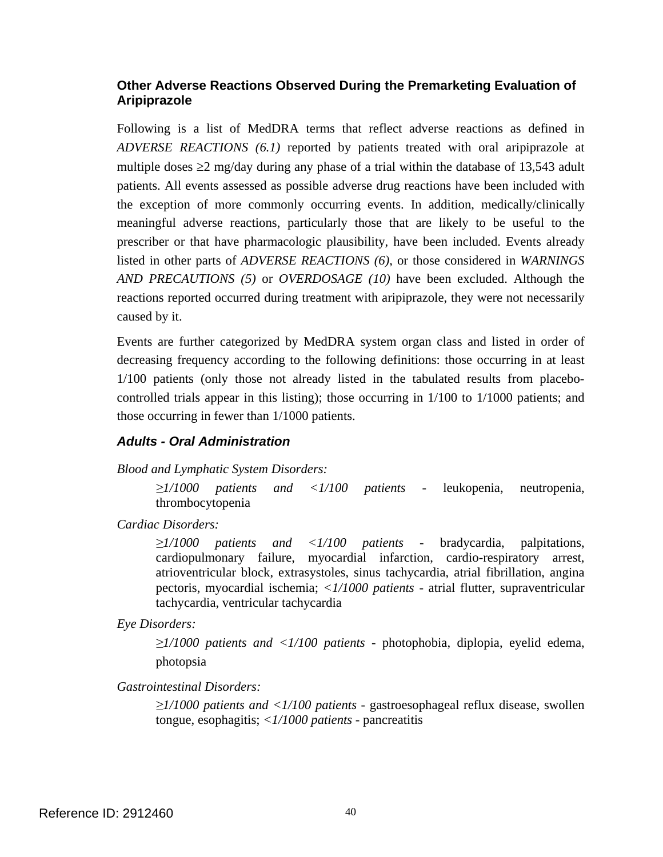#### **Other Adverse Reactions Observed During the Premarketing Evaluation of Aripiprazole**

Following is a list of MedDRA terms that reflect adverse reactions as defined in *ADVERSE REACTIONS (6.1)* reported by patients treated with oral aripiprazole at multiple doses  $\geq 2$  mg/day during any phase of a trial within the database of 13,543 adult patients. All events assessed as possible adverse drug reactions have been included with the exception of more commonly occurring events. In addition, medically/clinically meaningful adverse reactions, particularly those that are likely to be useful to the prescriber or that have pharmacologic plausibility, have been included. Events already listed in other parts of *ADVERSE REACTIONS (6)*, or those considered in *WARNINGS AND PRECAUTIONS (5)* or *OVERDOSAGE (10)* have been excluded. Although the reactions reported occurred during treatment with aripiprazole, they were not necessarily caused by it.

Events are further categorized by MedDRA system organ class and listed in order of decreasing frequency according to the following definitions: those occurring in at least 1/100 patients (only those not already listed in the tabulated results from placebocontrolled trials appear in this listing); those occurring in 1/100 to 1/1000 patients; and those occurring in fewer than 1/1000 patients.

### *Adults - Oral Administration*

*Blood and Lymphatic System Disorders:* 

*≥1/1000 patients and <1/100 patients* - leukopenia, neutropenia, thrombocytopenia

*Cardiac Disorders:* 

*≥1/1000 patients and <1/100 patients* - bradycardia, palpitations, cardiopulmonary failure, myocardial infarction, cardio-respiratory arrest, atrioventricular block, extrasystoles, sinus tachycardia, atrial fibrillation, angina pectoris, myocardial ischemia; *<1/1000 patients* - atrial flutter, supraventricular tachycardia, ventricular tachycardia

*Eye Disorders:* 

*≥1/1000 patients and <1/100 patients* - photophobia, diplopia, eyelid edema, photopsia

*Gastrointestinal Disorders:* 

*≥1/1000 patients and <1/100 patients* - gastroesophageal reflux disease, swollen tongue, esophagitis; *<1/1000 patients* - pancreatitis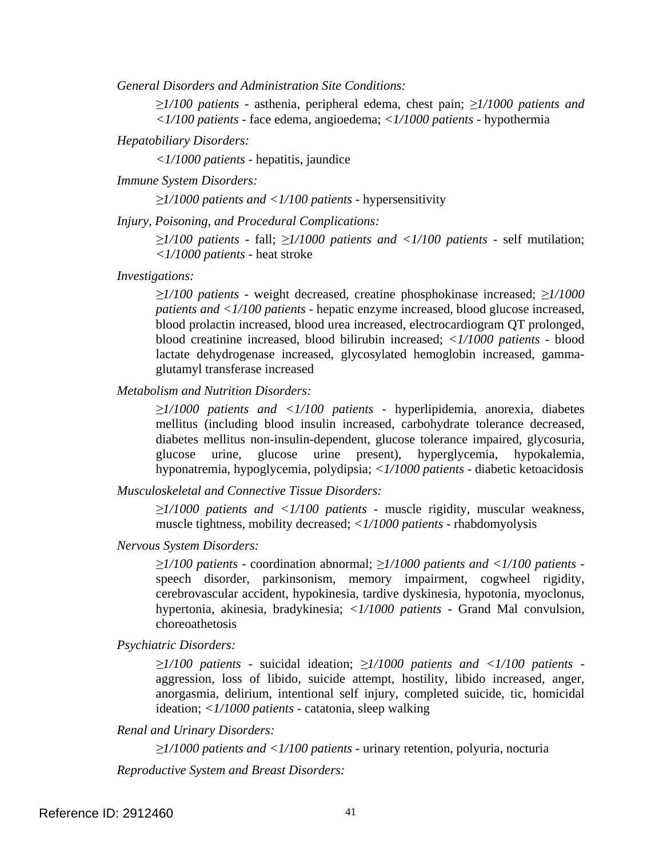*General Disorders and Administration Site Conditions:* 

*≥1/100 patients* - asthenia, peripheral edema, chest pain; *≥1/1000 patients and <1/100 patients -* face edema, angioedema; *<1/1000 patients* - hypothermia

*Hepatobiliary Disorders:* 

*<1/1000 patients* - hepatitis, jaundice

*Immune System Disorders:* 

*≥1/1000 patients and <1/100 patients* - hypersensitivity

*Injury, Poisoning, and Procedural Complications:* 

*≥1/100 patients* - fall; *≥1/1000 patients and <1/100 patients* - self mutilation; *<1/1000 patients* - heat stroke

*Investigations:* 

*≥1/100 patients* - weight decreased, creatine phosphokinase increased; *≥1/1000 patients and <1/100 patients* - hepatic enzyme increased, blood glucose increased, blood prolactin increased, blood urea increased, electrocardiogram QT prolonged, blood creatinine increased, blood bilirubin increased; *<1/1000 patients* - blood lactate dehydrogenase increased, glycosylated hemoglobin increased, gammaglutamyl transferase increased

*Metabolism and Nutrition Disorders:* 

*≥1/1000 patients and <1/100 patients* - hyperlipidemia, anorexia, diabetes mellitus (including blood insulin increased, carbohydrate tolerance decreased, diabetes mellitus non-insulin-dependent, glucose tolerance impaired, glycosuria, glucose urine, glucose urine present), hyperglycemia, hypokalemia, hyponatremia, hypoglycemia, polydipsia; *<1/1000 patients -* diabetic ketoacidosis

*Musculoskeletal and Connective Tissue Disorders:* 

*≥1/1000 patients and <1/100 patients* - muscle rigidity, muscular weakness, muscle tightness, mobility decreased; *<1/1000 patients* - rhabdomyolysis

*Nervous System Disorders:* 

*≥1/100 patients* - coordination abnormal; *≥1/1000 patients and <1/100 patients*  speech disorder, parkinsonism, memory impairment, cogwheel rigidity, cerebrovascular accident, hypokinesia, tardive dyskinesia, hypotonia, myoclonus, hypertonia, akinesia, bradykinesia; *<1/1000 patients* - Grand Mal convulsion, choreoathetosis

*Psychiatric Disorders:* 

*≥1/100 patients* - suicidal ideation; *≥1/1000 patients and <1/100 patients*  aggression, loss of libido, suicide attempt, hostility, libido increased, anger, anorgasmia, delirium, intentional self injury, completed suicide, tic, homicidal ideation; *<1/1000 patients* - catatonia, sleep walking

*Renal and Urinary Disorders:* 

*≥1/1000 patients and <1/100 patients* - urinary retention, polyuria, nocturia

*Reproductive System and Breast Disorders:*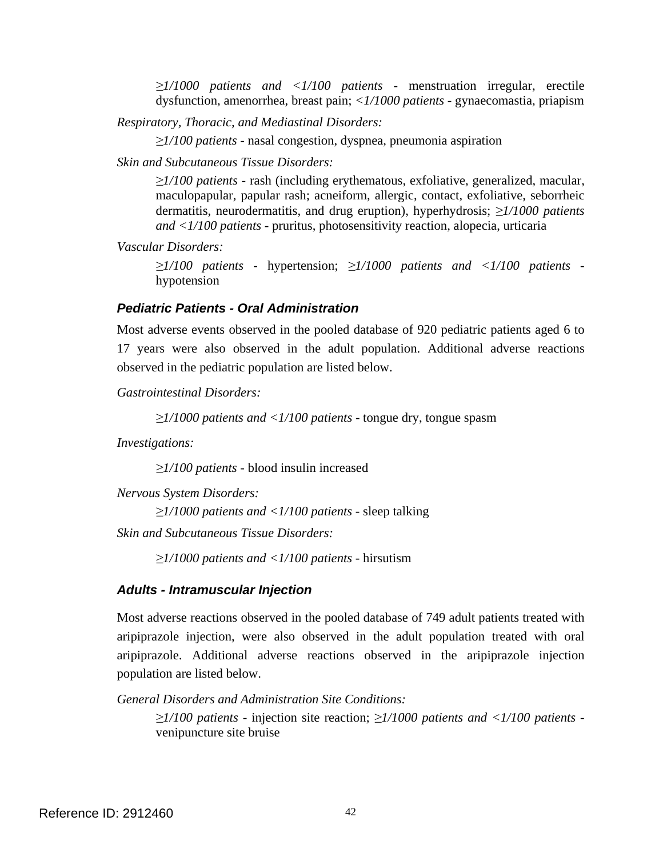*≥1/1000 patients and <1/100 patients* - menstruation irregular, erectile dysfunction, amenorrhea, breast pain; *<1/1000 patients* - gynaecomastia, priapism

*Respiratory, Thoracic, and Mediastinal Disorders:* 

*≥1/100 patients -* nasal congestion, dyspnea, pneumonia aspiration

*Skin and Subcutaneous Tissue Disorders:* 

*≥1/100 patients -* rash (including erythematous, exfoliative, generalized, macular, maculopapular, papular rash; acneiform, allergic, contact, exfoliative, seborrheic dermatitis, neurodermatitis, and drug eruption), hyperhydrosis; *≥1/1000 patients and <1/100 patients* - pruritus, photosensitivity reaction, alopecia, urticaria

*Vascular Disorders:* 

*≥1/100 patients -* hypertension; *≥1/1000 patients and <1/100 patients* hypotension

#### *Pediatric Patients - Oral Administration*

Most adverse events observed in the pooled database of 920 pediatric patients aged 6 to 17 years were also observed in the adult population. Additional adverse reactions observed in the pediatric population are listed below.

*Gastrointestinal Disorders:* 

*≥1/1000 patients and <1/100 patients -* tongue dry, tongue spasm

*Investigations:* 

*≥1/100 patients -* blood insulin increased

*Nervous System Disorders:* 

*≥1/1000 patients and <1/100 patients* - sleep talking

*Skin and Subcutaneous Tissue Disorders:* 

*≥1/1000 patients and <1/100 patients* - hirsutism

#### *Adults - Intramuscular Injection*

Most adverse reactions observed in the pooled database of 749 adult patients treated with aripiprazole injection, were also observed in the adult population treated with oral aripiprazole. Additional adverse reactions observed in the aripiprazole injection population are listed below.

*General Disorders and Administration Site Conditions:* 

*≥1/100 patients -* injection site reaction; *≥1/1000 patients and <1/100 patients* venipuncture site bruise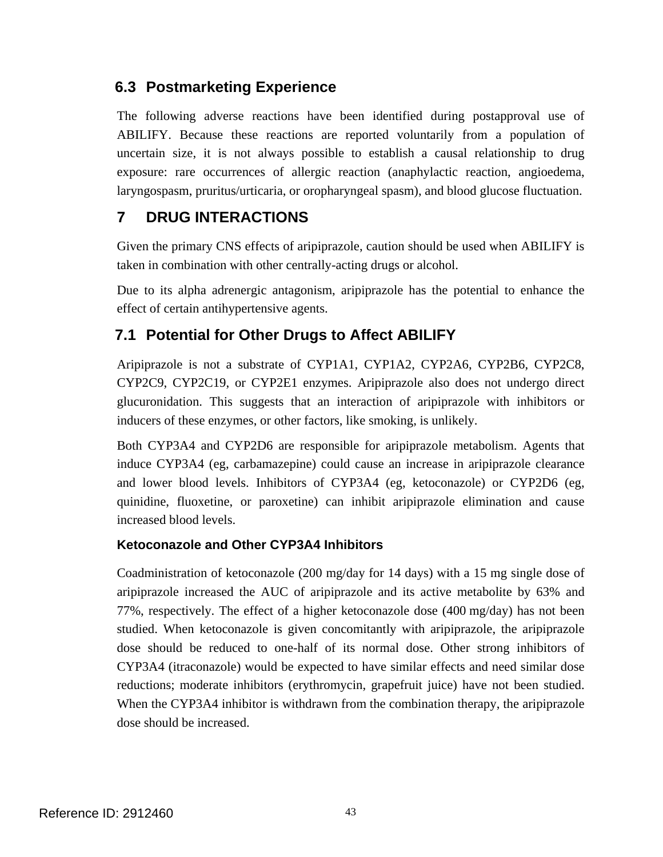# **6.3 Postmarketing Experience**

The following adverse reactions have been identified during postapproval use of ABILIFY. Because these reactions are reported voluntarily from a population of uncertain size, it is not always possible to establish a causal relationship to drug exposure: rare occurrences of allergic reaction (anaphylactic reaction, angioedema, laryngospasm, pruritus/urticaria, or oropharyngeal spasm), and blood glucose fluctuation.

# **7 DRUG INTERACTIONS**

Given the primary CNS effects of aripiprazole, caution should be used when ABILIFY is taken in combination with other centrally-acting drugs or alcohol.

Due to its alpha adrenergic antagonism, aripiprazole has the potential to enhance the effect of certain antihypertensive agents.

# **7.1 Potential for Other Drugs to Affect ABILIFY**

Aripiprazole is not a substrate of CYP1A1, CYP1A2, CYP2A6, CYP2B6, CYP2C8, CYP2C9, CYP2C19, or CYP2E1 enzymes. Aripiprazole also does not undergo direct glucuronidation. This suggests that an interaction of aripiprazole with inhibitors or inducers of these enzymes, or other factors, like smoking, is unlikely.

Both CYP3A4 and CYP2D6 are responsible for aripiprazole metabolism. Agents that induce CYP3A4 (eg, carbamazepine) could cause an increase in aripiprazole clearance and lower blood levels. Inhibitors of CYP3A4 (eg, ketoconazole) or CYP2D6 (eg, quinidine, fluoxetine, or paroxetine) can inhibit aripiprazole elimination and cause increased blood levels.

## **Ketoconazole and Other CYP3A4 Inhibitors**

Coadministration of ketoconazole (200 mg/day for 14 days) with a 15 mg single dose of aripiprazole increased the AUC of aripiprazole and its active metabolite by 63% and 77%, respectively. The effect of a higher ketoconazole dose (400 mg/day) has not been studied. When ketoconazole is given concomitantly with aripiprazole, the aripiprazole dose should be reduced to one-half of its normal dose. Other strong inhibitors of CYP3A4 (itraconazole) would be expected to have similar effects and need similar dose reductions; moderate inhibitors (erythromycin, grapefruit juice) have not been studied. When the CYP3A4 inhibitor is withdrawn from the combination therapy, the aripiprazole dose should be increased.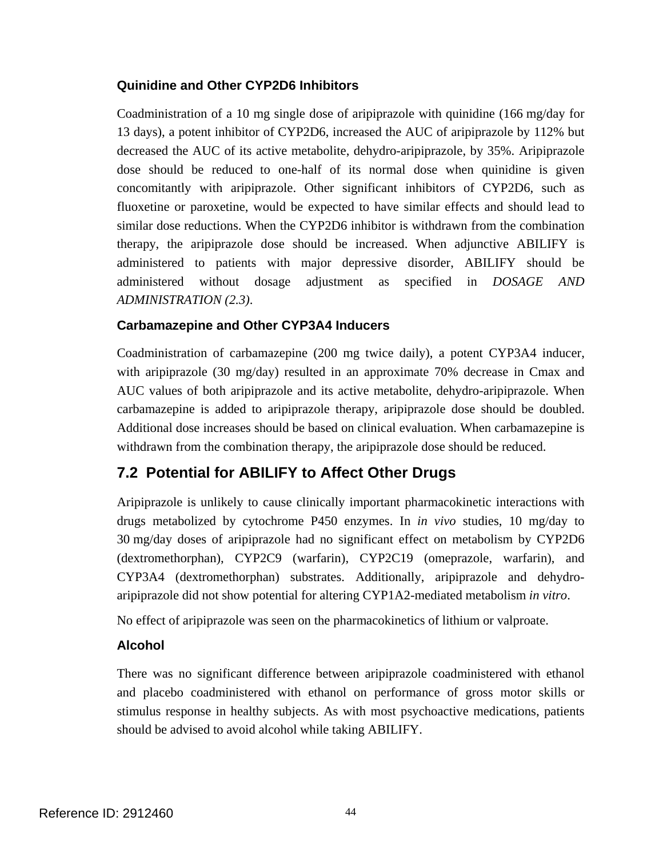### **Quinidine and Other CYP2D6 Inhibitors**

Coadministration of a 10 mg single dose of aripiprazole with quinidine (166 mg/day for 13 days), a potent inhibitor of CYP2D6, increased the AUC of aripiprazole by 112% but decreased the AUC of its active metabolite, dehydro-aripiprazole, by 35%. Aripiprazole dose should be reduced to one-half of its normal dose when quinidine is given concomitantly with aripiprazole. Other significant inhibitors of CYP2D6, such as fluoxetine or paroxetine, would be expected to have similar effects and should lead to similar dose reductions. When the CYP2D6 inhibitor is withdrawn from the combination therapy, the aripiprazole dose should be increased. When adjunctive ABILIFY is administered to patients with major depressive disorder, ABILIFY should be administered without dosage adjustment as specified in *DOSAGE AND ADMINISTRATION (2.3)*.

### **Carbamazepine and Other CYP3A4 Inducers**

Coadministration of carbamazepine (200 mg twice daily), a potent CYP3A4 inducer, with aripiprazole (30 mg/day) resulted in an approximate 70% decrease in Cmax and AUC values of both aripiprazole and its active metabolite, dehydro-aripiprazole. When carbamazepine is added to aripiprazole therapy, aripiprazole dose should be doubled. Additional dose increases should be based on clinical evaluation. When carbamazepine is withdrawn from the combination therapy, the aripiprazole dose should be reduced.

# **7.2 Potential for ABILIFY to Affect Other Drugs**

Aripiprazole is unlikely to cause clinically important pharmacokinetic interactions with drugs metabolized by cytochrome P450 enzymes. In *in vivo* studies, 10 mg/day to 30 mg/day doses of aripiprazole had no significant effect on metabolism by CYP2D6 (dextromethorphan), CYP2C9 (warfarin), CYP2C19 (omeprazole, warfarin), and CYP3A4 (dextromethorphan) substrates. Additionally, aripiprazole and dehydroaripiprazole did not show potential for altering CYP1A2-mediated metabolism *in vitro*.

No effect of aripiprazole was seen on the pharmacokinetics of lithium or valproate.

## **Alcohol**

There was no significant difference between aripiprazole coadministered with ethanol and placebo coadministered with ethanol on performance of gross motor skills or stimulus response in healthy subjects. As with most psychoactive medications, patients should be advised to avoid alcohol while taking ABILIFY.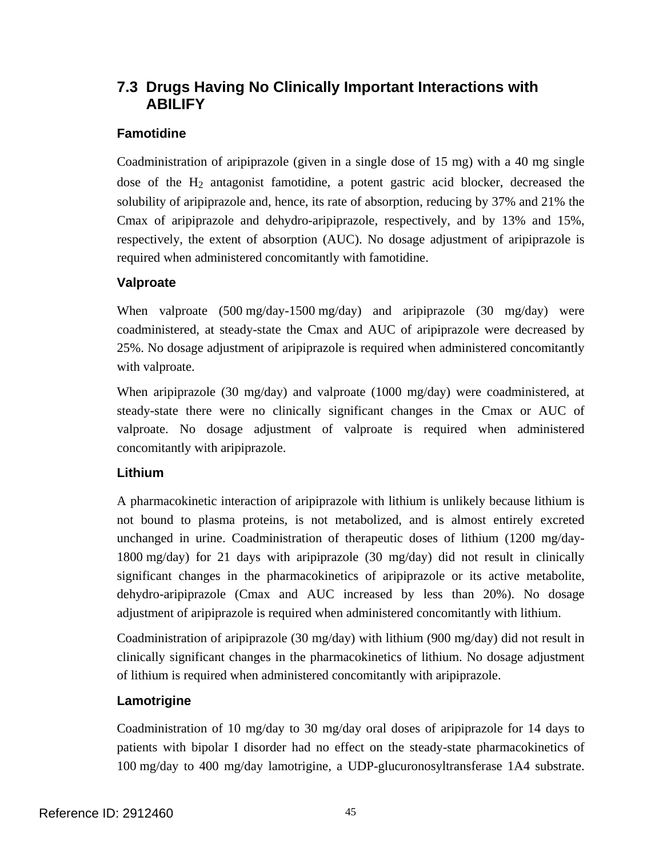# **7.3 Drugs Having No Clinically Important Interactions with ABILIFY**

## **Famotidine**

Coadministration of aripiprazole (given in a single dose of 15 mg) with a 40 mg single dose of the  $H_2$  antagonist famotidine, a potent gastric acid blocker, decreased the solubility of aripiprazole and, hence, its rate of absorption, reducing by 37% and 21% the Cmax of aripiprazole and dehydro-aripiprazole, respectively, and by 13% and 15%, respectively, the extent of absorption (AUC). No dosage adjustment of aripiprazole is required when administered concomitantly with famotidine.

## **Valproate**

When valproate  $(500 \text{ mg/day}-1500 \text{ mg/day})$  and aripiprazole  $(30 \text{ mg/day})$  were coadministered, at steady-state the Cmax and AUC of aripiprazole were decreased by 25%. No dosage adjustment of aripiprazole is required when administered concomitantly with valproate.

When aripiprazole (30 mg/day) and valproate (1000 mg/day) were coadministered, at steady-state there were no clinically significant changes in the Cmax or AUC of valproate. No dosage adjustment of valproate is required when administered concomitantly with aripiprazole.

## **Lithium**

A pharmacokinetic interaction of aripiprazole with lithium is unlikely because lithium is not bound to plasma proteins, is not metabolized, and is almost entirely excreted unchanged in urine. Coadministration of therapeutic doses of lithium (1200 mg/day-1800 mg/day) for 21 days with aripiprazole (30 mg/day) did not result in clinically significant changes in the pharmacokinetics of aripiprazole or its active metabolite, dehydro-aripiprazole (Cmax and AUC increased by less than 20%). No dosage adjustment of aripiprazole is required when administered concomitantly with lithium.

Coadministration of aripiprazole (30 mg/day) with lithium (900 mg/day) did not result in clinically significant changes in the pharmacokinetics of lithium. No dosage adjustment of lithium is required when administered concomitantly with aripiprazole.

## **Lamotrigine**

Coadministration of 10 mg/day to 30 mg/day oral doses of aripiprazole for 14 days to patients with bipolar I disorder had no effect on the steady-state pharmacokinetics of 100 mg/day to 400 mg/day lamotrigine, a UDP-glucuronosyltransferase 1A4 substrate.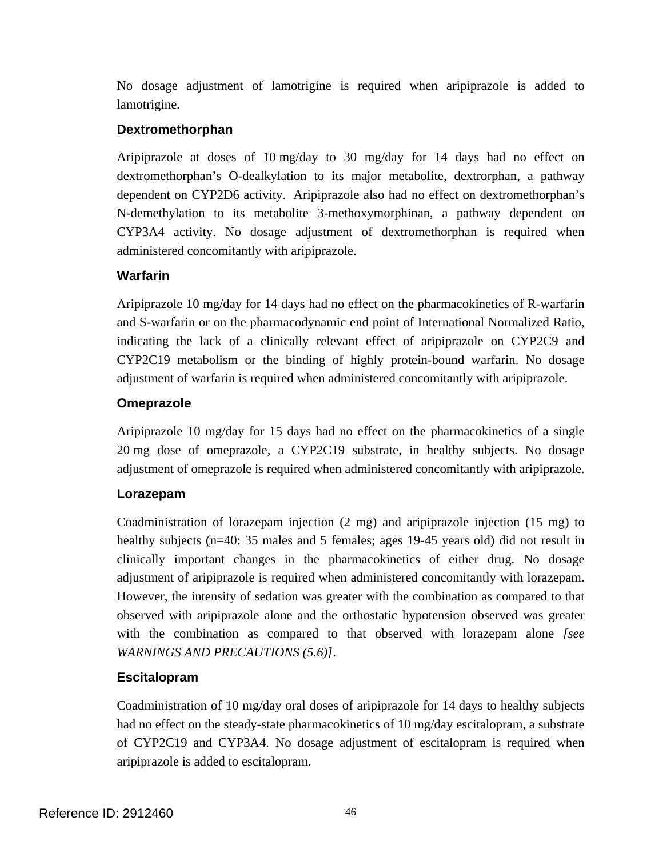No dosage adjustment of lamotrigine is required when aripiprazole is added to lamotrigine.

### **Dextromethorphan**

Aripiprazole at doses of 10 mg/day to 30 mg/day for 14 days had no effect on dextromethorphan's O-dealkylation to its major metabolite, dextrorphan, a pathway dependent on CYP2D6 activity. Aripiprazole also had no effect on dextromethorphan's N-demethylation to its metabolite 3-methoxymorphinan, a pathway dependent on CYP3A4 activity. No dosage adjustment of dextromethorphan is required when administered concomitantly with aripiprazole.

### **Warfarin**

Aripiprazole 10 mg/day for 14 days had no effect on the pharmacokinetics of R-warfarin and S-warfarin or on the pharmacodynamic end point of International Normalized Ratio, indicating the lack of a clinically relevant effect of aripiprazole on CYP2C9 and CYP2C19 metabolism or the binding of highly protein-bound warfarin. No dosage adjustment of warfarin is required when administered concomitantly with aripiprazole.

### **Omeprazole**

Aripiprazole 10 mg/day for 15 days had no effect on the pharmacokinetics of a single 20 mg dose of omeprazole, a CYP2C19 substrate, in healthy subjects. No dosage adjustment of omeprazole is required when administered concomitantly with aripiprazole.

## **Lorazepam**

Coadministration of lorazepam injection (2 mg) and aripiprazole injection (15 mg) to healthy subjects (n=40: 35 males and 5 females; ages 19-45 years old) did not result in clinically important changes in the pharmacokinetics of either drug. No dosage adjustment of aripiprazole is required when administered concomitantly with lorazepam. However, the intensity of sedation was greater with the combination as compared to that observed with aripiprazole alone and the orthostatic hypotension observed was greater with the combination as compared to that observed with lorazepam alone *[see WARNINGS AND PRECAUTIONS (5.6)]*.

## **Escitalopram**

Coadministration of 10 mg/day oral doses of aripiprazole for 14 days to healthy subjects had no effect on the steady-state pharmacokinetics of 10 mg/day escitalopram, a substrate of CYP2C19 and CYP3A4. No dosage adjustment of escitalopram is required when aripiprazole is added to escitalopram.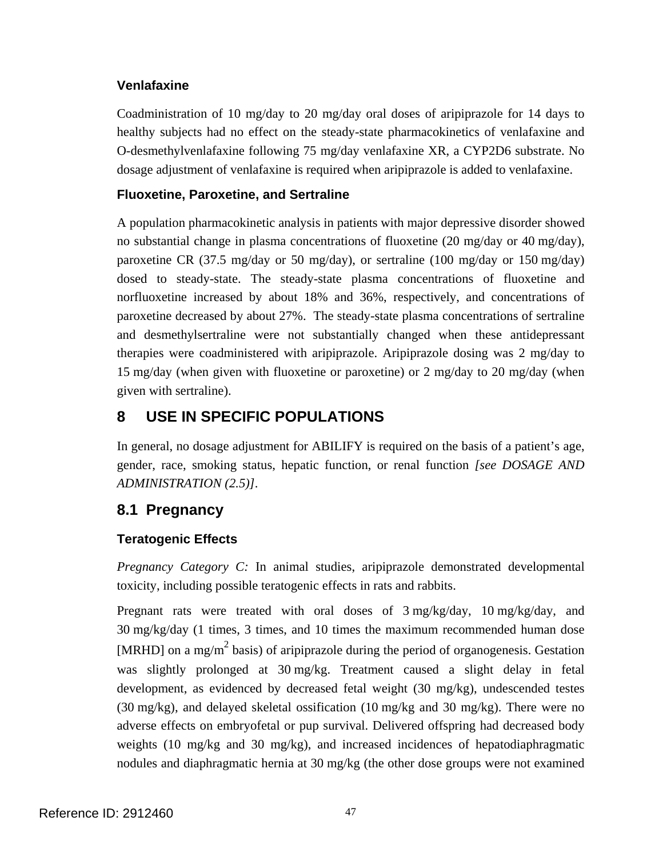## **Venlafaxine**

Coadministration of 10 mg/day to 20 mg/day oral doses of aripiprazole for 14 days to healthy subjects had no effect on the steady-state pharmacokinetics of venlafaxine and O-desmethylvenlafaxine following 75 mg/day venlafaxine XR, a CYP2D6 substrate. No dosage adjustment of venlafaxine is required when aripiprazole is added to venlafaxine.

### **Fluoxetine, Paroxetine, and Sertraline**

A population pharmacokinetic analysis in patients with major depressive disorder showed no substantial change in plasma concentrations of fluoxetine (20 mg/day or 40 mg/day), paroxetine CR (37.5 mg/day or 50 mg/day), or sertraline (100 mg/day or 150 mg/day) dosed to steady-state. The steady-state plasma concentrations of fluoxetine and norfluoxetine increased by about 18% and 36%, respectively, and concentrations of paroxetine decreased by about 27%. The steady-state plasma concentrations of sertraline and desmethylsertraline were not substantially changed when these antidepressant therapies were coadministered with aripiprazole. Aripiprazole dosing was 2 mg/day to 15 mg/day (when given with fluoxetine or paroxetine) or 2 mg/day to 20 mg/day (when given with sertraline).

# **8 USE IN SPECIFIC POPULATIONS**

In general, no dosage adjustment for ABILIFY is required on the basis of a patient's age, gender, race, smoking status, hepatic function, or renal function *[see DOSAGE AND ADMINISTRATION (2.5)]*.

# **8.1 Pregnancy**

## **Teratogenic Effects**

*Pregnancy Category C:* In animal studies, aripiprazole demonstrated developmental toxicity, including possible teratogenic effects in rats and rabbits.

Pregnant rats were treated with oral doses of 3 mg/kg/day, 10 mg/kg/day, and 30 mg/kg/day (1 times, 3 times, and 10 times the maximum recommended human dose [MRHD] on a mg/m<sup>2</sup> basis) of aripiprazole during the period of organogenesis. Gestation was slightly prolonged at 30 mg/kg. Treatment caused a slight delay in fetal development, as evidenced by decreased fetal weight (30 mg/kg), undescended testes (30 mg/kg), and delayed skeletal ossification (10 mg/kg and 30 mg/kg). There were no adverse effects on embryofetal or pup survival. Delivered offspring had decreased body weights (10 mg/kg and 30 mg/kg), and increased incidences of hepatodiaphragmatic nodules and diaphragmatic hernia at 30 mg/kg (the other dose groups were not examined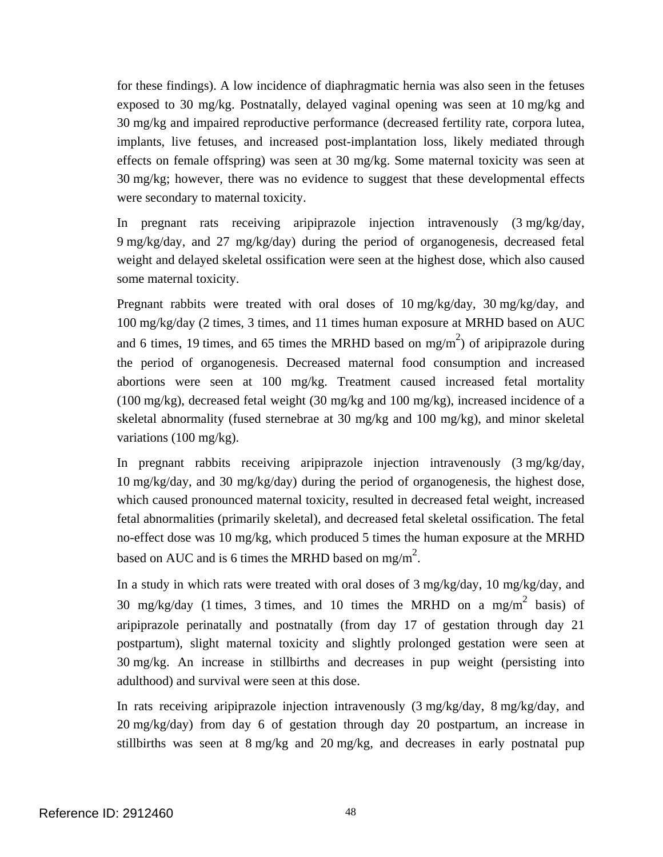for these findings). A low incidence of diaphragmatic hernia was also seen in the fetuses exposed to 30 mg/kg. Postnatally, delayed vaginal opening was seen at 10 mg/kg and 30 mg/kg and impaired reproductive performance (decreased fertility rate, corpora lutea, implants, live fetuses, and increased post-implantation loss, likely mediated through effects on female offspring) was seen at 30 mg/kg. Some maternal toxicity was seen at 30 mg/kg; however, there was no evidence to suggest that these developmental effects were secondary to maternal toxicity.

In pregnant rats receiving aripiprazole injection intravenously (3 mg/kg/day, 9 mg/kg/day, and 27 mg/kg/day) during the period of organogenesis, decreased fetal weight and delayed skeletal ossification were seen at the highest dose, which also caused some maternal toxicity.

Pregnant rabbits were treated with oral doses of 10 mg/kg/day, 30 mg/kg/day, and 100 mg/kg/day (2 times, 3 times, and 11 times human exposure at MRHD based on AUC and 6 times, 19 times, and 65 times the MRHD based on mg/m<sup>2</sup>) of aripiprazole during the period of organogenesis. Decreased maternal food consumption and increased abortions were seen at 100 mg/kg. Treatment caused increased fetal mortality  $(100 \text{ mg/kg})$ , decreased fetal weight  $(30 \text{ mg/kg})$  and  $100 \text{ mg/kg}$ , increased incidence of a skeletal abnormality (fused sternebrae at 30 mg/kg and 100 mg/kg), and minor skeletal variations (100 mg/kg).

In pregnant rabbits receiving aripiprazole injection intravenously (3 mg/kg/day, 10 mg/kg/day, and 30 mg/kg/day) during the period of organogenesis, the highest dose, which caused pronounced maternal toxicity, resulted in decreased fetal weight, increased fetal abnormalities (primarily skeletal), and decreased fetal skeletal ossification. The fetal no-effect dose was 10 mg/kg, which produced 5 times the human exposure at the MRHD based on AUC and is 6 times the MRHD based on mg/m<sup>2</sup>.

In a study in which rats were treated with oral doses of 3 mg/kg/day, 10 mg/kg/day, and 30 mg/kg/day (1 times, 3 times, and 10 times the MRHD on a mg/m<sup>2</sup> basis) of aripiprazole perinatally and postnatally (from day 17 of gestation through day 21 postpartum), slight maternal toxicity and slightly prolonged gestation were seen at 30 mg/kg. An increase in stillbirths and decreases in pup weight (persisting into adulthood) and survival were seen at this dose.

In rats receiving aripiprazole injection intravenously (3 mg/kg/day, 8 mg/kg/day, and 20 mg/kg/day) from day 6 of gestation through day 20 postpartum, an increase in stillbirths was seen at 8 mg/kg and 20 mg/kg, and decreases in early postnatal pup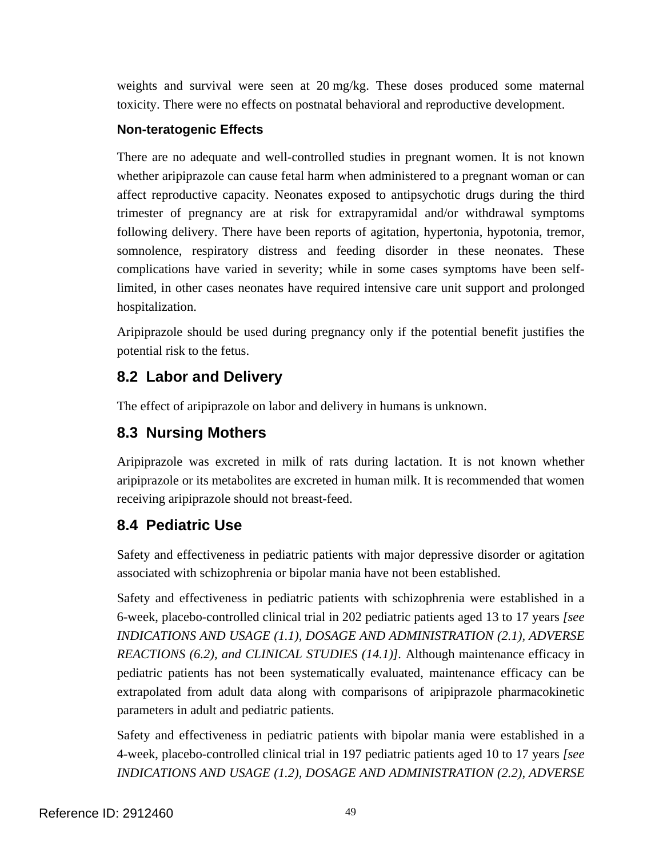weights and survival were seen at 20 mg/kg. These doses produced some maternal toxicity. There were no effects on postnatal behavioral and reproductive development.

### **Non-teratogenic Effects**

There are no adequate and well-controlled studies in pregnant women. It is not known whether aripiprazole can cause fetal harm when administered to a pregnant woman or can affect reproductive capacity. Neonates exposed to antipsychotic drugs during the third trimester of pregnancy are at risk for extrapyramidal and/or withdrawal symptoms following delivery. There have been reports of agitation, hypertonia, hypotonia, tremor, somnolence, respiratory distress and feeding disorder in these neonates. These complications have varied in severity; while in some cases symptoms have been selflimited, in other cases neonates have required intensive care unit support and prolonged hospitalization.

Aripiprazole should be used during pregnancy only if the potential benefit justifies the potential risk to the fetus.

# **8.2 Labor and Delivery**

The effect of aripiprazole on labor and delivery in humans is unknown.

# **8.3 Nursing Mothers**

Aripiprazole was excreted in milk of rats during lactation. It is not known whether aripiprazole or its metabolites are excreted in human milk. It is recommended that women receiving aripiprazole should not breast-feed.

# **8.4 Pediatric Use**

Safety and effectiveness in pediatric patients with major depressive disorder or agitation associated with schizophrenia or bipolar mania have not been established.

Safety and effectiveness in pediatric patients with schizophrenia were established in a 6-week, placebo-controlled clinical trial in 202 pediatric patients aged 13 to 17 years *[see INDICATIONS AND USAGE (1.1), DOSAGE AND ADMINISTRATION (2.1), ADVERSE REACTIONS (6.2), and CLINICAL STUDIES (14.1)].* Although maintenance efficacy in pediatric patients has not been systematically evaluated, maintenance efficacy can be extrapolated from adult data along with comparisons of aripiprazole pharmacokinetic parameters in adult and pediatric patients.

Safety and effectiveness in pediatric patients with bipolar mania were established in a 4-week, placebo-controlled clinical trial in 197 pediatric patients aged 10 to 17 years *[see INDICATIONS AND USAGE (1.2), DOSAGE AND ADMINISTRATION (2.2), ADVERSE*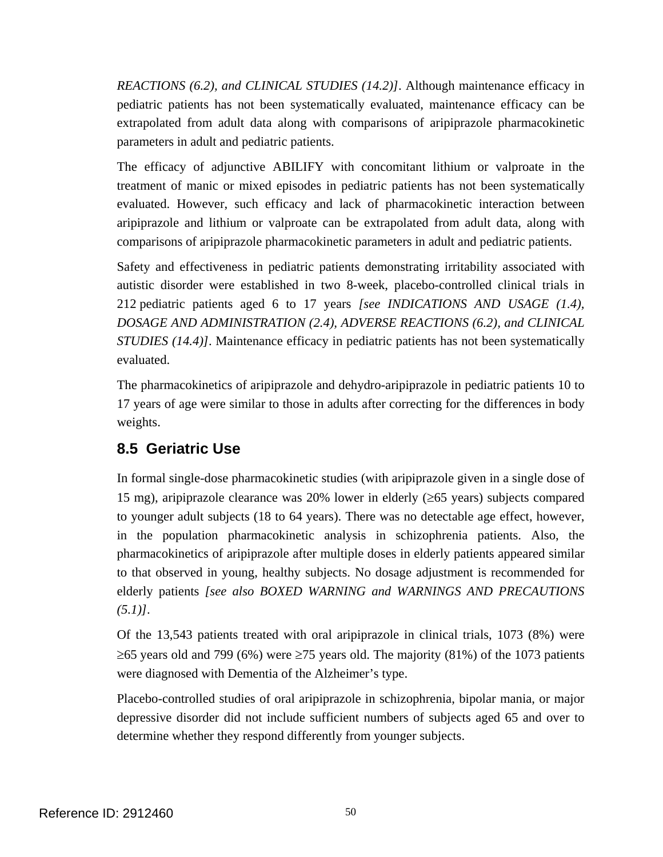*REACTIONS (6.2), and CLINICAL STUDIES (14.2)]*. Although maintenance efficacy in pediatric patients has not been systematically evaluated, maintenance efficacy can be extrapolated from adult data along with comparisons of aripiprazole pharmacokinetic parameters in adult and pediatric patients.

The efficacy of adjunctive ABILIFY with concomitant lithium or valproate in the treatment of manic or mixed episodes in pediatric patients has not been systematically evaluated. However, such efficacy and lack of pharmacokinetic interaction between aripiprazole and lithium or valproate can be extrapolated from adult data, along with comparisons of aripiprazole pharmacokinetic parameters in adult and pediatric patients.

Safety and effectiveness in pediatric patients demonstrating irritability associated with autistic disorder were established in two 8-week, placebo-controlled clinical trials in 212 pediatric patients aged 6 to 17 years *[see INDICATIONS AND USAGE (1.4), DOSAGE AND ADMINISTRATION (2.4), ADVERSE REACTIONS (6.2), and CLINICAL STUDIES (14.4)]*. Maintenance efficacy in pediatric patients has not been systematically evaluated.

The pharmacokinetics of aripiprazole and dehydro-aripiprazole in pediatric patients 10 to 17 years of age were similar to those in adults after correcting for the differences in body weights.

# **8.5 Geriatric Use**

In formal single-dose pharmacokinetic studies (with aripiprazole given in a single dose of 15 mg), aripiprazole clearance was 20% lower in elderly (≥65 years) subjects compared to younger adult subjects (18 to 64 years). There was no detectable age effect, however, in the population pharmacokinetic analysis in schizophrenia patients. Also, the pharmacokinetics of aripiprazole after multiple doses in elderly patients appeared similar to that observed in young, healthy subjects. No dosage adjustment is recommended for elderly patients *[see also BOXED WARNING and WARNINGS AND PRECAUTIONS (5.1)]*.

Of the 13,543 patients treated with oral aripiprazole in clinical trials, 1073 (8%) were  $≥65$  years old and 799 (6%) were  $≥75$  years old. The majority (81%) of the 1073 patients were diagnosed with Dementia of the Alzheimer's type.

Placebo-controlled studies of oral aripiprazole in schizophrenia, bipolar mania, or major depressive disorder did not include sufficient numbers of subjects aged 65 and over to determine whether they respond differently from younger subjects.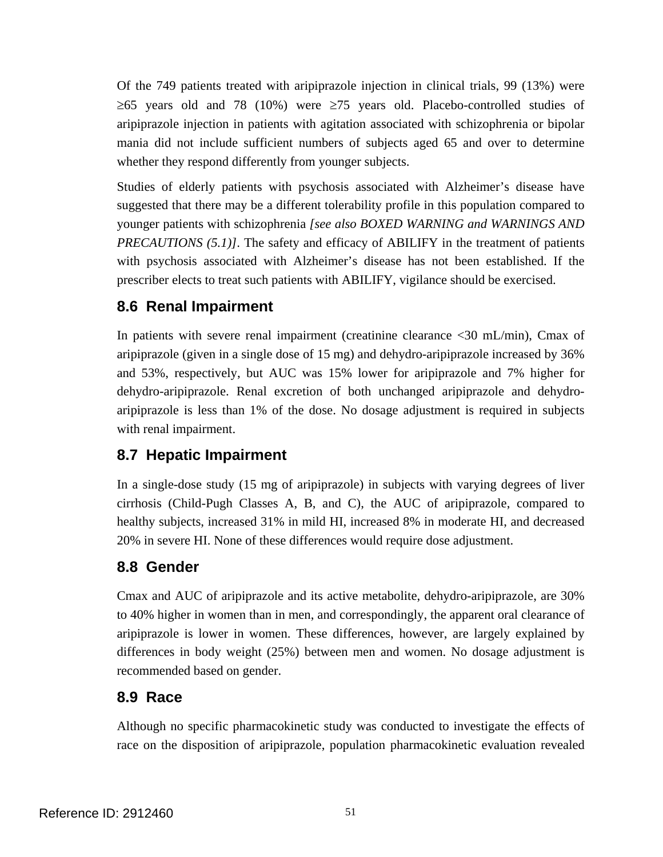Of the 749 patients treated with aripiprazole injection in clinical trials, 99 (13%) were  $≥65$  years old and 78 (10%) were  $≥75$  years old. Placebo-controlled studies of aripiprazole injection in patients with agitation associated with schizophrenia or bipolar mania did not include sufficient numbers of subjects aged 65 and over to determine whether they respond differently from younger subjects.

Studies of elderly patients with psychosis associated with Alzheimer's disease have suggested that there may be a different tolerability profile in this population compared to younger patients with schizophrenia *[see also BOXED WARNING and WARNINGS AND PRECAUTIONS (5.1)]*. The safety and efficacy of ABILIFY in the treatment of patients with psychosis associated with Alzheimer's disease has not been established. If the prescriber elects to treat such patients with ABILIFY, vigilance should be exercised.

# **8.6 Renal Impairment**

In patients with severe renal impairment (creatinine clearance <30 mL/min), Cmax of aripiprazole (given in a single dose of 15 mg) and dehydro-aripiprazole increased by 36% and 53%, respectively, but AUC was 15% lower for aripiprazole and 7% higher for dehydro-aripiprazole. Renal excretion of both unchanged aripiprazole and dehydroaripiprazole is less than 1% of the dose. No dosage adjustment is required in subjects with renal impairment.

# **8.7 Hepatic Impairment**

In a single-dose study (15 mg of aripiprazole) in subjects with varying degrees of liver cirrhosis (Child-Pugh Classes A, B, and C), the AUC of aripiprazole, compared to healthy subjects, increased 31% in mild HI, increased 8% in moderate HI, and decreased 20% in severe HI. None of these differences would require dose adjustment.

# **8.8 Gender**

Cmax and AUC of aripiprazole and its active metabolite, dehydro-aripiprazole, are 30% to 40% higher in women than in men, and correspondingly, the apparent oral clearance of aripiprazole is lower in women. These differences, however, are largely explained by differences in body weight (25%) between men and women. No dosage adjustment is recommended based on gender.

# **8.9 Race**

Although no specific pharmacokinetic study was conducted to investigate the effects of race on the disposition of aripiprazole, population pharmacokinetic evaluation revealed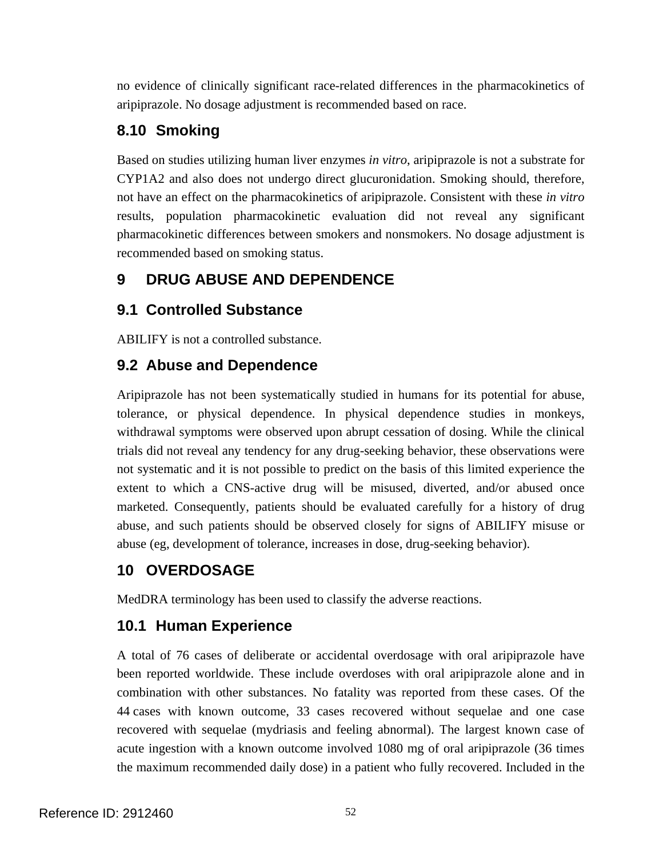no evidence of clinically significant race-related differences in the pharmacokinetics of aripiprazole. No dosage adjustment is recommended based on race.

# **8.10 Smoking**

Based on studies utilizing human liver enzymes *in vitro*, aripiprazole is not a substrate for CYP1A2 and also does not undergo direct glucuronidation. Smoking should, therefore, not have an effect on the pharmacokinetics of aripiprazole. Consistent with these *in vitro*  results, population pharmacokinetic evaluation did not reveal any significant pharmacokinetic differences between smokers and nonsmokers. No dosage adjustment is recommended based on smoking status.

# **9 DRUG ABUSE AND DEPENDENCE**

# **9.1 Controlled Substance**

ABILIFY is not a controlled substance.

# **9.2 Abuse and Dependence**

Aripiprazole has not been systematically studied in humans for its potential for abuse, tolerance, or physical dependence. In physical dependence studies in monkeys, withdrawal symptoms were observed upon abrupt cessation of dosing. While the clinical trials did not reveal any tendency for any drug-seeking behavior, these observations were not systematic and it is not possible to predict on the basis of this limited experience the extent to which a CNS-active drug will be misused, diverted, and/or abused once marketed. Consequently, patients should be evaluated carefully for a history of drug abuse, and such patients should be observed closely for signs of ABILIFY misuse or abuse (eg, development of tolerance, increases in dose, drug-seeking behavior).

# **10 OVERDOSAGE**

MedDRA terminology has been used to classify the adverse reactions.

# **10.1 Human Experience**

A total of 76 cases of deliberate or accidental overdosage with oral aripiprazole have been reported worldwide. These include overdoses with oral aripiprazole alone and in combination with other substances. No fatality was reported from these cases. Of the 44 cases with known outcome, 33 cases recovered without sequelae and one case recovered with sequelae (mydriasis and feeling abnormal). The largest known case of acute ingestion with a known outcome involved 1080 mg of oral aripiprazole (36 times the maximum recommended daily dose) in a patient who fully recovered. Included in the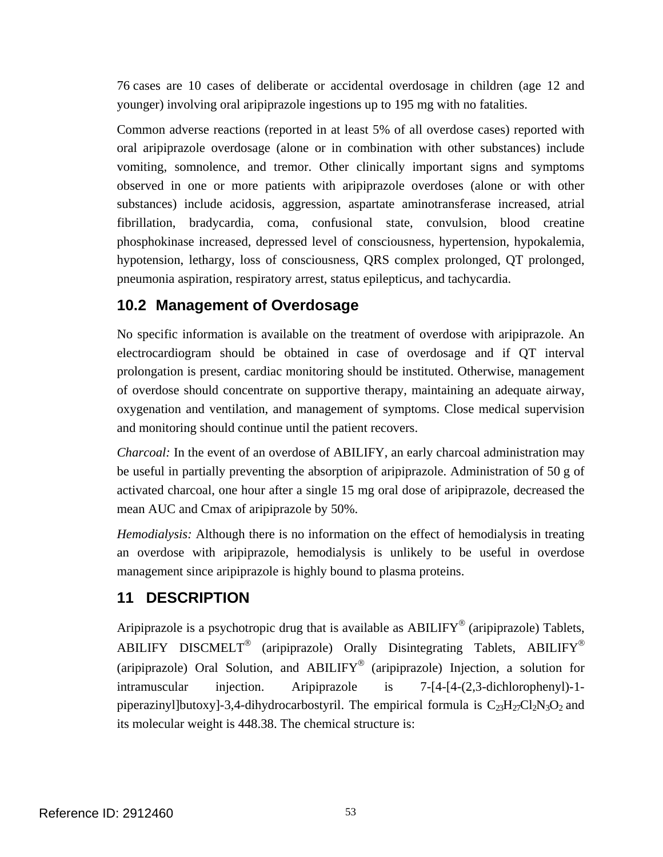76 cases are 10 cases of deliberate or accidental overdosage in children (age 12 and younger) involving oral aripiprazole ingestions up to 195 mg with no fatalities.

Common adverse reactions (reported in at least 5% of all overdose cases) reported with oral aripiprazole overdosage (alone or in combination with other substances) include vomiting, somnolence, and tremor. Other clinically important signs and symptoms observed in one or more patients with aripiprazole overdoses (alone or with other substances) include acidosis, aggression, aspartate aminotransferase increased, atrial fibrillation, bradycardia, coma, confusional state, convulsion, blood creatine phosphokinase increased, depressed level of consciousness, hypertension, hypokalemia, hypotension, lethargy, loss of consciousness, QRS complex prolonged, QT prolonged, pneumonia aspiration, respiratory arrest, status epilepticus, and tachycardia.

# **10.2 Management of Overdosage**

No specific information is available on the treatment of overdose with aripiprazole. An electrocardiogram should be obtained in case of overdosage and if QT interval prolongation is present, cardiac monitoring should be instituted. Otherwise, management of overdose should concentrate on supportive therapy, maintaining an adequate airway, oxygenation and ventilation, and management of symptoms. Close medical supervision and monitoring should continue until the patient recovers.

*Charcoal:* In the event of an overdose of ABILIFY, an early charcoal administration may be useful in partially preventing the absorption of aripiprazole. Administration of 50 g of activated charcoal, one hour after a single 15 mg oral dose of aripiprazole, decreased the mean AUC and Cmax of aripiprazole by 50%.

*Hemodialysis:* Although there is no information on the effect of hemodialysis in treating an overdose with aripiprazole, hemodialysis is unlikely to be useful in overdose management since aripiprazole is highly bound to plasma proteins.

# **11 DESCRIPTION**

Aripiprazole is a psychotropic drug that is available as ABILIFY<sup>®</sup> (aripiprazole) Tablets, ABILIFY DISCMELT<sup>®</sup> (aripiprazole) Orally Disintegrating Tablets, ABILIFY<sup>®</sup> (aripiprazole) Oral Solution, and ABILIFY<sup>®</sup> (aripiprazole) Injection, a solution for intramuscular injection. Aripiprazole is 7-[4-[4-(2,3-dichlorophenyl)-1 piperazinyl]butoxy]-3,4-dihydrocarbostyril. The empirical formula is  $C_{23}H_{27}Cl_2N_3O_2$  and its molecular weight is 448.38. The chemical structure is: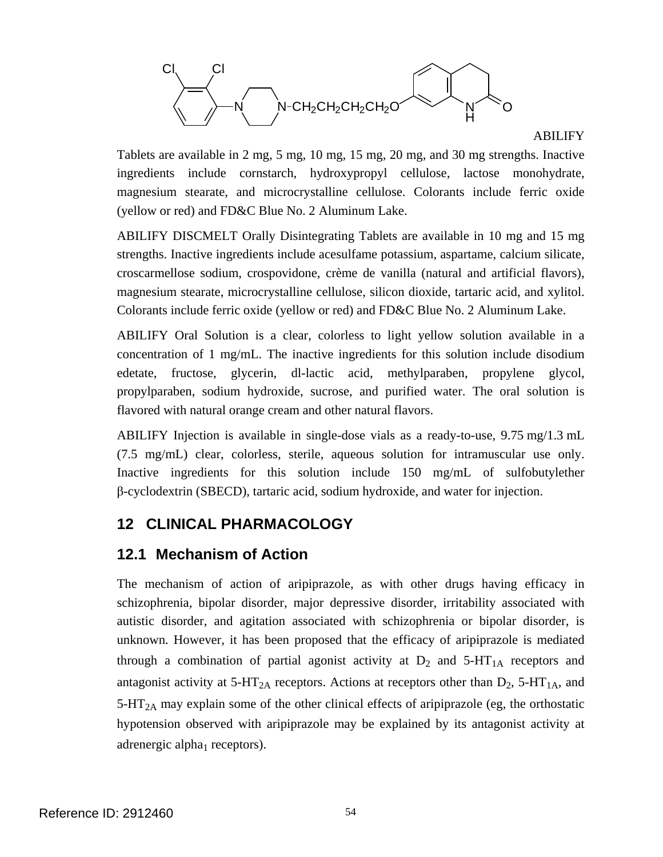

#### ABILIFY

Tablets are available in 2 mg, 5 mg, 10 mg, 15 mg, 20 mg, and 30 mg strengths. Inactive ingredients include cornstarch, hydroxypropyl cellulose, lactose monohydrate, magnesium stearate, and microcrystalline cellulose. Colorants include ferric oxide (yellow or red) and FD&C Blue No. 2 Aluminum Lake.

ABILIFY DISCMELT Orally Disintegrating Tablets are available in 10 mg and 15 mg strengths. Inactive ingredients include acesulfame potassium, aspartame, calcium silicate, croscarmellose sodium, crospovidone, crème de vanilla (natural and artificial flavors), magnesium stearate, microcrystalline cellulose, silicon dioxide, tartaric acid, and xylitol. Colorants include ferric oxide (yellow or red) and FD&C Blue No. 2 Aluminum Lake.

ABILIFY Oral Solution is a clear, colorless to light yellow solution available in a concentration of 1 mg/mL. The inactive ingredients for this solution include disodium edetate, fructose, glycerin, dl-lactic acid, methylparaben, propylene glycol, propylparaben, sodium hydroxide, sucrose, and purified water. The oral solution is flavored with natural orange cream and other natural flavors.

ABILIFY Injection is available in single-dose vials as a ready-to-use, 9.75 mg/1.3 mL (7.5 mg/mL) clear, colorless, sterile, aqueous solution for intramuscular use only. Inactive ingredients for this solution include 150 mg/mL of sulfobutylether β-cyclodextrin (SBECD), tartaric acid, sodium hydroxide, and water for injection.

## **12 CLINICAL PHARMACOLOGY**

## **12.1 Mechanism of Action**

The mechanism of action of aripiprazole, as with other drugs having efficacy in schizophrenia, bipolar disorder, major depressive disorder, irritability associated with autistic disorder, and agitation associated with schizophrenia or bipolar disorder, is unknown. However, it has been proposed that the efficacy of aripiprazole is mediated through a combination of partial agonist activity at  $D_2$  and  $5-HT_{1A}$  receptors and antagonist activity at  $5-HT_{2A}$  receptors. Actions at receptors other than  $D_2$ ,  $5-HT_{1A}$ , and  $5-HT<sub>2A</sub>$  may explain some of the other clinical effects of aripiprazole (eg, the orthostatic hypotension observed with aripiprazole may be explained by its antagonist activity at adrenergic alpha<sub>1</sub> receptors).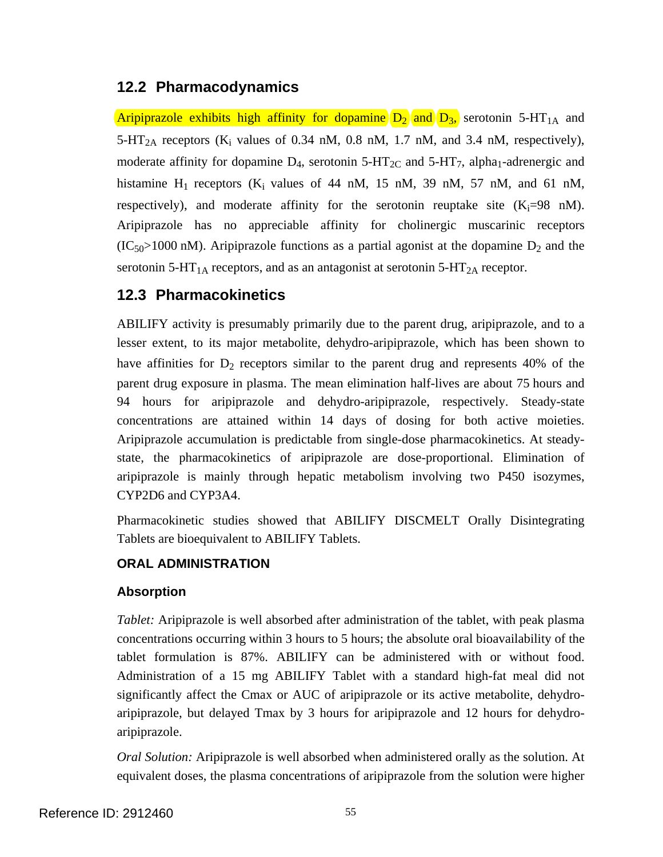# **12.2 Pharmacodynamics**

Aripiprazole exhibits high affinity for dopamine  $D_2$  and  $D_3$ , serotonin 5-HT<sub>1A</sub> and 5-HT<sub>2A</sub> receptors ( $K_i$  values of 0.34 nM, 0.8 nM, 1.7 nM, and 3.4 nM, respectively), moderate affinity for dopamine  $D_4$ , serotonin 5-HT<sub>2C</sub> and 5-HT<sub>7</sub>, alpha<sub>1</sub>-adrenergic and histamine  $H_1$  receptors ( $K_i$  values of 44 nM, 15 nM, 39 nM, 57 nM, and 61 nM, respectively), and moderate affinity for the serotonin reuptake site  $(K_i=98 \text{ nM})$ . Aripiprazole has no appreciable affinity for cholinergic muscarinic receptors  $(IC_{50} > 1000 \text{ nM})$ . Aripiprazole functions as a partial agonist at the dopamine  $D_2$  and the serotonin 5-HT<sub>1A</sub> receptors, and as an antagonist at serotonin 5-HT<sub>2A</sub> receptor.

# **12.3 Pharmacokinetics**

ABILIFY activity is presumably primarily due to the parent drug, aripiprazole, and to a lesser extent, to its major metabolite, dehydro-aripiprazole, which has been shown to have affinities for  $D_2$  receptors similar to the parent drug and represents 40% of the parent drug exposure in plasma. The mean elimination half-lives are about 75 hours and 94 hours for aripiprazole and dehydro-aripiprazole, respectively. Steady-state concentrations are attained within 14 days of dosing for both active moieties. Aripiprazole accumulation is predictable from single-dose pharmacokinetics. At steadystate, the pharmacokinetics of aripiprazole are dose-proportional. Elimination of aripiprazole is mainly through hepatic metabolism involving two P450 isozymes, CYP2D6 and CYP3A4.

Pharmacokinetic studies showed that ABILIFY DISCMELT Orally Disintegrating Tablets are bioequivalent to ABILIFY Tablets.

## **ORAL ADMINISTRATION**

### **Absorption**

*Tablet:* Aripiprazole is well absorbed after administration of the tablet, with peak plasma concentrations occurring within 3 hours to 5 hours; the absolute oral bioavailability of the tablet formulation is 87%. ABILIFY can be administered with or without food. Administration of a 15 mg ABILIFY Tablet with a standard high-fat meal did not significantly affect the Cmax or AUC of aripiprazole or its active metabolite, dehydroaripiprazole, but delayed Tmax by 3 hours for aripiprazole and 12 hours for dehydroaripiprazole.

*Oral Solution:* Aripiprazole is well absorbed when administered orally as the solution. At equivalent doses, the plasma concentrations of aripiprazole from the solution were higher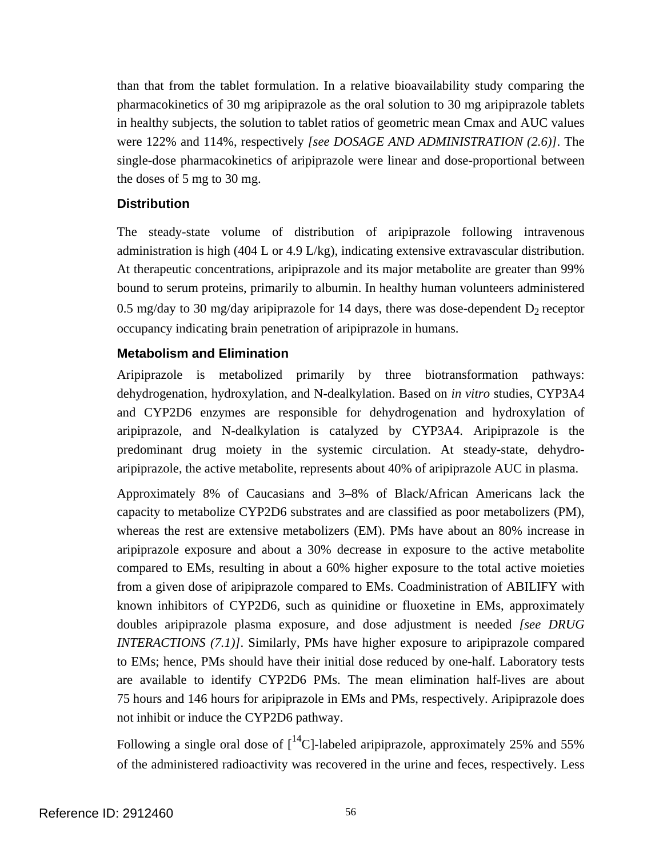than that from the tablet formulation. In a relative bioavailability study comparing the pharmacokinetics of 30 mg aripiprazole as the oral solution to 30 mg aripiprazole tablets in healthy subjects, the solution to tablet ratios of geometric mean Cmax and AUC values were 122% and 114%, respectively *[see DOSAGE AND ADMINISTRATION (2.6)]*. The single-dose pharmacokinetics of aripiprazole were linear and dose-proportional between the doses of 5 mg to 30 mg.

#### **Distribution**

The steady-state volume of distribution of aripiprazole following intravenous administration is high (404 L or 4.9 L/kg), indicating extensive extravascular distribution. At therapeutic concentrations, aripiprazole and its major metabolite are greater than 99% bound to serum proteins, primarily to albumin. In healthy human volunteers administered 0.5 mg/day to 30 mg/day aripiprazole for 14 days, there was dose-dependent  $D_2$  receptor occupancy indicating brain penetration of aripiprazole in humans.

### **Metabolism and Elimination**

Aripiprazole is metabolized primarily by three biotransformation pathways: dehydrogenation, hydroxylation, and N-dealkylation. Based on *in vitro* studies, CYP3A4 and CYP2D6 enzymes are responsible for dehydrogenation and hydroxylation of aripiprazole, and N-dealkylation is catalyzed by CYP3A4. Aripiprazole is the predominant drug moiety in the systemic circulation. At steady-state, dehydroaripiprazole, the active metabolite, represents about 40% of aripiprazole AUC in plasma.

Approximately 8% of Caucasians and 3–8% of Black/African Americans lack the capacity to metabolize CYP2D6 substrates and are classified as poor metabolizers (PM), whereas the rest are extensive metabolizers (EM). PMs have about an 80% increase in aripiprazole exposure and about a 30% decrease in exposure to the active metabolite compared to EMs, resulting in about a 60% higher exposure to the total active moieties from a given dose of aripiprazole compared to EMs. Coadministration of ABILIFY with known inhibitors of CYP2D6, such as quinidine or fluoxetine in EMs, approximately doubles aripiprazole plasma exposure, and dose adjustment is needed *[see DRUG INTERACTIONS (7.1)]*. Similarly, PMs have higher exposure to aripiprazole compared to EMs; hence, PMs should have their initial dose reduced by one-half. Laboratory tests are available to identify CYP2D6 PMs. The mean elimination half-lives are about 75 hours and 146 hours for aripiprazole in EMs and PMs, respectively. Aripiprazole does not inhibit or induce the CYP2D6 pathway.

Following a single oral dose of  $\int_{0}^{14}C$ -labeled aripiprazole, approximately 25% and 55% of the administered radioactivity was recovered in the urine and feces, respectively. Less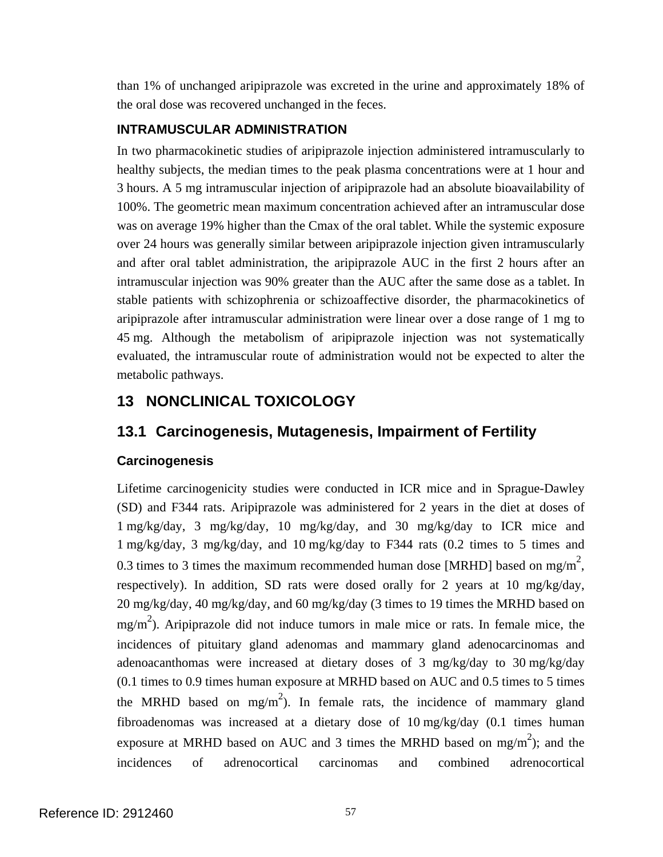than 1% of unchanged aripiprazole was excreted in the urine and approximately 18% of the oral dose was recovered unchanged in the feces.

### **INTRAMUSCULAR ADMINISTRATION**

In two pharmacokinetic studies of aripiprazole injection administered intramuscularly to healthy subjects, the median times to the peak plasma concentrations were at 1 hour and 3 hours. A 5 mg intramuscular injection of aripiprazole had an absolute bioavailability of 100%. The geometric mean maximum concentration achieved after an intramuscular dose was on average 19% higher than the Cmax of the oral tablet. While the systemic exposure over 24 hours was generally similar between aripiprazole injection given intramuscularly and after oral tablet administration, the aripiprazole AUC in the first 2 hours after an intramuscular injection was 90% greater than the AUC after the same dose as a tablet. In stable patients with schizophrenia or schizoaffective disorder, the pharmacokinetics of aripiprazole after intramuscular administration were linear over a dose range of 1 mg to 45 mg. Although the metabolism of aripiprazole injection was not systematically evaluated, the intramuscular route of administration would not be expected to alter the metabolic pathways.

# **13 NONCLINICAL TOXICOLOGY**

# **13.1 Carcinogenesis, Mutagenesis, Impairment of Fertility**

## **Carcinogenesis**

Lifetime carcinogenicity studies were conducted in ICR mice and in Sprague-Dawley (SD) and F344 rats. Aripiprazole was administered for 2 years in the diet at doses of 1 mg/kg/day, 3 mg/kg/day, 10 mg/kg/day, and 30 mg/kg/day to ICR mice and 1 mg/kg/day, 3 mg/kg/day, and 10 mg/kg/day to F344 rats (0.2 times to 5 times and 0.3 times to 3 times the maximum recommended human dose [MRHD] based on mg/m<sup>2</sup>, respectively). In addition, SD rats were dosed orally for 2 years at 10 mg/kg/day, 20 mg/kg/day, 40 mg/kg/day, and 60 mg/kg/day (3 times to 19 times the MRHD based on  $mg/m<sup>2</sup>$ ). Aripiprazole did not induce tumors in male mice or rats. In female mice, the incidences of pituitary gland adenomas and mammary gland adenocarcinomas and adenoacanthomas were increased at dietary doses of 3 mg/kg/day to 30 mg/kg/day (0.1 times to 0.9 times human exposure at MRHD based on AUC and 0.5 times to 5 times the MRHD based on mg/m<sup>2</sup>). In female rats, the incidence of mammary gland fibroadenomas was increased at a dietary dose of 10 mg/kg/day (0.1 times human exposure at MRHD based on AUC and 3 times the MRHD based on mg/m<sup>2</sup>); and the incidences of adrenocortical carcinomas and combined adrenocortical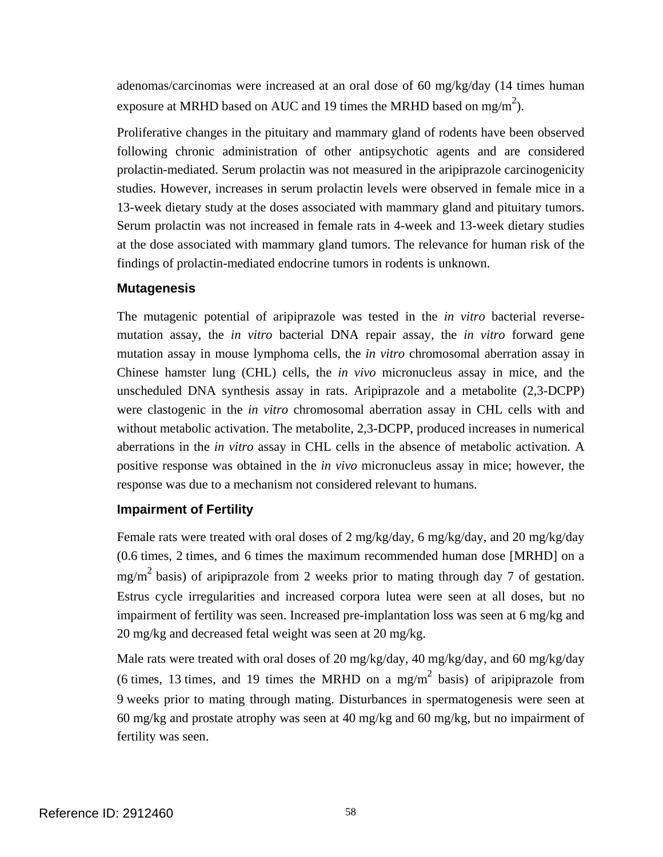adenomas/carcinomas were increased at an oral dose of 60 mg/kg/day (14 times human exposure at MRHD based on AUC and 19 times the MRHD based on mg/m<sup>2</sup>).

Proliferative changes in the pituitary and mammary gland of rodents have been observed following chronic administration of other antipsychotic agents and are considered prolactin-mediated. Serum prolactin was not measured in the aripiprazole carcinogenicity studies. However, increases in serum prolactin levels were observed in female mice in a 13-week dietary study at the doses associated with mammary gland and pituitary tumors. Serum prolactin was not increased in female rats in 4-week and 13-week dietary studies at the dose associated with mammary gland tumors. The relevance for human risk of the findings of prolactin-mediated endocrine tumors in rodents is unknown.

#### **Mutagenesis**

The mutagenic potential of aripiprazole was tested in the *in vitro* bacterial reversemutation assay, the *in vitro* bacterial DNA repair assay, the *in vitro* forward gene mutation assay in mouse lymphoma cells, the *in vitro* chromosomal aberration assay in Chinese hamster lung (CHL) cells, the *in vivo* micronucleus assay in mice, and the unscheduled DNA synthesis assay in rats. Aripiprazole and a metabolite (2,3-DCPP) were clastogenic in the *in vitro* chromosomal aberration assay in CHL cells with and without metabolic activation. The metabolite, 2,3-DCPP, produced increases in numerical aberrations in the *in vitro* assay in CHL cells in the absence of metabolic activation. A positive response was obtained in the *in vivo* micronucleus assay in mice; however, the response was due to a mechanism not considered relevant to humans.

#### **Impairment of Fertility**

Female rats were treated with oral doses of 2 mg/kg/day, 6 mg/kg/day, and 20 mg/kg/day (0.6 times, 2 times, and 6 times the maximum recommended human dose [MRHD] on a mg/m2 basis) of aripiprazole from 2 weeks prior to mating through day 7 of gestation. Estrus cycle irregularities and increased corpora lutea were seen at all doses, but no impairment of fertility was seen. Increased pre-implantation loss was seen at 6 mg/kg and 20 mg/kg and decreased fetal weight was seen at 20 mg/kg.

Male rats were treated with oral doses of 20 mg/kg/day, 40 mg/kg/day, and 60 mg/kg/day (6 times, 13 times, and 19 times the MRHD on a mg/m<sup>2</sup> basis) of aripiprazole from 9 weeks prior to mating through mating. Disturbances in spermatogenesis were seen at 60 mg/kg and prostate atrophy was seen at 40 mg/kg and 60 mg/kg, but no impairment of fertility was seen.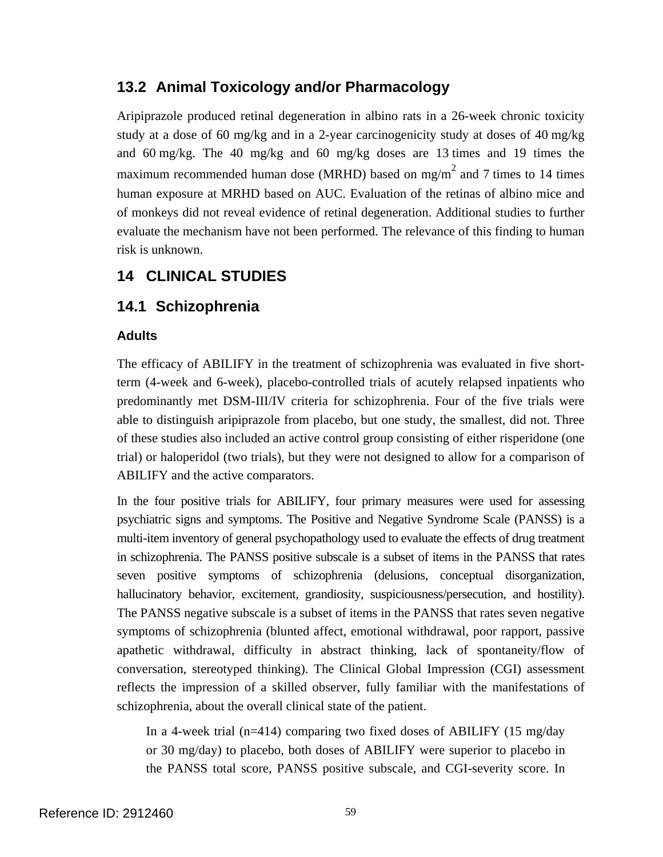# **13.2 Animal Toxicology and/or Pharmacology**

Aripiprazole produced retinal degeneration in albino rats in a 26-week chronic toxicity study at a dose of 60 mg/kg and in a 2-year carcinogenicity study at doses of 40 mg/kg and 60 mg/kg. The 40 mg/kg and 60 mg/kg doses are 13 times and 19 times the maximum recommended human dose (MRHD) based on mg/m<sup>2</sup> and 7 times to 14 times human exposure at MRHD based on AUC. Evaluation of the retinas of albino mice and of monkeys did not reveal evidence of retinal degeneration. Additional studies to further evaluate the mechanism have not been performed. The relevance of this finding to human risk is unknown.

# **14 CLINICAL STUDIES**

# **14.1 Schizophrenia**

### **Adults**

The efficacy of ABILIFY in the treatment of schizophrenia was evaluated in five shortterm (4-week and 6-week), placebo-controlled trials of acutely relapsed inpatients who predominantly met DSM-III/IV criteria for schizophrenia. Four of the five trials were able to distinguish aripiprazole from placebo, but one study, the smallest, did not. Three of these studies also included an active control group consisting of either risperidone (one trial) or haloperidol (two trials), but they were not designed to allow for a comparison of ABILIFY and the active comparators.

In the four positive trials for ABILIFY, four primary measures were used for assessing psychiatric signs and symptoms. The Positive and Negative Syndrome Scale (PANSS) is a multi-item inventory of general psychopathology used to evaluate the effects of drug treatment in schizophrenia. The PANSS positive subscale is a subset of items in the PANSS that rates seven positive symptoms of schizophrenia (delusions, conceptual disorganization, hallucinatory behavior, excitement, grandiosity, suspiciousness/persecution, and hostility). The PANSS negative subscale is a subset of items in the PANSS that rates seven negative symptoms of schizophrenia (blunted affect, emotional withdrawal, poor rapport, passive apathetic withdrawal, difficulty in abstract thinking, lack of spontaneity/flow of conversation, stereotyped thinking). The Clinical Global Impression (CGI) assessment reflects the impression of a skilled observer, fully familiar with the manifestations of schizophrenia, about the overall clinical state of the patient.

In a 4-week trial (n=414) comparing two fixed doses of ABILIFY (15 mg/day or 30 mg/day) to placebo, both doses of ABILIFY were superior to placebo in the PANSS total score, PANSS positive subscale, and CGI-severity score. In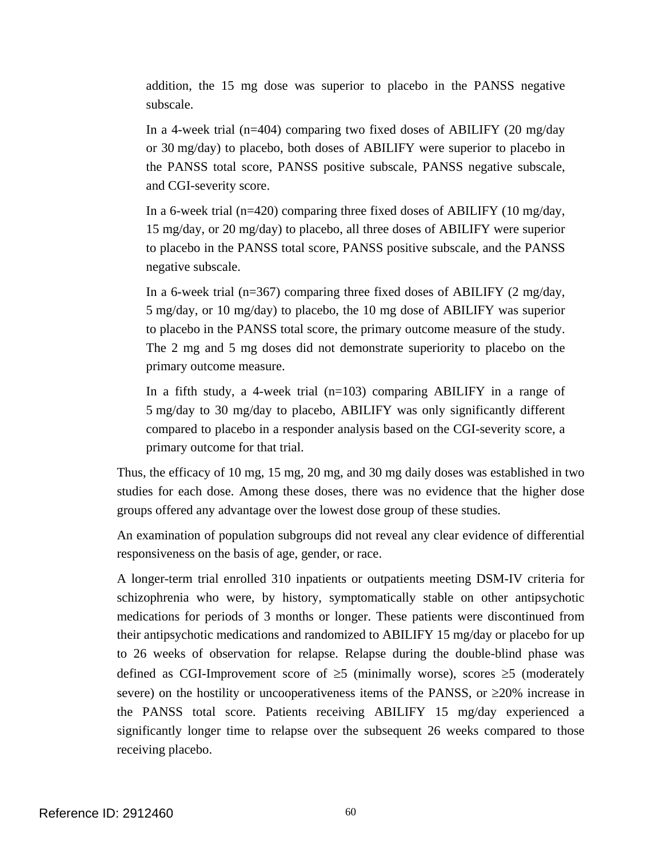addition, the 15 mg dose was superior to placebo in the PANSS negative subscale.

In a 4-week trial (n=404) comparing two fixed doses of ABILIFY (20 mg/day or 30 mg/day) to placebo, both doses of ABILIFY were superior to placebo in the PANSS total score, PANSS positive subscale, PANSS negative subscale, and CGI-severity score.

In a 6-week trial (n=420) comparing three fixed doses of ABILIFY (10 mg/day, 15 mg/day, or 20 mg/day) to placebo, all three doses of ABILIFY were superior to placebo in the PANSS total score, PANSS positive subscale, and the PANSS negative subscale.

In a 6-week trial ( $n=367$ ) comparing three fixed doses of ABILIFY (2 mg/day, 5 mg/day, or 10 mg/day) to placebo, the 10 mg dose of ABILIFY was superior to placebo in the PANSS total score, the primary outcome measure of the study. The 2 mg and 5 mg doses did not demonstrate superiority to placebo on the primary outcome measure.

In a fifth study, a 4-week trial  $(n=103)$  comparing ABILIFY in a range of 5 mg/day to 30 mg/day to placebo, ABILIFY was only significantly different compared to placebo in a responder analysis based on the CGI-severity score, a primary outcome for that trial.

Thus, the efficacy of 10 mg, 15 mg, 20 mg, and 30 mg daily doses was established in two studies for each dose. Among these doses, there was no evidence that the higher dose groups offered any advantage over the lowest dose group of these studies.

An examination of population subgroups did not reveal any clear evidence of differential responsiveness on the basis of age, gender, or race.

A longer-term trial enrolled 310 inpatients or outpatients meeting DSM-IV criteria for schizophrenia who were, by history, symptomatically stable on other antipsychotic medications for periods of 3 months or longer. These patients were discontinued from their antipsychotic medications and randomized to ABILIFY 15 mg/day or placebo for up to 26 weeks of observation for relapse. Relapse during the double-blind phase was defined as CGI-Improvement score of  $\geq$ 5 (minimally worse), scores  $\geq$ 5 (moderately severe) on the hostility or uncooperativeness items of the PANSS, or ≥20% increase in the PANSS total score. Patients receiving ABILIFY 15 mg/day experienced a significantly longer time to relapse over the subsequent 26 weeks compared to those receiving placebo.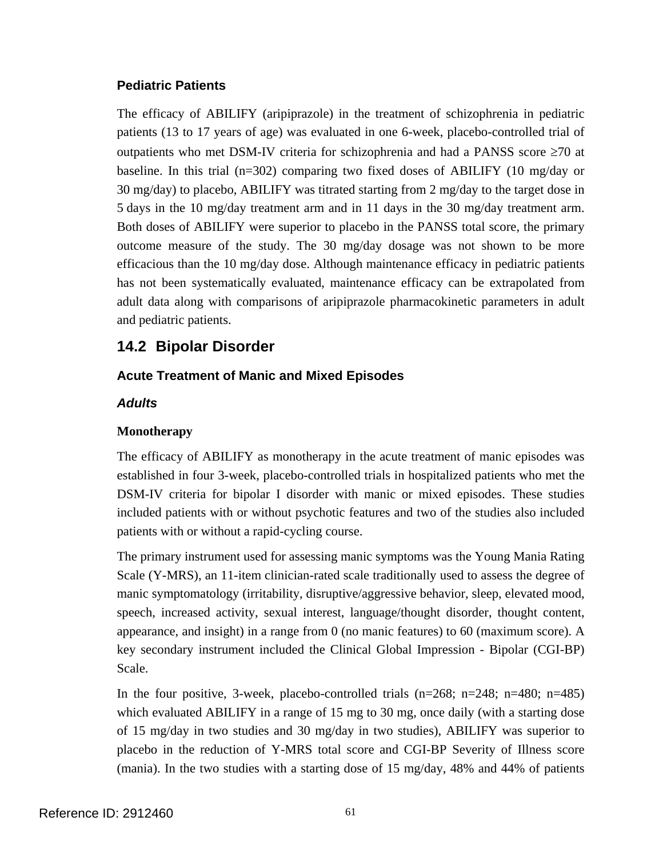#### **Pediatric Patients**

The efficacy of ABILIFY (aripiprazole) in the treatment of schizophrenia in pediatric patients (13 to 17 years of age) was evaluated in one 6-week, placebo-controlled trial of outpatients who met DSM-IV criteria for schizophrenia and had a PANSS score ≥70 at baseline. In this trial (n=302) comparing two fixed doses of ABILIFY (10 mg/day or 30 mg/day) to placebo, ABILIFY was titrated starting from 2 mg/day to the target dose in 5 days in the 10 mg/day treatment arm and in 11 days in the 30 mg/day treatment arm. Both doses of ABILIFY were superior to placebo in the PANSS total score, the primary outcome measure of the study. The 30 mg/day dosage was not shown to be more efficacious than the 10 mg/day dose. Although maintenance efficacy in pediatric patients has not been systematically evaluated, maintenance efficacy can be extrapolated from adult data along with comparisons of aripiprazole pharmacokinetic parameters in adult and pediatric patients.

# **14.2 Bipolar Disorder**

### **Acute Treatment of Manic and Mixed Episodes**

#### *Adults*

#### **Monotherapy**

The efficacy of ABILIFY as monotherapy in the acute treatment of manic episodes was established in four 3-week, placebo-controlled trials in hospitalized patients who met the DSM-IV criteria for bipolar I disorder with manic or mixed episodes. These studies included patients with or without psychotic features and two of the studies also included patients with or without a rapid-cycling course.

The primary instrument used for assessing manic symptoms was the Young Mania Rating Scale (Y-MRS), an 11-item clinician-rated scale traditionally used to assess the degree of manic symptomatology (irritability, disruptive/aggressive behavior, sleep, elevated mood, speech, increased activity, sexual interest, language/thought disorder, thought content, appearance, and insight) in a range from 0 (no manic features) to 60 (maximum score). A key secondary instrument included the Clinical Global Impression - Bipolar (CGI-BP) Scale.

In the four positive, 3-week, placebo-controlled trials  $(n=268; n=248; n=480; n=485)$ which evaluated ABILIFY in a range of 15 mg to 30 mg, once daily (with a starting dose of 15 mg/day in two studies and 30 mg/day in two studies), ABILIFY was superior to placebo in the reduction of Y-MRS total score and CGI-BP Severity of Illness score (mania). In the two studies with a starting dose of 15 mg/day, 48% and 44% of patients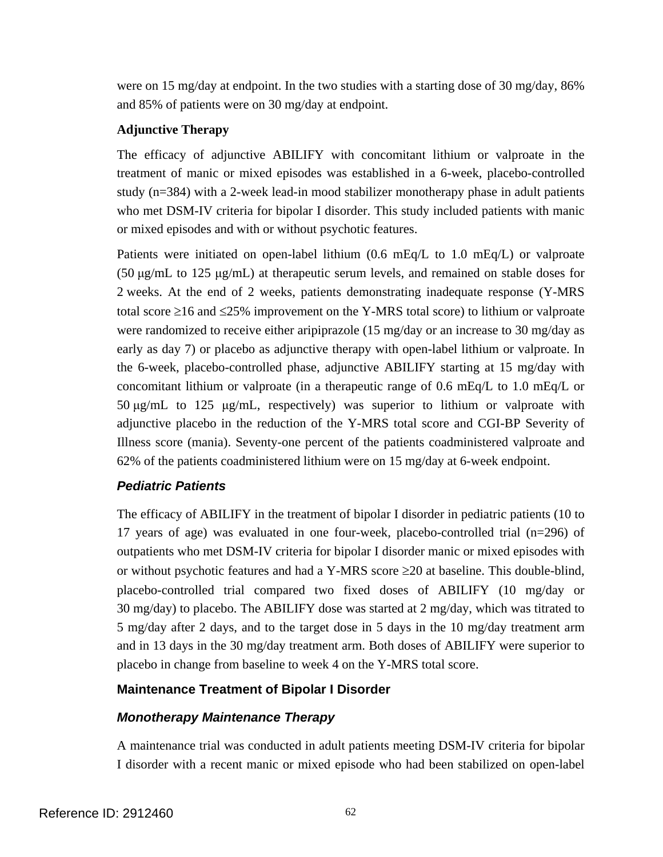were on 15 mg/day at endpoint. In the two studies with a starting dose of 30 mg/day, 86% and 85% of patients were on 30 mg/day at endpoint.

#### **Adjunctive Therapy**

The efficacy of adjunctive ABILIFY with concomitant lithium or valproate in the treatment of manic or mixed episodes was established in a 6-week, placebo-controlled study (n=384) with a 2-week lead-in mood stabilizer monotherapy phase in adult patients who met DSM-IV criteria for bipolar I disorder. This study included patients with manic or mixed episodes and with or without psychotic features.

Patients were initiated on open-label lithium  $(0.6 \text{ mEq/L})$  to 1.0 mEq/L) or valproate (50 μg/mL to 125 μg/mL) at therapeutic serum levels, and remained on stable doses for 2 weeks. At the end of 2 weeks, patients demonstrating inadequate response (Y-MRS total score  $\geq$ 16 and  $\leq$ 25% improvement on the Y-MRS total score) to lithium or valproate were randomized to receive either aripiprazole (15 mg/day or an increase to 30 mg/day as early as day 7) or placebo as adjunctive therapy with open-label lithium or valproate. In the 6-week, placebo-controlled phase, adjunctive ABILIFY starting at 15 mg/day with concomitant lithium or valproate (in a therapeutic range of 0.6 mEq/L to 1.0 mEq/L or 50 μg/mL to 125 μg/mL, respectively) was superior to lithium or valproate with adjunctive placebo in the reduction of the Y-MRS total score and CGI-BP Severity of Illness score (mania). Seventy-one percent of the patients coadministered valproate and 62% of the patients coadministered lithium were on 15 mg/day at 6-week endpoint.

### *Pediatric Patients*

The efficacy of ABILIFY in the treatment of bipolar I disorder in pediatric patients (10 to 17 years of age) was evaluated in one four-week, placebo-controlled trial (n=296) of outpatients who met DSM-IV criteria for bipolar I disorder manic or mixed episodes with or without psychotic features and had a Y-MRS score  $\geq 20$  at baseline. This double-blind, placebo-controlled trial compared two fixed doses of ABILIFY (10 mg/day or 30 mg/day) to placebo. The ABILIFY dose was started at 2 mg/day, which was titrated to 5 mg/day after 2 days, and to the target dose in 5 days in the 10 mg/day treatment arm and in 13 days in the 30 mg/day treatment arm. Both doses of ABILIFY were superior to placebo in change from baseline to week 4 on the Y-MRS total score.

### **Maintenance Treatment of Bipolar I Disorder**

### *Monotherapy Maintenance Therapy*

A maintenance trial was conducted in adult patients meeting DSM-IV criteria for bipolar I disorder with a recent manic or mixed episode who had been stabilized on open-label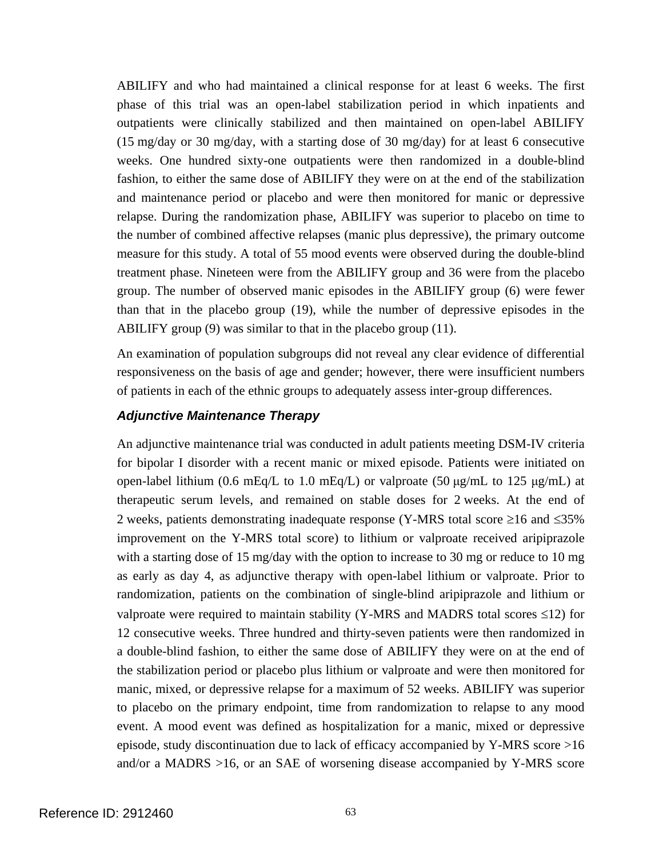ABILIFY and who had maintained a clinical response for at least 6 weeks. The first phase of this trial was an open-label stabilization period in which inpatients and outpatients were clinically stabilized and then maintained on open-label ABILIFY (15 mg/day or 30 mg/day, with a starting dose of 30 mg/day) for at least 6 consecutive weeks. One hundred sixty-one outpatients were then randomized in a double-blind fashion, to either the same dose of ABILIFY they were on at the end of the stabilization and maintenance period or placebo and were then monitored for manic or depressive relapse. During the randomization phase, ABILIFY was superior to placebo on time to the number of combined affective relapses (manic plus depressive), the primary outcome measure for this study. A total of 55 mood events were observed during the double-blind treatment phase. Nineteen were from the ABILIFY group and 36 were from the placebo group. The number of observed manic episodes in the ABILIFY group (6) were fewer than that in the placebo group (19), while the number of depressive episodes in the ABILIFY group (9) was similar to that in the placebo group (11).

An examination of population subgroups did not reveal any clear evidence of differential responsiveness on the basis of age and gender; however, there were insufficient numbers of patients in each of the ethnic groups to adequately assess inter-group differences.

#### *Adjunctive Maintenance Therapy*

An adjunctive maintenance trial was conducted in adult patients meeting DSM-IV criteria for bipolar I disorder with a recent manic or mixed episode. Patients were initiated on open-label lithium (0.6 mEq/L to 1.0 mEq/L) or valproate (50  $\mu$ g/mL to 125  $\mu$ g/mL) at therapeutic serum levels, and remained on stable doses for 2 weeks. At the end of 2 weeks, patients demonstrating inadequate response (Y-MRS total score  $\geq 16$  and  $\leq 35\%$ ) improvement on the Y-MRS total score) to lithium or valproate received aripiprazole with a starting dose of 15 mg/day with the option to increase to 30 mg or reduce to 10 mg as early as day 4, as adjunctive therapy with open-label lithium or valproate. Prior to randomization, patients on the combination of single-blind aripiprazole and lithium or valproate were required to maintain stability (Y-MRS and MADRS total scores  $\leq$ 12) for 12 consecutive weeks. Three hundred and thirty-seven patients were then randomized in a double-blind fashion, to either the same dose of ABILIFY they were on at the end of the stabilization period or placebo plus lithium or valproate and were then monitored for manic, mixed, or depressive relapse for a maximum of 52 weeks. ABILIFY was superior to placebo on the primary endpoint, time from randomization to relapse to any mood event. A mood event was defined as hospitalization for a manic, mixed or depressive episode, study discontinuation due to lack of efficacy accompanied by Y-MRS score >16 and/or a MADRS >16, or an SAE of worsening disease accompanied by Y-MRS score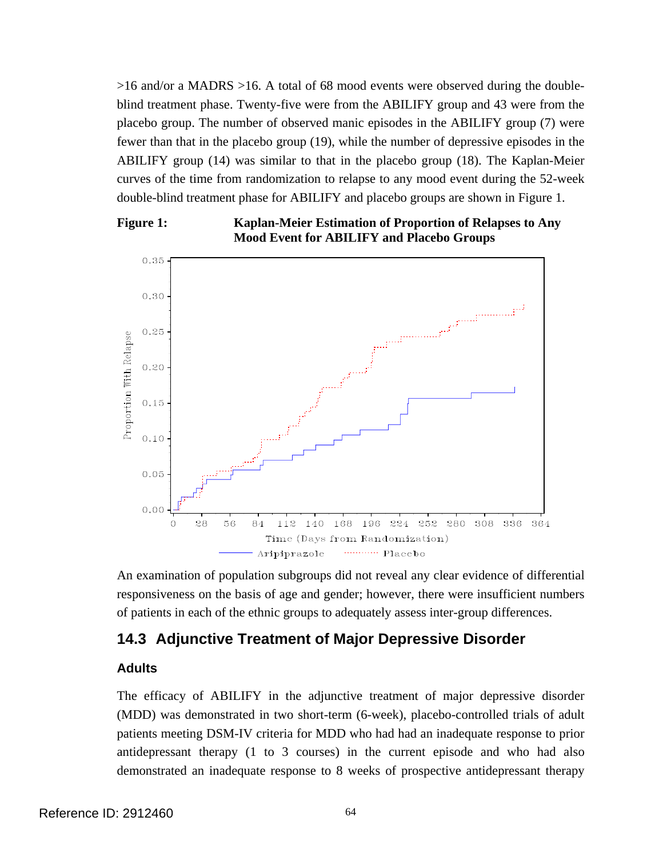>16 and/or a MADRS >16. A total of 68 mood events were observed during the doubleblind treatment phase. Twenty-five were from the ABILIFY group and 43 were from the placebo group. The number of observed manic episodes in the ABILIFY group (7) were fewer than that in the placebo group (19), while the number of depressive episodes in the ABILIFY group (14) was similar to that in the placebo group (18). The Kaplan-Meier curves of the time from randomization to relapse to any mood event during the 52-week double-blind treatment phase for ABILIFY and placebo groups are shown in Figure 1.



**Figure 1: Kaplan-Meier Estimation of Proportion of Relapses to Any Mood Event for ABILIFY and Placebo Groups** 

An examination of population subgroups did not reveal any clear evidence of differential responsiveness on the basis of age and gender; however, there were insufficient numbers of patients in each of the ethnic groups to adequately assess inter-group differences.

## **14.3 Adjunctive Treatment of Major Depressive Disorder**

### **Adults**

The efficacy of ABILIFY in the adjunctive treatment of major depressive disorder (MDD) was demonstrated in two short-term (6-week), placebo-controlled trials of adult patients meeting DSM-IV criteria for MDD who had had an inadequate response to prior antidepressant therapy (1 to 3 courses) in the current episode and who had also demonstrated an inadequate response to 8 weeks of prospective antidepressant therapy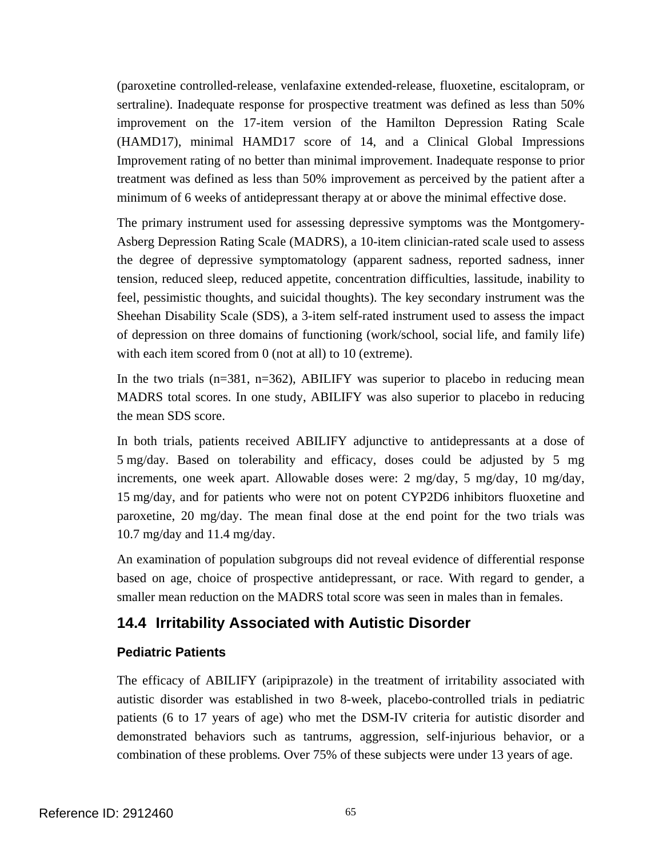(paroxetine controlled-release, venlafaxine extended-release, fluoxetine, escitalopram, or sertraline). Inadequate response for prospective treatment was defined as less than 50% improvement on the 17-item version of the Hamilton Depression Rating Scale (HAMD17), minimal HAMD17 score of 14, and a Clinical Global Impressions Improvement rating of no better than minimal improvement. Inadequate response to prior treatment was defined as less than 50% improvement as perceived by the patient after a minimum of 6 weeks of antidepressant therapy at or above the minimal effective dose.

The primary instrument used for assessing depressive symptoms was the Montgomery-Asberg Depression Rating Scale (MADRS), a 10-item clinician-rated scale used to assess the degree of depressive symptomatology (apparent sadness, reported sadness, inner tension, reduced sleep, reduced appetite, concentration difficulties, lassitude, inability to feel, pessimistic thoughts, and suicidal thoughts). The key secondary instrument was the Sheehan Disability Scale (SDS), a 3-item self-rated instrument used to assess the impact of depression on three domains of functioning (work/school, social life, and family life) with each item scored from 0 (not at all) to 10 (extreme).

In the two trials  $(n=381, n=362)$ , ABILIFY was superior to placebo in reducing mean MADRS total scores. In one study, ABILIFY was also superior to placebo in reducing the mean SDS score.

In both trials, patients received ABILIFY adjunctive to antidepressants at a dose of 5 mg/day. Based on tolerability and efficacy, doses could be adjusted by 5 mg increments, one week apart. Allowable doses were: 2 mg/day, 5 mg/day, 10 mg/day, 15 mg/day, and for patients who were not on potent CYP2D6 inhibitors fluoxetine and paroxetine, 20 mg/day. The mean final dose at the end point for the two trials was 10.7 mg/day and 11.4 mg/day.

An examination of population subgroups did not reveal evidence of differential response based on age, choice of prospective antidepressant, or race. With regard to gender, a smaller mean reduction on the MADRS total score was seen in males than in females.

# **14.4 Irritability Associated with Autistic Disorder**

## **Pediatric Patients**

The efficacy of ABILIFY (aripiprazole) in the treatment of irritability associated with autistic disorder was established in two 8-week, placebo-controlled trials in pediatric patients (6 to 17 years of age) who met the DSM-IV criteria for autistic disorder and demonstrated behaviors such as tantrums, aggression, self-injurious behavior, or a combination of these problems*.* Over 75% of these subjects were under 13 years of age.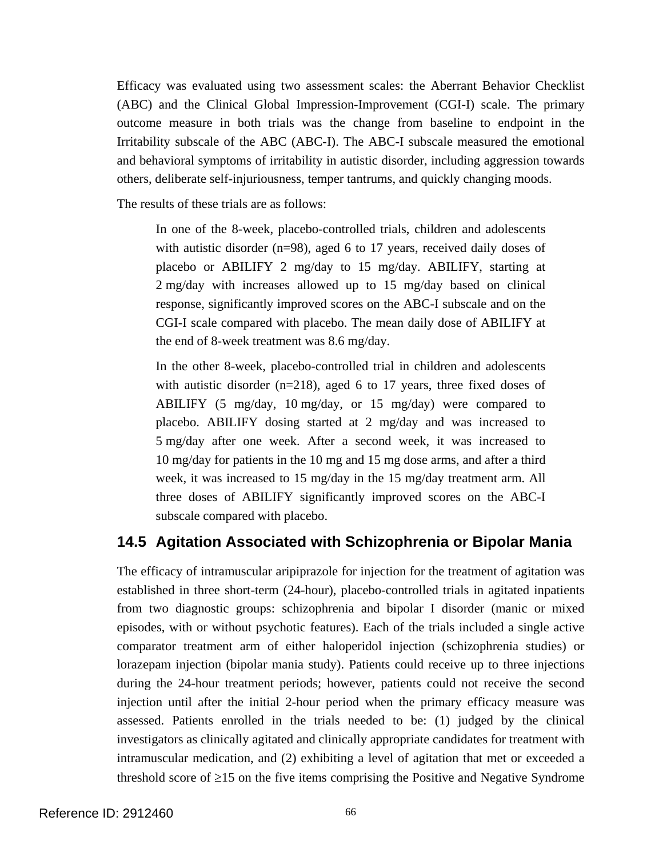Efficacy was evaluated using two assessment scales: the Aberrant Behavior Checklist (ABC) and the Clinical Global Impression-Improvement (CGI-I) scale. The primary outcome measure in both trials was the change from baseline to endpoint in the Irritability subscale of the ABC (ABC-I). The ABC-I subscale measured the emotional and behavioral symptoms of irritability in autistic disorder, including aggression towards others, deliberate self-injuriousness, temper tantrums, and quickly changing moods.

The results of these trials are as follows:

In one of the 8-week, placebo-controlled trials, children and adolescents with autistic disorder (n=98), aged 6 to 17 years, received daily doses of placebo or ABILIFY 2 mg/day to 15 mg/day. ABILIFY, starting at 2 mg/day with increases allowed up to 15 mg/day based on clinical response, significantly improved scores on the ABC-I subscale and on the CGI-I scale compared with placebo. The mean daily dose of ABILIFY at the end of 8-week treatment was 8.6 mg/day.

In the other 8-week, placebo-controlled trial in children and adolescents with autistic disorder (n=218), aged 6 to 17 years, three fixed doses of ABILIFY (5 mg/day, 10 mg/day, or 15 mg/day) were compared to placebo. ABILIFY dosing started at 2 mg/day and was increased to 5 mg/day after one week. After a second week, it was increased to 10 mg/day for patients in the 10 mg and 15 mg dose arms, and after a third week, it was increased to 15 mg/day in the 15 mg/day treatment arm. All three doses of ABILIFY significantly improved scores on the ABC-I subscale compared with placebo.

# **14.5 Agitation Associated with Schizophrenia or Bipolar Mania**

The efficacy of intramuscular aripiprazole for injection for the treatment of agitation was established in three short-term (24-hour), placebo-controlled trials in agitated inpatients from two diagnostic groups: schizophrenia and bipolar I disorder (manic or mixed episodes, with or without psychotic features). Each of the trials included a single active comparator treatment arm of either haloperidol injection (schizophrenia studies) or lorazepam injection (bipolar mania study). Patients could receive up to three injections during the 24-hour treatment periods; however, patients could not receive the second injection until after the initial 2-hour period when the primary efficacy measure was assessed. Patients enrolled in the trials needed to be: (1) judged by the clinical investigators as clinically agitated and clinically appropriate candidates for treatment with intramuscular medication, and (2) exhibiting a level of agitation that met or exceeded a threshold score of  $\geq$ 15 on the five items comprising the Positive and Negative Syndrome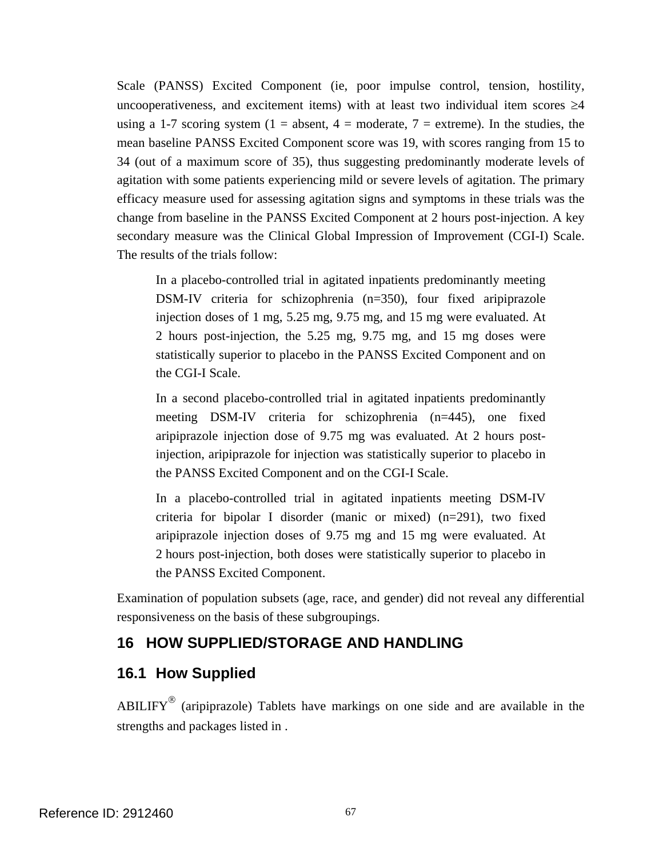Scale (PANSS) Excited Component (ie, poor impulse control, tension, hostility, uncooperativeness, and excitement items) with at least two individual item scores  $\geq 4$ using a 1-7 scoring system (1 = absent, 4 = moderate, 7 = extreme). In the studies, the mean baseline PANSS Excited Component score was 19, with scores ranging from 15 to 34 (out of a maximum score of 35), thus suggesting predominantly moderate levels of agitation with some patients experiencing mild or severe levels of agitation. The primary efficacy measure used for assessing agitation signs and symptoms in these trials was the change from baseline in the PANSS Excited Component at 2 hours post-injection. A key secondary measure was the Clinical Global Impression of Improvement (CGI-I) Scale. The results of the trials follow:

In a placebo-controlled trial in agitated inpatients predominantly meeting DSM-IV criteria for schizophrenia (n=350), four fixed aripiprazole injection doses of 1 mg, 5.25 mg, 9.75 mg, and 15 mg were evaluated. At 2 hours post-injection, the 5.25 mg, 9.75 mg, and 15 mg doses were statistically superior to placebo in the PANSS Excited Component and on the CGI-I Scale.

In a second placebo-controlled trial in agitated inpatients predominantly meeting DSM-IV criteria for schizophrenia (n=445), one fixed aripiprazole injection dose of 9.75 mg was evaluated. At 2 hours postinjection, aripiprazole for injection was statistically superior to placebo in the PANSS Excited Component and on the CGI-I Scale.

In a placebo-controlled trial in agitated inpatients meeting DSM-IV criteria for bipolar I disorder (manic or mixed) (n=291), two fixed aripiprazole injection doses of 9.75 mg and 15 mg were evaluated. At 2 hours post-injection, both doses were statistically superior to placebo in the PANSS Excited Component.

Examination of population subsets (age, race, and gender) did not reveal any differential responsiveness on the basis of these subgroupings.

# **16 HOW SUPPLIED/STORAGE AND HANDLING**

## **16.1 How Supplied**

 $ABILIFY<sup>®</sup>$  (aripiprazole) Tablets have markings on one side and are available in the strengths and packages listed in .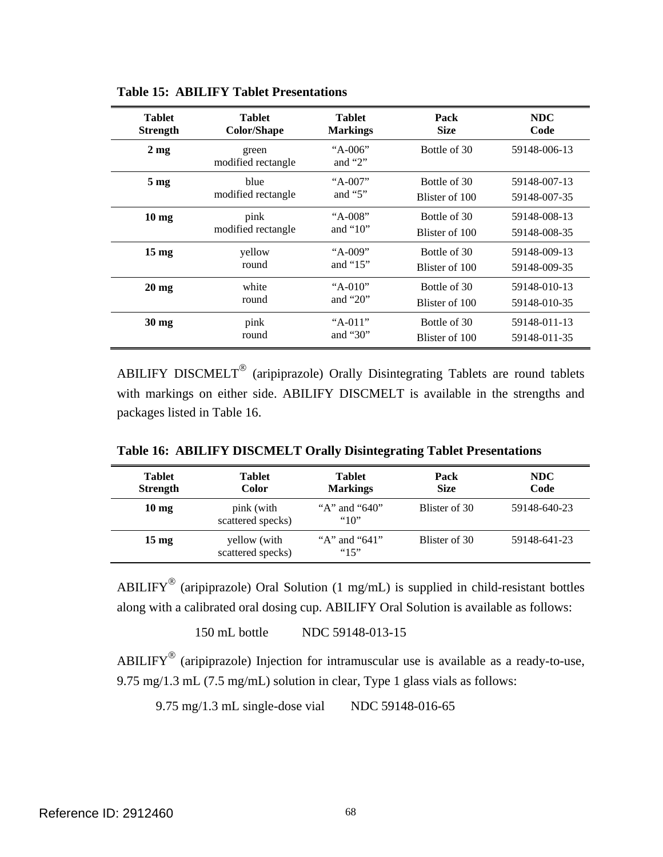| <b>Tablet</b>   | <b>Tablet</b>               | <b>Tablet</b>          | Pack           | <b>NDC</b>   |
|-----------------|-----------------------------|------------------------|----------------|--------------|
| <b>Strength</b> | <b>Color/Shape</b>          | <b>Markings</b>        | <b>Size</b>    | Code         |
| $2 \text{ mg}$  | green<br>modified rectangle | "A-006"<br>and " $2$ " | Bottle of 30   | 59148-006-13 |
| 5 <sub>mg</sub> | blue                        | "A-007"                | Bottle of 30   | 59148-007-13 |
|                 | modified rectangle          | and " $5$ "            | Blister of 100 | 59148-007-35 |
| $10 \text{ mg}$ | pink                        | "A-008"                | Bottle of 30   | 59148-008-13 |
|                 | modified rectangle          | and " $10$ "           | Blister of 100 | 59148-008-35 |
| $15 \text{ mg}$ | yellow                      | "A-009"                | Bottle of 30   | 59148-009-13 |
|                 | round                       | and " $15$ "           | Blister of 100 | 59148-009-35 |
| $20 \text{ mg}$ | white                       | " $A-010$ "            | Bottle of 30   | 59148-010-13 |
|                 | round                       | and " $20$ "           | Blister of 100 | 59148-010-35 |
| $30 \text{ mg}$ | pink                        | " $A-011$ "            | Bottle of 30   | 59148-011-13 |
|                 | round                       | and " $30$ "           | Blister of 100 | 59148-011-35 |

**Table 15: ABILIFY Tablet Presentations** 

ABILIFY DISCMELT<sup>®</sup> (aripiprazole) Orally Disintegrating Tablets are round tablets with markings on either side. ABILIFY DISCMELT is available in the strengths and packages listed in Table 16.

**Table 16: ABILIFY DISCMELT Orally Disintegrating Tablet Presentations** 

| <b>Tablet</b><br><b>Strength</b> | <b>Tablet</b><br>Color            | <b>Tablet</b><br><b>Markings</b> | Pack<br><b>Size</b> | NDC<br>Code  |
|----------------------------------|-----------------------------------|----------------------------------|---------------------|--------------|
| $10 \text{ mg}$                  | pink (with<br>scattered specks)   | "A" and " $640$ "<br>"10"        | Blister of 30       | 59148-640-23 |
| $15 \text{ mg}$                  | yellow (with<br>scattered specks) | "A" and " $641$ "<br>"15"        | Blister of 30       | 59148-641-23 |

ABILIFY<sup>®</sup> (aripiprazole) Oral Solution (1 mg/mL) is supplied in child-resistant bottles along with a calibrated oral dosing cup. ABILIFY Oral Solution is available as follows:

150 mL bottle NDC 59148-013-15

ABILIFY<sup>®</sup> (aripiprazole) Injection for intramuscular use is available as a ready-to-use, 9.75 mg/1.3 mL (7.5 mg/mL) solution in clear, Type 1 glass vials as follows:

9.75 mg/1.3 mL single-dose vial NDC 59148-016-65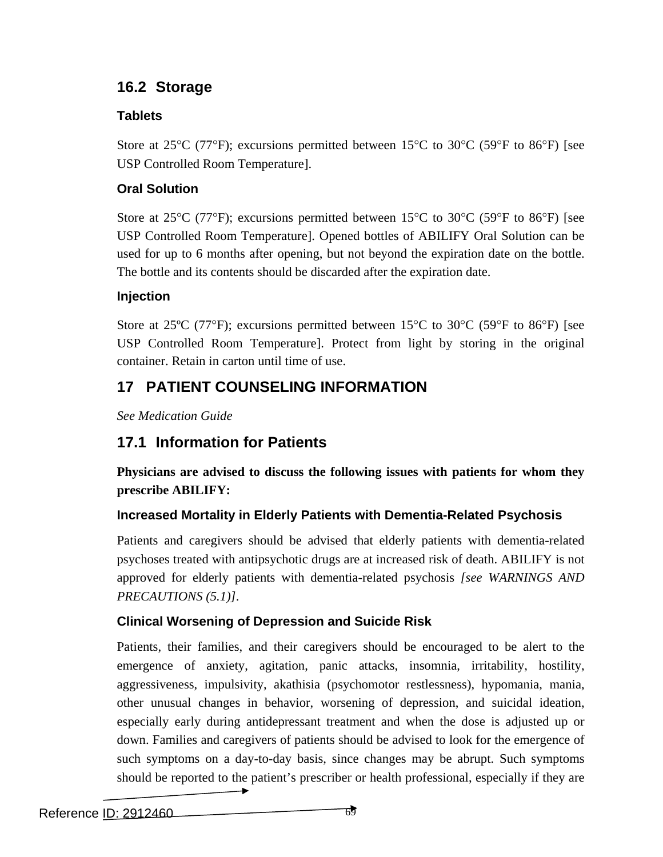# **16.2 Storage**

# **Tablets**

Store at 25 $\degree$ C (77 $\degree$ F); excursions permitted between 15 $\degree$ C to 30 $\degree$ C (59 $\degree$ F to 86 $\degree$ F) [see USP Controlled Room Temperature].

# **Oral Solution**

Store at 25 $\degree$ C (77 $\degree$ F); excursions permitted between 15 $\degree$ C to 30 $\degree$ C (59 $\degree$ F to 86 $\degree$ F) [see USP Controlled Room Temperature]. Opened bottles of ABILIFY Oral Solution can be used for up to 6 months after opening, but not beyond the expiration date on the bottle. The bottle and its contents should be discarded after the expiration date.

# **Injection**

Store at 25<sup>o</sup>C (77<sup>o</sup>F); excursions permitted between 15<sup>o</sup>C to 30<sup>o</sup>C (59<sup>o</sup>F to 86<sup>o</sup>F) [see USP Controlled Room Temperature]. Protect from light by storing in the original container. Retain in carton until time of use.

# **17 PATIENT COUNSELING INFORMATION**

*See Medication Guide* 

# **17.1 Information for Patients**

**Physicians are advised to discuss the following issues with patients for whom they prescribe ABILIFY:** 

# **Increased Mortality in Elderly Patients with Dementia-Related Psychosis**

Patients and caregivers should be advised that elderly patients with dementia-related psychoses treated with antipsychotic drugs are at increased risk of death. ABILIFY is not approved for elderly patients with dementia-related psychosis *[see WARNINGS AND PRECAUTIONS (5.1)]*.

# **Clinical Worsening of Depression and Suicide Risk**

Patients, their families, and their caregivers should be encouraged to be alert to the emergence of anxiety, agitation, panic attacks, insomnia, irritability, hostility, aggressiveness, impulsivity, akathisia (psychomotor restlessness), hypomania, mania, other unusual changes in behavior, worsening of depression, and suicidal ideation, especially early during antidepressant treatment and when the dose is adjusted up or down. Families and caregivers of patients should be advised to look for the emergence of such symptoms on a day-to-day basis, since changes may be abrupt. Such symptoms should be reported to the patient's prescriber or health professional, especially if they are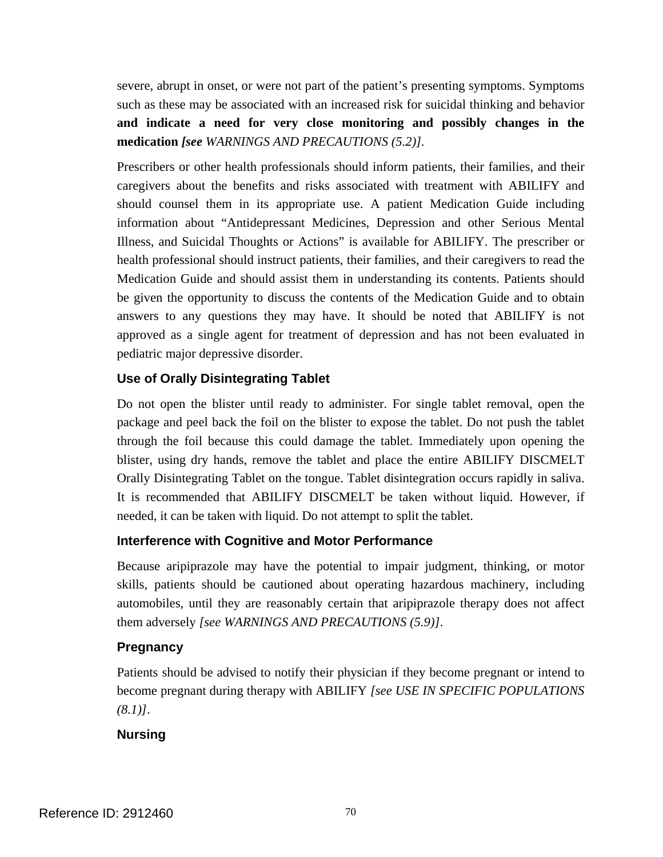severe, abrupt in onset, or were not part of the patient's presenting symptoms. Symptoms such as these may be associated with an increased risk for suicidal thinking and behavior **and indicate a need for very close monitoring and possibly changes in the medication** *[see WARNINGS AND PRECAUTIONS (5.2)].* 

Prescribers or other health professionals should inform patients, their families, and their caregivers about the benefits and risks associated with treatment with ABILIFY and should counsel them in its appropriate use. A patient Medication Guide including information about "Antidepressant Medicines, Depression and other Serious Mental Illness, and Suicidal Thoughts or Actions" is available for ABILIFY. The prescriber or health professional should instruct patients, their families, and their caregivers to read the Medication Guide and should assist them in understanding its contents. Patients should be given the opportunity to discuss the contents of the Medication Guide and to obtain answers to any questions they may have. It should be noted that ABILIFY is not approved as a single agent for treatment of depression and has not been evaluated in pediatric major depressive disorder.

### **Use of Orally Disintegrating Tablet**

Do not open the blister until ready to administer. For single tablet removal, open the package and peel back the foil on the blister to expose the tablet. Do not push the tablet through the foil because this could damage the tablet. Immediately upon opening the blister, using dry hands, remove the tablet and place the entire ABILIFY DISCMELT Orally Disintegrating Tablet on the tongue. Tablet disintegration occurs rapidly in saliva. It is recommended that ABILIFY DISCMELT be taken without liquid. However, if needed, it can be taken with liquid. Do not attempt to split the tablet.

### **Interference with Cognitive and Motor Performance**

Because aripiprazole may have the potential to impair judgment, thinking, or motor skills, patients should be cautioned about operating hazardous machinery, including automobiles, until they are reasonably certain that aripiprazole therapy does not affect them adversely *[see WARNINGS AND PRECAUTIONS (5.9)]*.

### **Pregnancy**

Patients should be advised to notify their physician if they become pregnant or intend to become pregnant during therapy with ABILIFY *[see USE IN SPECIFIC POPULATIONS (8.1)]*.

### **Nursing**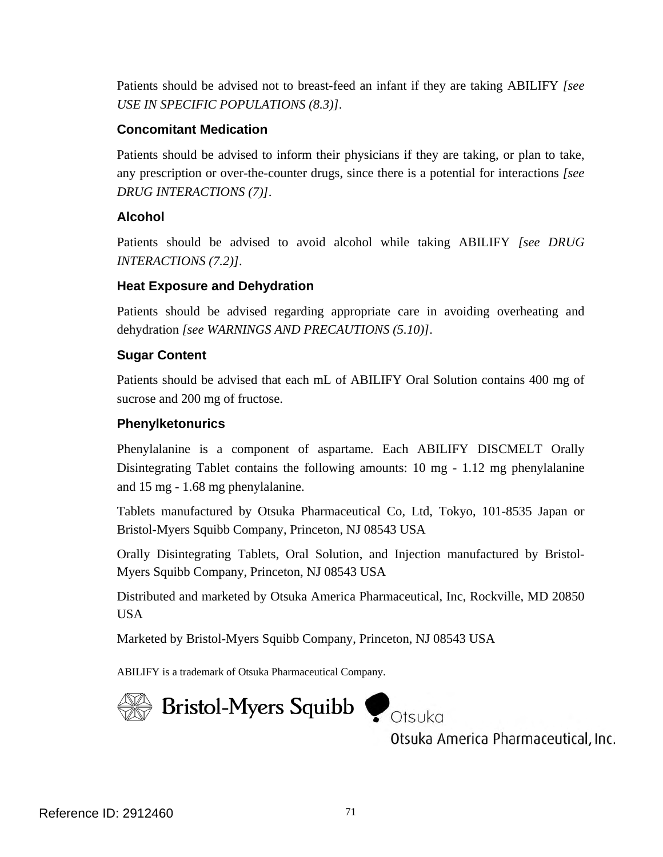Patients should be advised not to breast-feed an infant if they are taking ABILIFY *[see USE IN SPECIFIC POPULATIONS (8.3)]*.

### **Concomitant Medication**

Patients should be advised to inform their physicians if they are taking, or plan to take, any prescription or over-the-counter drugs, since there is a potential for interactions *[see DRUG INTERACTIONS (7)]*.

### **Alcohol**

Patients should be advised to avoid alcohol while taking ABILIFY *[see DRUG INTERACTIONS (7.2)]*.

### **Heat Exposure and Dehydration**

Patients should be advised regarding appropriate care in avoiding overheating and dehydration *[see WARNINGS AND PRECAUTIONS (5.10)]*.

### **Sugar Content**

Patients should be advised that each mL of ABILIFY Oral Solution contains 400 mg of sucrose and 200 mg of fructose.

### **Phenylketonurics**

Phenylalanine is a component of aspartame. Each ABILIFY DISCMELT Orally Disintegrating Tablet contains the following amounts: 10 mg - 1.12 mg phenylalanine and 15 mg - 1.68 mg phenylalanine.

Tablets manufactured by Otsuka Pharmaceutical Co, Ltd, Tokyo, 101-8535 Japan or Bristol-Myers Squibb Company, Princeton, NJ 08543 USA

Orally Disintegrating Tablets, Oral Solution, and Injection manufactured by Bristol-Myers Squibb Company, Princeton, NJ 08543 USA

Distributed and marketed by Otsuka America Pharmaceutical, Inc, Rockville, MD 20850 USA

Marketed by Bristol-Myers Squibb Company, Princeton, NJ 08543 USA

ABILIFY is a trademark of Otsuka Pharmaceutical Company.



Otsuka America Pharmaceutical, Inc.